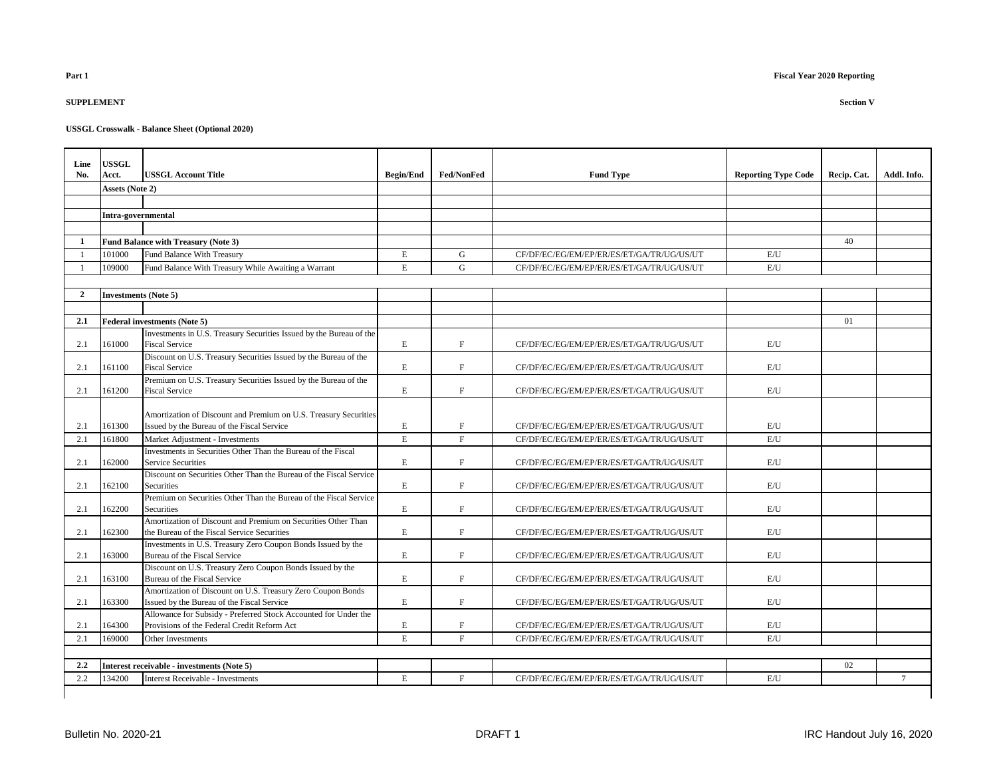## **SUPPLEMENT Section V**

| Line           | <b>USSGL</b>                |                                                                                                                |                  |             |                                           |                            |             |             |
|----------------|-----------------------------|----------------------------------------------------------------------------------------------------------------|------------------|-------------|-------------------------------------------|----------------------------|-------------|-------------|
| No.            | Acct.                       | <b>USSGL Account Title</b>                                                                                     | <b>Begin/End</b> | Fed/NonFed  | <b>Fund Type</b>                          | <b>Reporting Type Code</b> | Recip. Cat. | Addl. Info. |
|                | Assets (Note 2)             |                                                                                                                |                  |             |                                           |                            |             |             |
|                |                             |                                                                                                                |                  |             |                                           |                            |             |             |
|                | Intra-governmental          |                                                                                                                |                  |             |                                           |                            |             |             |
|                |                             |                                                                                                                |                  |             |                                           |                            |             |             |
| 1              |                             | <b>Fund Balance with Treasury (Note 3)</b>                                                                     |                  |             |                                           |                            | 40          |             |
|                | 101000                      | Fund Balance With Treasury                                                                                     | $\mathbf E$      | G           | CF/DF/EC/EG/EM/EP/ER/ES/ET/GA/TR/UG/US/UT | E/U                        |             |             |
|                | 109000                      | Fund Balance With Treasury While Awaiting a Warrant                                                            | $\mathbf E$      | G           | CF/DF/EC/EG/EM/EP/ER/ES/ET/GA/TR/UG/US/UT | E/U                        |             |             |
|                |                             |                                                                                                                |                  |             |                                           |                            |             |             |
| $\overline{2}$ | <b>Investments (Note 5)</b> |                                                                                                                |                  |             |                                           |                            |             |             |
|                |                             |                                                                                                                |                  |             |                                           |                            |             |             |
| 2.1            |                             | <b>Federal investments (Note 5)</b>                                                                            |                  |             |                                           |                            | 01          |             |
|                |                             | Investments in U.S. Treasury Securities Issued by the Bureau of the                                            |                  |             |                                           |                            |             |             |
| 2.1            | 161000                      | <b>Fiscal Service</b>                                                                                          | E                | F           | CF/DF/EC/EG/EM/EP/ER/ES/ET/GA/TR/UG/US/UT | E/U                        |             |             |
|                |                             | Discount on U.S. Treasury Securities Issued by the Bureau of the                                               |                  |             |                                           |                            |             |             |
| 2.1            | 161100                      | <b>Fiscal Service</b>                                                                                          | E                | F           | CF/DF/EC/EG/EM/EP/ER/ES/ET/GA/TR/UG/US/UT | E/U                        |             |             |
|                |                             | Premium on U.S. Treasury Securities Issued by the Bureau of the                                                |                  |             |                                           |                            |             |             |
| 2.1            | 161200                      | <b>Fiscal Service</b>                                                                                          | E                | F           | CF/DF/EC/EG/EM/EP/ER/ES/ET/GA/TR/UG/US/UT | E/U                        |             |             |
| 2.1            | 161300                      | Amortization of Discount and Premium on U.S. Treasury Securities<br>Issued by the Bureau of the Fiscal Service | E                | F           | CF/DF/EC/EG/EM/EP/ER/ES/ET/GA/TR/UG/US/UT | E/U                        |             |             |
| 2.1            | 161800                      | Market Adjustment - Investments                                                                                | $\mathbf E$      | $\mathbf F$ | CF/DF/EC/EG/EM/EP/ER/ES/ET/GA/TR/UG/US/UT | E/U                        |             |             |
|                |                             | Investments in Securities Other Than the Bureau of the Fiscal                                                  |                  |             |                                           |                            |             |             |
| 2.1            | 162000                      | <b>Service Securities</b>                                                                                      | $\mathbf E$      | F           | CF/DF/EC/EG/EM/EP/ER/ES/ET/GA/TR/UG/US/UT | E/U                        |             |             |
|                |                             | Discount on Securities Other Than the Bureau of the Fiscal Service                                             |                  |             |                                           |                            |             |             |
| 2.1            | 162100                      | <b>Securities</b>                                                                                              | E                | F           | CF/DF/EC/EG/EM/EP/ER/ES/ET/GA/TR/UG/US/UT | E/U                        |             |             |
| 2.1            | 162200                      | Premium on Securities Other Than the Bureau of the Fiscal Service<br>Securities                                | E                | $\mathbf F$ | CF/DF/EC/EG/EM/EP/ER/ES/ET/GA/TR/UG/US/UT | E/U                        |             |             |
|                |                             | Amortization of Discount and Premium on Securities Other Than                                                  |                  |             |                                           |                            |             |             |
| 2.1            | 162300                      | the Bureau of the Fiscal Service Securities                                                                    | E                | F           | CF/DF/EC/EG/EM/EP/ER/ES/ET/GA/TR/UG/US/UT | E/U                        |             |             |
|                |                             | Investments in U.S. Treasury Zero Coupon Bonds Issued by the                                                   |                  |             |                                           |                            |             |             |
| 2.1            | 163000                      | Bureau of the Fiscal Service                                                                                   | $\mathbf E$      | $\mathbf F$ | CF/DF/EC/EG/EM/EP/ER/ES/ET/GA/TR/UG/US/UT | E/U                        |             |             |
|                |                             | Discount on U.S. Treasury Zero Coupon Bonds Issued by the                                                      |                  |             |                                           |                            |             |             |
| 2.1            | 163100                      | Bureau of the Fiscal Service                                                                                   | E                | $\mathbf F$ | CF/DF/EC/EG/EM/EP/ER/ES/ET/GA/TR/UG/US/UT | E/U                        |             |             |
|                |                             | Amortization of Discount on U.S. Treasury Zero Coupon Bonds                                                    |                  |             |                                           |                            |             |             |
| 2.1            | 163300                      | Issued by the Bureau of the Fiscal Service                                                                     | E                | F           | CF/DF/EC/EG/EM/EP/ER/ES/ET/GA/TR/UG/US/UT | E/U                        |             |             |
|                |                             | Allowance for Subsidy - Preferred Stock Accounted for Under the                                                |                  |             |                                           |                            |             |             |
| 2.1            | 164300                      | Provisions of the Federal Credit Reform Act                                                                    | $\mathbf E$      | $\mathbf F$ | CF/DF/EC/EG/EM/EP/ER/ES/ET/GA/TR/UG/US/UT | E/U                        |             |             |
| 2.1            | 169000                      | Other Investments                                                                                              | E.               | F           | CF/DF/EC/EG/EM/EP/ER/ES/ET/GA/TR/UG/US/UT | E/I                        |             |             |
|                |                             |                                                                                                                |                  |             |                                           |                            |             |             |
| 2.2            |                             | Interest receivable - investments (Note 5)                                                                     |                  |             |                                           |                            | 02          |             |
| 2.2            | 134200                      | <b>Interest Receivable - Investments</b>                                                                       | E                | $_{\rm F}$  | CF/DF/EC/EG/EM/EP/ER/ES/ET/GA/TR/UG/US/UT | E/U                        |             | $\tau$      |
|                |                             |                                                                                                                |                  |             |                                           |                            |             |             |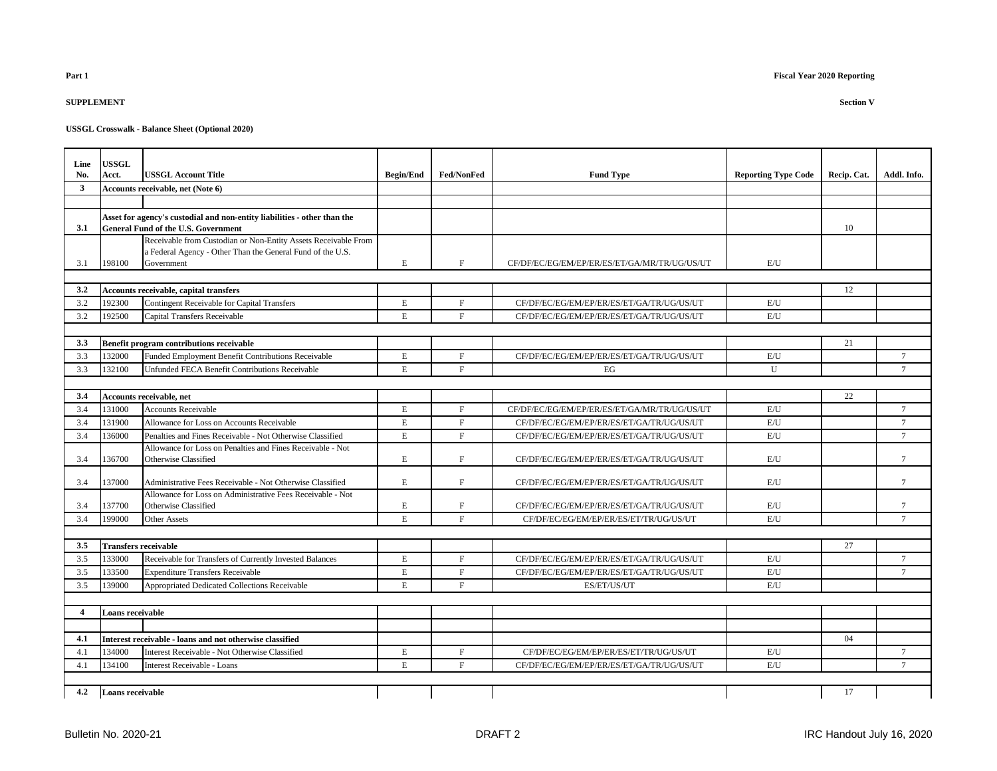## **SUPPLEMENT Section V**

| Line           | <b>USSGL</b><br>Acct.       |                                                                                                                         |                  | Fed/NonFed   |                                              |                            |             | Addl. Info.     |
|----------------|-----------------------------|-------------------------------------------------------------------------------------------------------------------------|------------------|--------------|----------------------------------------------|----------------------------|-------------|-----------------|
| No.<br>3       |                             | <b>USSGL Account Title</b><br>Accounts receivable, net (Note 6)                                                         | <b>Begin/End</b> |              | <b>Fund Type</b>                             | <b>Reporting Type Code</b> | Recip. Cat. |                 |
|                |                             |                                                                                                                         |                  |              |                                              |                            |             |                 |
|                |                             |                                                                                                                         |                  |              |                                              |                            |             |                 |
| 3.1            |                             | Asset for agency's custodial and non-entity liabilities - other than the<br><b>General Fund of the U.S. Government</b>  |                  |              |                                              |                            | 10          |                 |
|                |                             | Receivable from Custodian or Non-Entity Assets Receivable From                                                          |                  |              |                                              |                            |             |                 |
|                |                             | a Federal Agency - Other Than the General Fund of the U.S.                                                              |                  |              |                                              |                            |             |                 |
| 3.1            | 198100                      | Government                                                                                                              | $\mathbf E$      | F            | CF/DF/EC/EG/EM/EP/ER/ES/ET/GA/MR/TR/UG/US/UT | E/U                        |             |                 |
|                |                             |                                                                                                                         |                  |              |                                              |                            |             |                 |
| 3.2            |                             | Accounts receivable, capital transfers                                                                                  |                  |              |                                              |                            | 12          |                 |
| 3.2            | 192300                      | <b>Contingent Receivable for Capital Transfers</b>                                                                      | $\mathbf E$      | $_{\rm F}$   | CF/DF/EC/EG/EM/EP/ER/ES/ET/GA/TR/UG/US/UT    | E/U                        |             |                 |
| 3.2            | 192500                      | Capital Transfers Receivable                                                                                            | $\mathbf E$      | $\mathbf F$  | CF/DF/EC/EG/EM/EP/ER/ES/ET/GA/TR/UG/US/UT    | E/U                        |             |                 |
|                |                             |                                                                                                                         |                  |              |                                              |                            |             |                 |
| 3.3            |                             | Benefit program contributions receivable                                                                                |                  |              |                                              |                            | 21          |                 |
| 3.3            | 132000                      | Funded Employment Benefit Contributions Receivable                                                                      | $\mathbf E$      | $\mathbf F$  | CF/DF/EC/EG/EM/EP/ER/ES/ET/GA/TR/UG/US/UT    | E/U                        |             | $\tau$          |
| 3.3            | 132100                      | Unfunded FECA Benefit Contributions Receivable                                                                          | $\mathbf E$      | F            | EG                                           | U                          |             | $7\overline{ }$ |
|                |                             |                                                                                                                         |                  |              |                                              |                            |             |                 |
| 3.4            |                             | Accounts receivable, net                                                                                                |                  |              |                                              |                            | 22          |                 |
| 3.4            | 131000                      | <b>Accounts Receivable</b>                                                                                              | $\mathbf E$      | F            | CF/DF/EC/EG/EM/EP/ER/ES/ET/GA/MR/TR/UG/US/UT | E/U                        |             | $\overline{7}$  |
| 3.4            | 131900                      | Allowance for Loss on Accounts Receivable                                                                               | $\mathbf E$      | $\mathbf F$  | CF/DF/EC/EG/EM/EP/ER/ES/ET/GA/TR/UG/US/UT    | $\mathrm{E}/\mathrm{U}$    |             | $\tau$          |
| 3.4            | 136000                      | Penalties and Fines Receivable - Not Otherwise Classified<br>Allowance for Loss on Penalties and Fines Receivable - Not | $\mathbf E$      | F            | CF/DF/EC/EG/EM/EP/ER/ES/ET/GA/TR/UG/US/UT    | E/U                        |             | $7\overline{ }$ |
| 3.4            | 136700                      | Otherwise Classified                                                                                                    | E                | F            | CF/DF/EC/EG/EM/EP/ER/ES/ET/GA/TR/UG/US/UT    | E/U                        |             | $7\overline{ }$ |
|                |                             |                                                                                                                         |                  |              |                                              |                            |             |                 |
| 3.4            | 137000                      | Administrative Fees Receivable - Not Otherwise Classified                                                               | $\mathbf E$      | F            | CF/DF/EC/EG/EM/EP/ER/ES/ET/GA/TR/UG/US/UT    | E/U                        |             | $\tau$          |
|                |                             | Allowance for Loss on Administrative Fees Receivable - Not                                                              |                  |              |                                              |                            |             |                 |
| 3.4            | 137700                      | Otherwise Classified                                                                                                    | $\mathbf E$      | $\mathbf F$  | CF/DF/EC/EG/EM/EP/ER/ES/ET/GA/TR/UG/US/UT    | E/U                        |             | $\tau$          |
| 3.4            | 199000                      | Other Assets                                                                                                            | $\mathbf E$      | F            | CF/DF/EC/EG/EM/EP/ER/ES/ET/TR/UG/US/UT       | E/U                        |             | $\tau$          |
|                |                             |                                                                                                                         |                  |              |                                              |                            |             |                 |
| 3.5            | <b>Transfers receivable</b> |                                                                                                                         |                  |              |                                              |                            | 27          |                 |
| 3.5            | 133000                      | Receivable for Transfers of Currently Invested Balances                                                                 | $\mathbf E$      | F            | CF/DF/EC/EG/EM/EP/ER/ES/ET/GA/TR/UG/US/UT    | E/U                        |             | $7\overline{ }$ |
| 3.5            | 133500                      | <b>Expenditure Transfers Receivable</b>                                                                                 | $\mathbf E$      | F            | CF/DF/EC/EG/EM/EP/ER/ES/ET/GA/TR/UG/US/UT    | E/U                        |             | $\overline{7}$  |
| 3.5            | 139000                      | Appropriated Dedicated Collections Receivable                                                                           | $\mathbf E$      | $\mathbf{F}$ | ES/ET/US/UT                                  | E/U                        |             |                 |
|                |                             |                                                                                                                         |                  |              |                                              |                            |             |                 |
| $\overline{4}$ | Loans receivable            |                                                                                                                         |                  |              |                                              |                            |             |                 |
|                |                             |                                                                                                                         |                  |              |                                              |                            | 04          |                 |
| 4.1            | 134000                      | Interest receivable - loans and not otherwise classified<br>Interest Receivable - Not Otherwise Classified              | $\mathbf E$      | $\rm F$      | CF/DF/EC/EG/EM/EP/ER/ES/ET/TR/UG/US/UT       | E/U                        |             | $\tau$          |
| 4.1<br>4.1     | 134100                      | Interest Receivable - Loans                                                                                             | $\mathbf E$      | $\mathbf{F}$ | CF/DF/EC/EG/EM/EP/ER/ES/ET/GA/TR/UG/US/UT    | E/U                        |             | $\tau$          |
|                |                             |                                                                                                                         |                  |              |                                              |                            |             |                 |
|                |                             |                                                                                                                         |                  |              |                                              |                            | 17          |                 |
| 4.2            | Loans receivable            |                                                                                                                         |                  |              |                                              |                            |             |                 |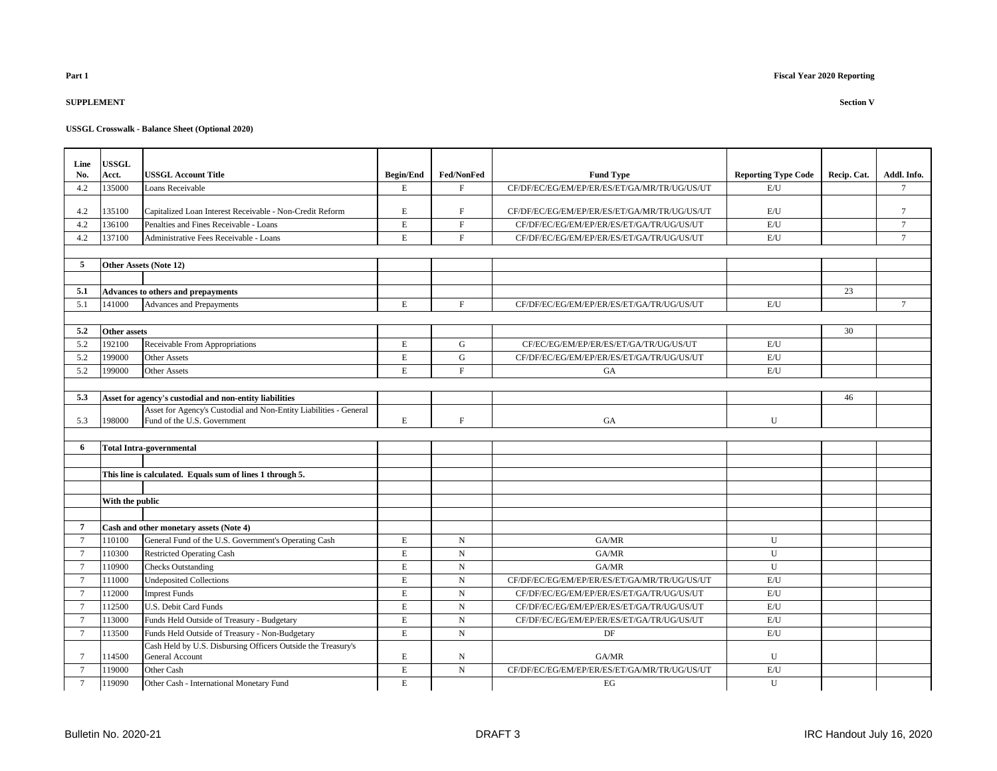## **SUPPLEMENT Section V**

| Line<br>No.    | <b>USSGL</b><br>Acct. | <b>USSGL Account Title</b>                                                                       | <b>Begin/End</b> | <b>Fed/NonFed</b> | <b>Fund Type</b>                             | <b>Reporting Type Code</b> | Recip. Cat. | Addl. Info.     |
|----------------|-----------------------|--------------------------------------------------------------------------------------------------|------------------|-------------------|----------------------------------------------|----------------------------|-------------|-----------------|
| 4.2            | 135000                | <b>Loans Receivable</b>                                                                          | $\mathbf E$      | F                 | CF/DF/EC/EG/EM/EP/ER/ES/ET/GA/MR/TR/UG/US/UT | E/U                        |             | $\tau$          |
|                |                       |                                                                                                  |                  |                   |                                              |                            |             |                 |
| 4.2            | 135100                | Capitalized Loan Interest Receivable - Non-Credit Reform                                         | $\mathbf E$      | $\mathbf F$       | CF/DF/EC/EG/EM/EP/ER/ES/ET/GA/MR/TR/UG/US/UT | E/U                        |             | $\tau$          |
| 4.2            | 136100                | Penalties and Fines Receivable - Loans                                                           | $\mathbf E$      | $\mathbf F$       | CF/DF/EC/EG/EM/EP/ER/ES/ET/GA/TR/UG/US/UT    | $\mathrm{E}/\mathrm{U}$    |             | $\overline{7}$  |
| 4.2            | 137100                | Administrative Fees Receivable - Loans                                                           | $\mathbf E$      | $\mathbf{F}$      | CF/DF/EC/EG/EM/EP/ER/ES/ET/GA/TR/UG/US/UT    | E/U                        |             | $\tau$          |
|                |                       |                                                                                                  |                  |                   |                                              |                            |             |                 |
| 5              |                       | Other Assets (Note 12)                                                                           |                  |                   |                                              |                            |             |                 |
|                |                       |                                                                                                  |                  |                   |                                              |                            |             |                 |
| 5.1            |                       | <b>Advances to others and prepayments</b>                                                        |                  |                   |                                              |                            | 23          |                 |
| 5.1            | 141000                | Advances and Prepayments                                                                         | $\mathbf E$      | $\mathbf F$       | CF/DF/EC/EG/EM/EP/ER/ES/ET/GA/TR/UG/US/UT    | E/U                        |             | $7\phantom{.0}$ |
|                |                       |                                                                                                  |                  |                   |                                              |                            |             |                 |
| 5.2            | <b>Other assets</b>   |                                                                                                  |                  |                   |                                              |                            | 30          |                 |
| 5.2            | 192100                | Receivable From Appropriations                                                                   | E                | G                 | CF/EC/EG/EM/EP/ER/ES/ET/GA/TR/UG/US/UT       | E/U                        |             |                 |
| 5.2            | 199000                | <b>Other Assets</b>                                                                              | $\mathbf E$      | G                 | CF/DF/EC/EG/EM/EP/ER/ES/ET/GA/TR/UG/US/UT    | E/U                        |             |                 |
| 5.2            | 199000                | <b>Other Assets</b>                                                                              | $\mathbf E$      | F                 | <b>GA</b>                                    | E/U                        |             |                 |
|                |                       |                                                                                                  |                  |                   |                                              |                            |             |                 |
| 5.3            |                       | Asset for agency's custodial and non-entity liabilities                                          |                  |                   |                                              |                            | 46          |                 |
| 5.3            | 198000                | Asset for Agency's Custodial and Non-Entity Liabilities - General<br>Fund of the U.S. Government | E                | $\mathbf{F}$      | <b>GA</b>                                    | U                          |             |                 |
|                |                       |                                                                                                  |                  |                   |                                              |                            |             |                 |
| 6              |                       | Total Intra-governmental                                                                         |                  |                   |                                              |                            |             |                 |
|                |                       |                                                                                                  |                  |                   |                                              |                            |             |                 |
|                |                       | This line is calculated. Equals sum of lines 1 through 5.                                        |                  |                   |                                              |                            |             |                 |
|                |                       |                                                                                                  |                  |                   |                                              |                            |             |                 |
|                | With the public       |                                                                                                  |                  |                   |                                              |                            |             |                 |
|                |                       |                                                                                                  |                  |                   |                                              |                            |             |                 |
| 7              |                       | Cash and other monetary assets (Note 4)                                                          |                  |                   |                                              |                            |             |                 |
| $\tau$         | 110100                | General Fund of the U.S. Government's Operating Cash                                             | E                | N                 | GA/MR                                        | U                          |             |                 |
| $\overline{7}$ | 110300                | <b>Restricted Operating Cash</b>                                                                 | $\mathbf E$      | $\mathbf N$       | GA/MR                                        | U                          |             |                 |
| $\tau$         | 110900                | <b>Checks Outstanding</b>                                                                        | $\mathbf E$      | $\mathbf N$       | GA/MR                                        | U                          |             |                 |
| $\tau$         | 111000                | <b>Undeposited Collections</b>                                                                   | $\mathbf E$      | $\mathbf N$       | CF/DF/EC/EG/EM/EP/ER/ES/ET/GA/MR/TR/UG/US/UT | $\mathrm{E}/\mathrm{U}$    |             |                 |
| $\overline{7}$ | 112000                | <b>Imprest Funds</b>                                                                             | $\mathbf E$      | $\mathbf N$       | CF/DF/EC/EG/EM/EP/ER/ES/ET/GA/TR/UG/US/UT    | $\mathrm{E}/\mathrm{U}$    |             |                 |
| $\tau$         | 112500                | U.S. Debit Card Funds                                                                            | $\mathbf E$      | ${\bf N}$         | CF/DF/EC/EG/EM/EP/ER/ES/ET/GA/TR/UG/US/UT    | E/U                        |             |                 |
| $\overline{7}$ | 113000                | Funds Held Outside of Treasury - Budgetary                                                       | $\mathbf E$      | $\mathbf N$       | CF/DF/EC/EG/EM/EP/ER/ES/ET/GA/TR/UG/US/UT    | E/U                        |             |                 |
| 7              | 113500                | Funds Held Outside of Treasury - Non-Budgetary                                                   | E                | N                 | DF                                           | E/U                        |             |                 |
|                |                       | Cash Held by U.S. Disbursing Officers Outside the Treasury's                                     |                  |                   |                                              |                            |             |                 |
| 7              | 114500                | <b>General Account</b>                                                                           | $\mathbf E$      | N                 | GA/MR                                        | U                          |             |                 |
| $\tau$         | 119000                | Other Cash                                                                                       | $\mathbf E$      | $_{\rm N}$        | CF/DF/EC/EG/EM/EP/ER/ES/ET/GA/MR/TR/UG/US/UT | E/U                        |             |                 |
| $\overline{7}$ | 119090                | Other Cash - International Monetary Fund                                                         | $\mathbf E$      |                   | EG                                           | U                          |             |                 |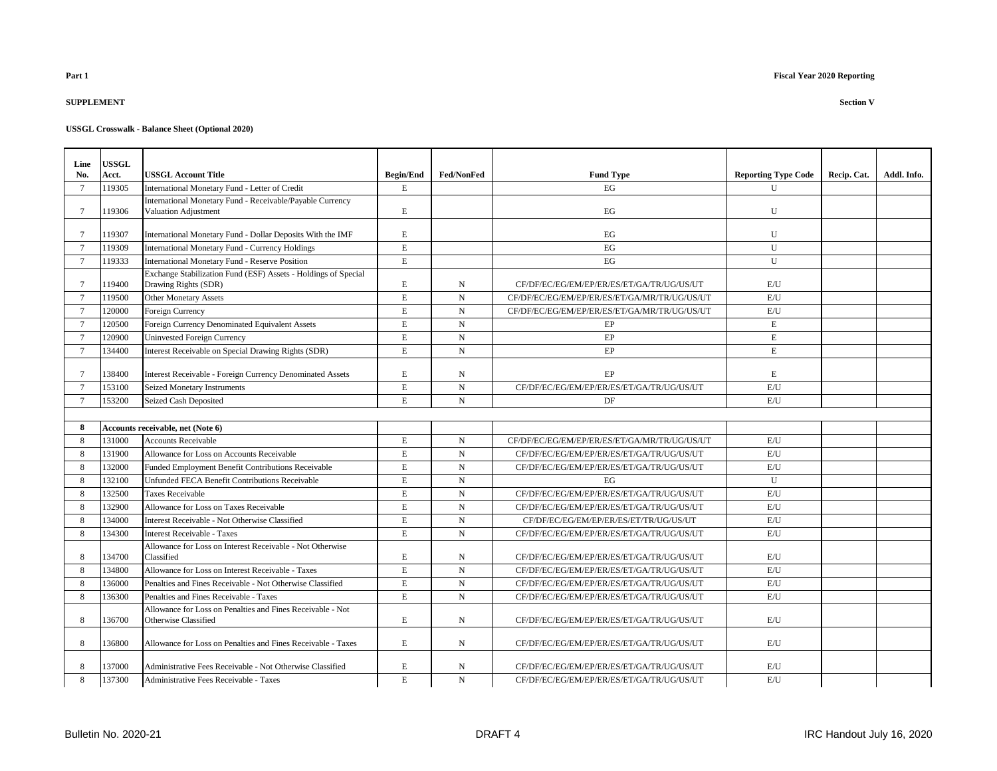# **SUPPLEMENT Section V**

| Line            | <b>USSGL</b> |                                                                                    |                  |                   |                                              |                            |             |             |
|-----------------|--------------|------------------------------------------------------------------------------------|------------------|-------------------|----------------------------------------------|----------------------------|-------------|-------------|
| No.             | Acct.        | <b>USSGL Account Title</b>                                                         | <b>Begin/End</b> | <b>Fed/NonFed</b> | <b>Fund Type</b>                             | <b>Reporting Type Code</b> | Recip. Cat. | Addl. Info. |
| $\tau$          | 119305       | International Monetary Fund - Letter of Credit                                     | E                |                   | EG                                           | U                          |             |             |
|                 |              | International Monetary Fund - Receivable/Payable Currency                          |                  |                   |                                              |                            |             |             |
| $\overline{7}$  | 19306        | Valuation Adjustment                                                               | $\mathbf E$      |                   | EG                                           | U                          |             |             |
| $\tau$          | 19307        | International Monetary Fund - Dollar Deposits With the IMF                         | E                |                   | EG                                           | U                          |             |             |
| $7\phantom{.0}$ | 119309       | <b>International Monetary Fund - Currency Holdings</b>                             | $\mathbf E$      |                   | EG                                           | U                          |             |             |
| $7\phantom{.0}$ | 119333       | <b>International Monetary Fund - Reserve Position</b>                              | $\mathbf E$      |                   | $\operatorname{EG}$                          | U                          |             |             |
|                 |              | Exchange Stabilization Fund (ESF) Assets - Holdings of Special                     |                  |                   |                                              |                            |             |             |
| $\tau$          | 19400        | Drawing Rights (SDR)                                                               | E                | N                 | CF/DF/EC/EG/EM/EP/ER/ES/ET/GA/TR/UG/US/UT    | E/U                        |             |             |
| $7\phantom{.0}$ | 119500       | <b>Other Monetary Assets</b>                                                       | $\mathbf E$      | N                 | CF/DF/EC/EG/EM/EP/ER/ES/ET/GA/MR/TR/UG/US/UT | E/U                        |             |             |
| $\overline{7}$  | 120000       | <b>Foreign Currency</b>                                                            | $\mathbf E$      | $\mathbf N$       | CF/DF/EC/EG/EM/EP/ER/ES/ET/GA/MR/TR/UG/US/UT | E/U                        |             |             |
| $7\phantom{.0}$ | 120500       | Foreign Currency Denominated Equivalent Assets                                     | $\mathbf E$      | $\mathbf N$       | EP                                           | $\mathbf E$                |             |             |
| $7\phantom{.0}$ | 120900       | <b>Uninvested Foreign Currency</b>                                                 | E                | N                 | EP                                           | E                          |             |             |
| $\overline{7}$  | 134400       | Interest Receivable on Special Drawing Rights (SDR)                                | $\mathbf E$      | ${\bf N}$         | EP                                           | $\mathbf E$                |             |             |
| $7\phantom{.0}$ | 138400       | <b>Interest Receivable - Foreign Currency Denominated Assets</b>                   | E                | N                 | EP                                           | $\mathbf E$                |             |             |
| $\overline{7}$  | 153100       | Seized Monetary Instruments                                                        | $\mathbf E$      | $_{\rm N}$        | CF/DF/EC/EG/EM/EP/ER/ES/ET/GA/TR/UG/US/UT    | E/U                        |             |             |
| $7\phantom{.0}$ | 153200       | Seized Cash Deposited                                                              | $\mathbf E$      | $_{\rm N}$        | DF                                           | E/U                        |             |             |
|                 |              |                                                                                    |                  |                   |                                              |                            |             |             |
| 8               |              | Accounts receivable, net (Note 6)                                                  |                  |                   |                                              |                            |             |             |
| 8               | 131000       | <b>Accounts Receivable</b>                                                         | $\mathbf E$      | $\mathbf N$       | CF/DF/EC/EG/EM/EP/ER/ES/ET/GA/MR/TR/UG/US/UT | E/U                        |             |             |
| $\mathbf{8}$    | 131900       | Allowance for Loss on Accounts Receivable                                          | $\mathbf E$      | $\mathbf N$       | CF/DF/EC/EG/EM/EP/ER/ES/ET/GA/TR/UG/US/UT    | E/U                        |             |             |
| 8               | 132000       | Funded Employment Benefit Contributions Receivable                                 | $\mathbf E$      | N                 | CF/DF/EC/EG/EM/EP/ER/ES/ET/GA/TR/UG/US/UT    | E/U                        |             |             |
| 8               | 132100       | Unfunded FECA Benefit Contributions Receivable                                     | $\mathbf E$      | ${\bf N}$         | EG                                           | $\mathbf U$                |             |             |
| $\mathbf{8}$    | 132500       | <b>Taxes Receivable</b>                                                            | $\mathbf E$      | $\mathbf N$       | CF/DF/EC/EG/EM/EP/ER/ES/ET/GA/TR/UG/US/UT    | E/U                        |             |             |
| 8               | 132900       | Allowance for Loss on Taxes Receivable                                             | E                | N                 | CF/DF/EC/EG/EM/EP/ER/ES/ET/GA/TR/UG/US/UT    | E/U                        |             |             |
| 8               | 134000       | Interest Receivable - Not Otherwise Classified                                     | $\mathbf E$      | ${\bf N}$         | CF/DF/EC/EG/EM/EP/ER/ES/ET/TR/UG/US/UT       | E/U                        |             |             |
| $\mathbf{8}$    | 134300       | <b>Interest Receivable - Taxes</b>                                                 | $\mathbf E$      | $\mathbf N$       | CF/DF/EC/EG/EM/EP/ER/ES/ET/GA/TR/UG/US/UT    | E/U                        |             |             |
|                 |              | Allowance for Loss on Interest Receivable - Not Otherwise                          |                  |                   |                                              |                            |             |             |
| 8               | 134700       | Classified                                                                         | E                | N                 | CF/DF/EC/EG/EM/EP/ER/ES/ET/GA/TR/UG/US/UT    | E/U                        |             |             |
| 8               | 134800       | Allowance for Loss on Interest Receivable - Taxes                                  | $\mathbf E$      | $_{\rm N}$        | CF/DF/EC/EG/EM/EP/ER/ES/ET/GA/TR/UG/US/UT    | E/U                        |             |             |
| $\mathbf{R}$    | 136000       | Penalties and Fines Receivable - Not Otherwise Classified                          | $\mathbf E$      | $\mathbf N$       | CF/DF/EC/EG/EM/EP/ER/ES/ET/GA/TR/UG/US/UT    | E/U                        |             |             |
| 8               | 136300       | Penalties and Fines Receivable - Taxes                                             | $\mathbf E$      | N                 | CF/DF/EC/EG/EM/EP/ER/ES/ET/GA/TR/UG/US/UT    | E/U                        |             |             |
| 8               | 136700       | Allowance for Loss on Penalties and Fines Receivable - Not<br>Otherwise Classified | $\mathbf E$      | N                 | CF/DF/EC/EG/EM/EP/ER/ES/ET/GA/TR/UG/US/UT    | $\mathrm{E}/\mathrm{U}$    |             |             |
| 8               | 136800       | Allowance for Loss on Penalties and Fines Receivable - Taxes                       | E                | N                 | CF/DF/EC/EG/EM/EP/ER/ES/ET/GA/TR/UG/US/UT    | E/U                        |             |             |
| 8               | 137000       | Administrative Fees Receivable - Not Otherwise Classified                          | E                | N                 | CF/DF/EC/EG/EM/EP/ER/ES/ET/GA/TR/UG/US/UT    | E/U                        |             |             |
| 8               | 137300       | Administrative Fees Receivable - Taxes                                             | $\mathbf E$      | $_{\rm N}$        | CF/DF/EC/EG/EM/EP/ER/ES/ET/GA/TR/UG/US/UT    | E/U                        |             |             |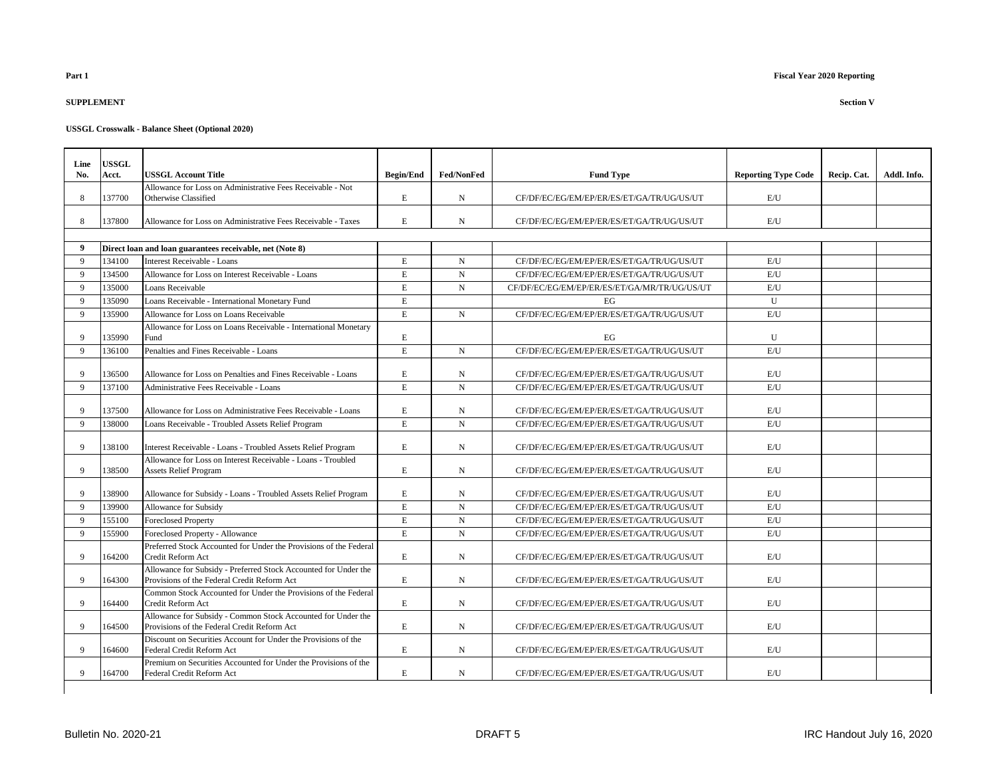# **SUPPLEMENT Section V**

| Line           | <b>USSGL</b> |                                                                                                                |                  |             |                                              |                            |             |             |
|----------------|--------------|----------------------------------------------------------------------------------------------------------------|------------------|-------------|----------------------------------------------|----------------------------|-------------|-------------|
| No.            | Acct.        | <b>USSGL Account Title</b>                                                                                     | <b>Begin/End</b> | Fed/NonFed  | <b>Fund Type</b>                             | <b>Reporting Type Code</b> | Recip. Cat. | Addl. Info. |
|                |              | Allowance for Loss on Administrative Fees Receivable - Not                                                     |                  |             |                                              |                            |             |             |
| 8              | 137700       | Otherwise Classified                                                                                           | E                | N           | CF/DF/EC/EG/EM/EP/ER/ES/ET/GA/TR/UG/US/UT    | E/U                        |             |             |
| 8              | 137800       | Allowance for Loss on Administrative Fees Receivable - Taxes                                                   | E                | $\mathbf N$ | CF/DF/EC/EG/EM/EP/ER/ES/ET/GA/TR/UG/US/UT    | E/U                        |             |             |
| 9              |              | Direct loan and loan guarantees receivable, net (Note 8)                                                       |                  |             |                                              |                            |             |             |
| 9              | 134100       | Interest Receivable - Loans                                                                                    | E                | $\mathbf N$ | CF/DF/EC/EG/EM/EP/ER/ES/ET/GA/TR/UG/US/UT    | E/U                        |             |             |
| 9              | 134500       | Allowance for Loss on Interest Receivable - Loans                                                              | E                | N           | CF/DF/EC/EG/EM/EP/ER/ES/ET/GA/TR/UG/US/UT    | E/U                        |             |             |
| $\mathbf{Q}$   | 135000       | Loans Receivable                                                                                               | E                | $\mathbf N$ | CF/DF/EC/EG/EM/EP/ER/ES/ET/GA/MR/TR/UG/US/UT | E/U                        |             |             |
| $\overline{9}$ | 135090       | Loans Receivable - International Monetary Fund                                                                 | $\mathbf E$      |             | EG                                           | U                          |             |             |
| 9              | 135900       | Allowance for Loss on Loans Receivable                                                                         | $\mathbf E$      | $\mathbf N$ | CF/DF/EC/EG/EM/EP/ER/ES/ET/GA/TR/UG/US/UT    | E/U                        |             |             |
|                |              | Allowance for Loss on Loans Receivable - International Monetary                                                |                  |             |                                              |                            |             |             |
| 9              | 135990       | Fund                                                                                                           | E                |             | EG                                           | U                          |             |             |
| 9              | 136100       | Penalties and Fines Receivable - Loans                                                                         | $\mathbf E$      | $\mathbf N$ | CF/DF/EC/EG/EM/EP/ER/ES/ET/GA/TR/UG/US/UT    | E/U                        |             |             |
|                |              |                                                                                                                |                  |             |                                              |                            |             |             |
| 9              | 136500       | Allowance for Loss on Penalties and Fines Receivable - Loans                                                   | E                | N           | CF/DF/EC/EG/EM/EP/ER/ES/ET/GA/TR/UG/US/UT    | $\mathrm{E}/\mathrm{U}$    |             |             |
| 9              | 137100       | Administrative Fees Receivable - Loans                                                                         | $\mathbf E$      | $\mathbf N$ | CF/DF/EC/EG/EM/EP/ER/ES/ET/GA/TR/UG/US/UT    | E/U                        |             |             |
|                |              |                                                                                                                |                  |             |                                              |                            |             |             |
| 9              | 137500       | Allowance for Loss on Administrative Fees Receivable - Loans                                                   | E                | N           | CF/DF/EC/EG/EM/EP/ER/ES/ET/GA/TR/UG/US/UT    | $\mathrm{E}/\mathrm{U}$    |             |             |
| 9              | 138000       | Loans Receivable - Troubled Assets Relief Program                                                              | $\mathbf E$      | $\mathbf N$ | CF/DF/EC/EG/EM/EP/ER/ES/ET/GA/TR/UG/US/UT    | E/U                        |             |             |
| 9              | 138100       | Interest Receivable - Loans - Troubled Assets Relief Program                                                   | $\mathbf E$      | N           | CF/DF/EC/EG/EM/EP/ER/ES/ET/GA/TR/UG/US/UT    | E/U                        |             |             |
| 9              | 138500       | Allowance for Loss on Interest Receivable - Loans - Troubled<br><b>Assets Relief Program</b>                   | $\mathbf E$      | N           | CF/DF/EC/EG/EM/EP/ER/ES/ET/GA/TR/UG/US/UT    | E/U                        |             |             |
| 9              | 138900       | Allowance for Subsidy - Loans - Troubled Assets Relief Program                                                 | E                | N           | CF/DF/EC/EG/EM/EP/ER/ES/ET/GA/TR/UG/US/UT    | E/U                        |             |             |
| 9              | 139900       | Allowance for Subsidy                                                                                          | $\mathbf E$      | $\mathbf N$ | CF/DF/EC/EG/EM/EP/ER/ES/ET/GA/TR/UG/US/UT    | E/U                        |             |             |
| 9              | 155100       | <b>Foreclosed Property</b>                                                                                     | $\mathbf E$      | $\mathbf N$ | CF/DF/EC/EG/EM/EP/ER/ES/ET/GA/TR/UG/US/UT    | E/U                        |             |             |
| 9              | 155900       | Foreclosed Property - Allowance                                                                                | $\mathbf E$      | $\mathbf N$ | CF/DF/EC/EG/EM/EP/ER/ES/ET/GA/TR/UG/US/UT    | E/U                        |             |             |
| 9              | 164200       | Preferred Stock Accounted for Under the Provisions of the Federal<br>Credit Reform Act                         | $\mathbf E$      | $\mathbf N$ | CF/DF/EC/EG/EM/EP/ER/ES/ET/GA/TR/UG/US/UT    | E/U                        |             |             |
| 9              | 164300       | Allowance for Subsidy - Preferred Stock Accounted for Under the<br>Provisions of the Federal Credit Reform Act | $\mathbf E$      | N           | CF/DF/EC/EG/EM/EP/ER/ES/ET/GA/TR/UG/US/UT    | E/U                        |             |             |
| 9              | 164400       | Common Stock Accounted for Under the Provisions of the Federal<br>Credit Reform Act                            | E                | N           | CF/DF/EC/EG/EM/EP/ER/ES/ET/GA/TR/UG/US/UT    | E/U                        |             |             |
| 9              | 164500       | Allowance for Subsidy - Common Stock Accounted for Under the<br>Provisions of the Federal Credit Reform Act    | $\mathbf E$      | $\mathbf N$ | CF/DF/EC/EG/EM/EP/ER/ES/ET/GA/TR/UG/US/UT    | E/U                        |             |             |
| 9              | 164600       | Discount on Securities Account for Under the Provisions of the<br>Federal Credit Reform Act                    | $\mathbf E$      | N           | CF/DF/EC/EG/EM/EP/ER/ES/ET/GA/TR/UG/US/UT    | E/U                        |             |             |
| 9              | 164700       | Premium on Securities Accounted for Under the Provisions of the<br>Federal Credit Reform Act                   | E                | N           | CF/DF/EC/EG/EM/EP/ER/ES/ET/GA/TR/UG/US/UT    | E/U                        |             |             |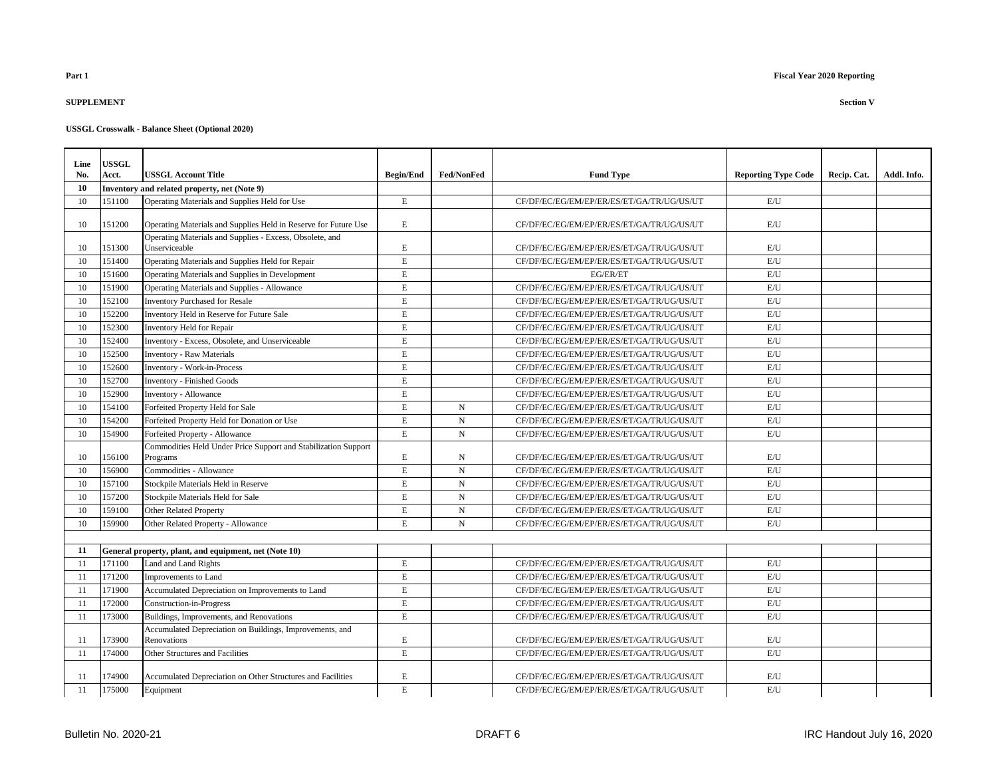## **SUPPLEMENT Section V**

| Line | <b>USSGL</b> |                                                                            |                  |                   |                                           |                            |             |             |
|------|--------------|----------------------------------------------------------------------------|------------------|-------------------|-------------------------------------------|----------------------------|-------------|-------------|
| No.  | Acct.        | <b>USSGL Account Title</b>                                                 | <b>Begin/End</b> | <b>Fed/NonFed</b> | <b>Fund Type</b>                          | <b>Reporting Type Code</b> | Recip. Cat. | Addl. Info. |
| 10   |              | Inventory and related property, net (Note 9)                               |                  |                   |                                           |                            |             |             |
| 10   | 151100       | Operating Materials and Supplies Held for Use                              | $\mathbf E$      |                   | CF/DF/EC/EG/EM/EP/ER/ES/ET/GA/TR/UG/US/UT | E/U                        |             |             |
| 10   | 151200       | Operating Materials and Supplies Held in Reserve for Future Use            | $\mathbf E$      |                   | CF/DF/EC/EG/EM/EP/ER/ES/ET/GA/TR/UG/US/UT | E/U                        |             |             |
| 10   | 151300       | Operating Materials and Supplies - Excess, Obsolete, and<br>Unserviceable  | E                |                   | CF/DF/EC/EG/EM/EP/ER/ES/ET/GA/TR/UG/US/UT | E/U                        |             |             |
| 10   | 151400       | Operating Materials and Supplies Held for Repair                           | $\mathbf E$      |                   | CF/DF/EC/EG/EM/EP/ER/ES/ET/GA/TR/UG/US/UT | E/U                        |             |             |
| 10   | 151600       | Operating Materials and Supplies in Development                            | E                |                   | EG/ER/ET                                  | E/U                        |             |             |
| 10   | 151900       | Operating Materials and Supplies - Allowance                               | E                |                   | CF/DF/EC/EG/EM/EP/ER/ES/ET/GA/TR/UG/US/UT | $\mathrm{E}/\mathrm{U}$    |             |             |
| 10   | 152100       | <b>Inventory Purchased for Resale</b>                                      | E                |                   | CF/DF/EC/EG/EM/EP/ER/ES/ET/GA/TR/UG/US/UT | E/U                        |             |             |
| 10   | 152200       | Inventory Held in Reserve for Future Sale                                  | $\mathbf E$      |                   | CF/DF/EC/EG/EM/EP/ER/ES/ET/GA/TR/UG/US/UT | $\mathrm{E}/\mathrm{U}$    |             |             |
| 10   | 152300       | Inventory Held for Repair                                                  | $\mathbf E$      |                   | CF/DF/EC/EG/EM/EP/ER/ES/ET/GA/TR/UG/US/UT | E/U                        |             |             |
| 10   | 152400       | Inventory - Excess, Obsolete, and Unserviceable                            | $\mathbf E$      |                   | CF/DF/EC/EG/EM/EP/ER/ES/ET/GA/TR/UG/US/UT | $\mathrm{E}/\mathrm{U}$    |             |             |
| 10   | 152500       | <b>Inventory - Raw Materials</b>                                           | $\mathbf E$      |                   | CF/DF/EC/EG/EM/EP/ER/ES/ET/GA/TR/UG/US/UT | $\mathrm{E}/\mathrm{U}$    |             |             |
| 10   | 152600       | <b>Inventory - Work-in-Process</b>                                         | $\mathbf E$      |                   | CF/DF/EC/EG/EM/EP/ER/ES/ET/GA/TR/UG/US/UT | E/U                        |             |             |
| 10   | 152700       | <b>Inventory - Finished Goods</b>                                          | $\mathbf E$      |                   | CF/DF/EC/EG/EM/EP/ER/ES/ET/GA/TR/UG/US/UT | E/U                        |             |             |
| 10   | 152900       | Inventory - Allowance                                                      | $\mathbf E$      |                   | CF/DF/EC/EG/EM/EP/ER/ES/ET/GA/TR/UG/US/UT | E/U                        |             |             |
| 10   | 154100       | Forfeited Property Held for Sale                                           | $\mathbf E$      | $\mathbf N$       | CF/DF/EC/EG/EM/EP/ER/ES/ET/GA/TR/UG/US/UT | E/U                        |             |             |
| 10   | 154200       | Forfeited Property Held for Donation or Use                                | $\mathbf E$      | $\mathbf N$       | CF/DF/EC/EG/EM/EP/ER/ES/ET/GA/TR/UG/US/UT | E/U                        |             |             |
| 10   | 154900       | Forfeited Property - Allowance                                             | $\mathbf E$      | N                 | CF/DF/EC/EG/EM/EP/ER/ES/ET/GA/TR/UG/US/UT | E/U                        |             |             |
| 10   | 156100       | Commodities Held Under Price Support and Stabilization Support<br>Programs | E                | N                 | CF/DF/EC/EG/EM/EP/ER/ES/ET/GA/TR/UG/US/UT | E/U                        |             |             |
| 10   | 156900       | Commodities - Allowance                                                    | $\mathbf E$      | $\mathbf N$       | CF/DF/EC/EG/EM/EP/ER/ES/ET/GA/TR/UG/US/UT | E/U                        |             |             |
| 10   | 157100       | Stockpile Materials Held in Reserve                                        | $\mathbf E$      | $\mathbf N$       | CF/DF/EC/EG/EM/EP/ER/ES/ET/GA/TR/UG/US/UT | E/U                        |             |             |
| 10   | 157200       | Stockpile Materials Held for Sale                                          | E                | N                 | CF/DF/EC/EG/EM/EP/ER/ES/ET/GA/TR/UG/US/UT | E/U                        |             |             |
| 10   | 159100       | <b>Other Related Property</b>                                              | $\mathbf E$      | $\mathbf N$       | CF/DF/EC/EG/EM/EP/ER/ES/ET/GA/TR/UG/US/UT | E/U                        |             |             |
| 10   | 159900       | Other Related Property - Allowance                                         | E                | $\mathbf N$       | CF/DF/EC/EG/EM/EP/ER/ES/ET/GA/TR/UG/US/UT | E/I                        |             |             |
|      |              |                                                                            |                  |                   |                                           |                            |             |             |
| 11   |              | General property, plant, and equipment, net (Note 10)                      |                  |                   |                                           |                            |             |             |
| 11   | 171100       | Land and Land Rights                                                       | E                |                   | CF/DF/EC/EG/EM/EP/ER/ES/ET/GA/TR/UG/US/UT | E/I                        |             |             |
| 11   | 171200       | Improvements to Land                                                       | $\mathbf E$      |                   | CF/DF/EC/EG/EM/EP/ER/ES/ET/GA/TR/UG/US/UT | E/U                        |             |             |
| -11  | 171900       | Accumulated Depreciation on Improvements to Land                           | E                |                   | CF/DF/EC/EG/EM/EP/ER/ES/ET/GA/TR/UG/US/UT | E/U                        |             |             |
| -11  | 172000       | Construction-in-Progress                                                   | $\mathbf E$      |                   | CF/DF/EC/EG/EM/EP/ER/ES/ET/GA/TR/UG/US/UT | $\mathrm{E}/\mathrm{U}$    |             |             |
| 11   | 173000       | Buildings, Improvements, and Renovations                                   | $\mathbf E$      |                   | CF/DF/EC/EG/EM/EP/ER/ES/ET/GA/TR/UG/US/UT | $\mathrm{E}/\mathrm{U}$    |             |             |
| 11   | 173900       | Accumulated Depreciation on Buildings, Improvements, and<br>Renovations    | E                |                   | CF/DF/EC/EG/EM/EP/ER/ES/ET/GA/TR/UG/US/UT | E/U                        |             |             |
| 11   | 174000       | Other Structures and Facilities                                            | E                |                   | CF/DF/EC/EG/EM/EP/ER/ES/ET/GA/TR/UG/US/UT | $\mathrm{E}/\mathrm{U}$    |             |             |
| -11  | 174900       | Accumulated Depreciation on Other Structures and Facilities                | E                |                   | CF/DF/EC/EG/EM/EP/ER/ES/ET/GA/TR/UG/US/UT | E/U                        |             |             |
| 11   | 175000       | Equipment                                                                  | $\mathbf E$      |                   | CF/DF/EC/EG/EM/EP/ER/ES/ET/GA/TR/UG/US/UT | E/U                        |             |             |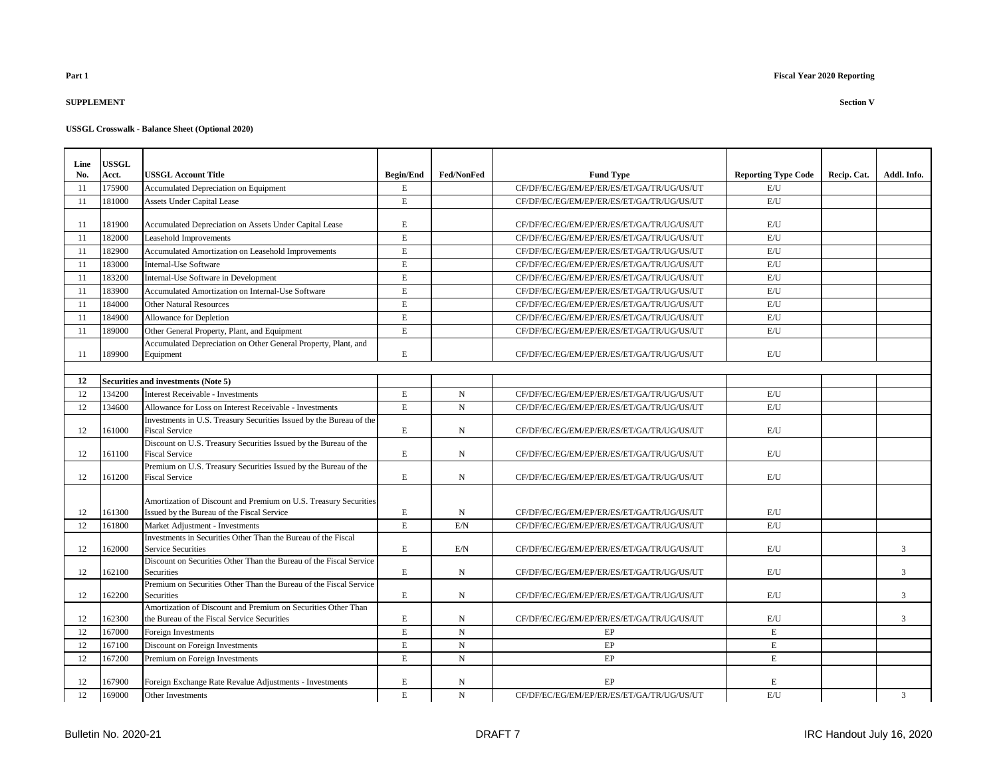## **SUPPLEMENT Section V**

| Line | <b>USSGL</b> |                                                                                          |                  |                   |                                           |                            |             |             |
|------|--------------|------------------------------------------------------------------------------------------|------------------|-------------------|-------------------------------------------|----------------------------|-------------|-------------|
| No.  | Acct.        | <b>USSGL Account Title</b>                                                               | <b>Begin/End</b> | <b>Fed/NonFed</b> | <b>Fund Type</b>                          | <b>Reporting Type Code</b> | Recip. Cat. | Addl. Info. |
| -11  | 175900       | Accumulated Depreciation on Equipment                                                    | E                |                   | CF/DF/EC/EG/EM/EP/ER/ES/ET/GA/TR/UG/US/UT | E/U                        |             |             |
| 11   | 181000       | Assets Under Capital Lease                                                               | $\mathbf E$      |                   | CF/DF/EC/EG/EM/EP/ER/ES/ET/GA/TR/UG/US/UT | E/U                        |             |             |
|      |              |                                                                                          |                  |                   |                                           |                            |             |             |
| 11   | 181900       | Accumulated Depreciation on Assets Under Capital Lease                                   | Е                |                   | CF/DF/EC/EG/EM/EP/ER/ES/ET/GA/TR/UG/US/UT | E/U                        |             |             |
| -11  | 182000       | Leasehold Improvements                                                                   | $\mathbf E$      |                   | CF/DF/EC/EG/EM/EP/ER/ES/ET/GA/TR/UG/US/UT | E/U                        |             |             |
| 11   | 182900       | Accumulated Amortization on Leasehold Improvements                                       | E                |                   | CF/DF/EC/EG/EM/EP/ER/ES/ET/GA/TR/UG/US/UT | E/U                        |             |             |
| -11  | 183000       | <b>Internal-Use Software</b>                                                             | $\mathbf E$      |                   | CF/DF/EC/EG/EM/EP/ER/ES/ET/GA/TR/UG/US/UT | $\mathrm{E}/\mathrm{U}$    |             |             |
| 11   | 183200       | Internal-Use Software in Development                                                     | E                |                   | CF/DF/EC/EG/EM/EP/ER/ES/ET/GA/TR/UG/US/UT | E/U                        |             |             |
| 11   | 183900       | Accumulated Amortization on Internal-Use Software                                        | E                |                   | CF/DF/EC/EG/EM/EP/ER/ES/ET/GA/TR/UG/US/UT | E/U                        |             |             |
| 11   | 184000       | <b>Other Natural Resources</b>                                                           | Е                |                   | CF/DF/EC/EG/EM/EP/ER/ES/ET/GA/TR/UG/US/UT | E/U                        |             |             |
| 11   | 184900       | Allowance for Depletion                                                                  | E                |                   | CF/DF/EC/EG/EM/EP/ER/ES/ET/GA/TR/UG/US/UT | E/U                        |             |             |
| -11  | 189000       | Other General Property, Plant, and Equipment                                             | E                |                   | CF/DF/EC/EG/EM/EP/ER/ES/ET/GA/TR/UG/US/UT | E/U                        |             |             |
|      |              | Accumulated Depreciation on Other General Property, Plant, and                           |                  |                   |                                           |                            |             |             |
| 11   | 189900       | Equipment                                                                                | E                |                   | CF/DF/EC/EG/EM/EP/ER/ES/ET/GA/TR/UG/US/UT | E/U                        |             |             |
|      |              |                                                                                          |                  |                   |                                           |                            |             |             |
| 12   |              | Securities and investments (Note 5)                                                      |                  |                   |                                           |                            |             |             |
| 12   | 134200       | Interest Receivable - Investments                                                        | $\mathbf E$      | $\mathbf N$       | CF/DF/EC/EG/EM/EP/ER/ES/ET/GA/TR/UG/US/UT | E/U                        |             |             |
| 12   | 134600       | Allowance for Loss on Interest Receivable - Investments                                  | $\mathbf E$      | $\mathbf N$       | CF/DF/EC/EG/EM/EP/ER/ES/ET/GA/TR/UG/US/UT | E/I                        |             |             |
|      |              | Investments in U.S. Treasury Securities Issued by the Bureau of the                      |                  |                   |                                           |                            |             |             |
| 12   | 161000       | <b>Fiscal Service</b>                                                                    | Е                | N                 | CF/DF/EC/EG/EM/EP/ER/ES/ET/GA/TR/UG/US/UT | E/U                        |             |             |
|      |              | Discount on U.S. Treasury Securities Issued by the Bureau of the                         |                  |                   |                                           |                            |             |             |
| 12   | 161100       | <b>Fiscal Service</b>                                                                    | $\mathbf E$      | N                 | CF/DF/EC/EG/EM/EP/ER/ES/ET/GA/TR/UG/US/UT | E/U                        |             |             |
| 12   | 161200       | Premium on U.S. Treasury Securities Issued by the Bureau of the<br><b>Fiscal Service</b> | $\mathbf E$      | N                 | CF/DF/EC/EG/EM/EP/ER/ES/ET/GA/TR/UG/US/UT | E/U                        |             |             |
|      |              |                                                                                          |                  |                   |                                           |                            |             |             |
|      |              | Amortization of Discount and Premium on U.S. Treasury Securities                         |                  |                   |                                           |                            |             |             |
| 12   | 161300       | Issued by the Bureau of the Fiscal Service                                               | E                | $\mathbf N$       | CF/DF/EC/EG/EM/EP/ER/ES/ET/GA/TR/UG/US/UT | E/U                        |             |             |
| 12   | 161800       | Market Adjustment - Investments                                                          | E                | E/N               | CF/DF/EC/EG/EM/EP/ER/ES/ET/GA/TR/UG/US/UT | E/U                        |             |             |
|      |              | Investments in Securities Other Than the Bureau of the Fiscal                            |                  |                   |                                           |                            |             |             |
| 12   | 162000       | <b>Service Securities</b>                                                                | E                | E/N               | CF/DF/EC/EG/EM/EP/ER/ES/ET/GA/TR/UG/US/UT | E/U                        |             | 3           |
|      |              | Discount on Securities Other Than the Bureau of the Fiscal Service                       |                  |                   |                                           |                            |             |             |
| 12   | 162100       | <b>Securities</b>                                                                        | E                | N                 | CF/DF/EC/EG/EM/EP/ER/ES/ET/GA/TR/UG/US/UT | E/U                        |             | 3           |
| 12   | 162200       | Premium on Securities Other Than the Bureau of the Fiscal Service<br>Securities          | $\mathbf E$      | N                 | CF/DF/EC/EG/EM/EP/ER/ES/ET/GA/TR/UG/US/UT | E/U                        |             | 3           |
|      |              | Amortization of Discount and Premium on Securities Other Than                            |                  |                   |                                           |                            |             |             |
| 12   | 162300       | the Bureau of the Fiscal Service Securities                                              | E                | N                 | CF/DF/EC/EG/EM/EP/ER/ES/ET/GA/TR/UG/US/UT | E/U                        |             | 3           |
| 12   | 167000       | Foreign Investments                                                                      | Е                | N                 | EP                                        | E                          |             |             |
| 12   | 167100       | Discount on Foreign Investments                                                          | E                | $\mathbf N$       | EP                                        | $\mathbf E$                |             |             |
| 12   | 167200       | Premium on Foreign Investments                                                           | E                | $_{\rm N}$        | EP                                        | E                          |             |             |
|      |              |                                                                                          |                  |                   |                                           |                            |             |             |
| 12   | 167900       | Foreign Exchange Rate Revalue Adjustments - Investments                                  | E                | $\mathbf N$       | EP                                        | E                          |             |             |
| 12   | 169000       | Other Investments                                                                        | E                | N                 | CF/DF/EC/EG/EM/EP/ER/ES/ET/GA/TR/UG/US/UT | E/U                        |             | 3           |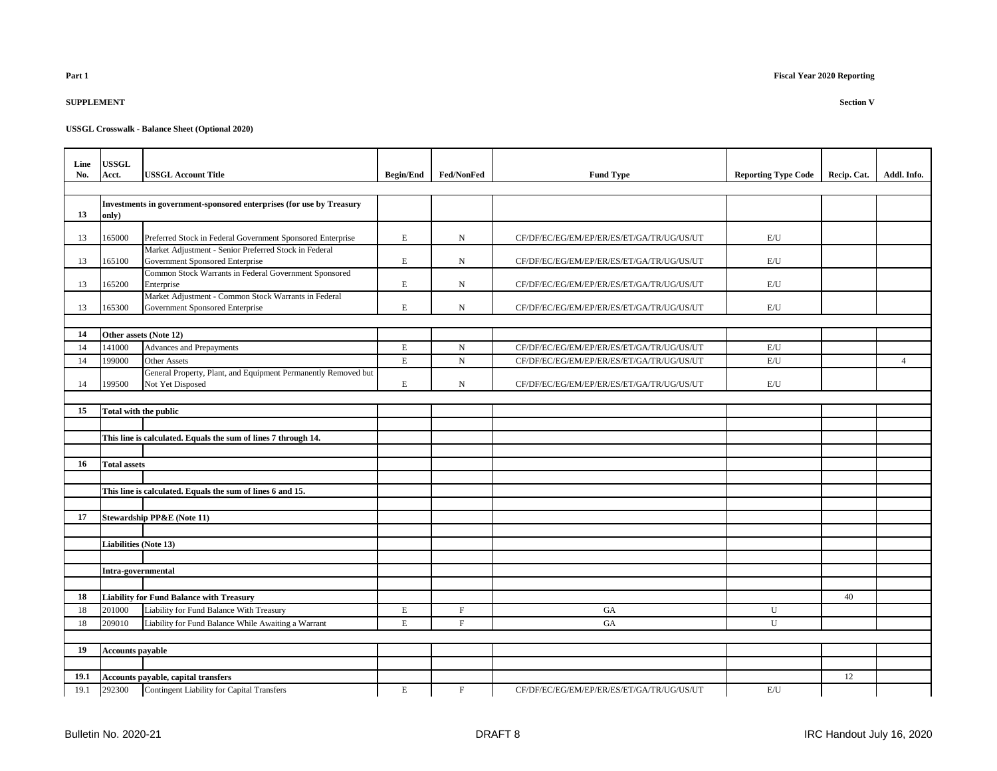| Part 1 | <b>Fiscal Year 2020 Reporting</b> |
|--------|-----------------------------------|
|        |                                   |
|        |                                   |

| Line<br>No. | <b>USSGL</b><br>Acct.        | <b>USSGL Account Title</b>                                                               | <b>Begin/End</b> | Fed/NonFed  | <b>Fund Type</b>                          | <b>Reporting Type Code</b> | Recip. Cat. | Addl. Info.    |
|-------------|------------------------------|------------------------------------------------------------------------------------------|------------------|-------------|-------------------------------------------|----------------------------|-------------|----------------|
|             |                              |                                                                                          |                  |             |                                           |                            |             |                |
| 13          | only)                        | Investments in government-sponsored enterprises (for use by Treasury                     |                  |             |                                           |                            |             |                |
| 13          | 165000                       | Preferred Stock in Federal Government Sponsored Enterprise                               | E                | $_{\rm N}$  | CF/DF/EC/EG/EM/EP/ER/ES/ET/GA/TR/UG/US/UT | E/U                        |             |                |
| 13          | 165100                       | Market Adjustment - Senior Preferred Stock in Federal<br>Government Sponsored Enterprise | E                | N           | CF/DF/EC/EG/EM/EP/ER/ES/ET/GA/TR/UG/US/UT | $\mathrm{E}/\mathrm{U}$    |             |                |
| 13          | 165200                       | Common Stock Warrants in Federal Government Sponsored<br>Enterprise                      | E                | $_{\rm N}$  | CF/DF/EC/EG/EM/EP/ER/ES/ET/GA/TR/UG/US/UT | $\mathrm{E}/\mathrm{U}$    |             |                |
| 13          | 165300                       | Market Adjustment - Common Stock Warrants in Federal<br>Government Sponsored Enterprise  | E                | ${\rm N}$   | CF/DF/EC/EG/EM/EP/ER/ES/ET/GA/TR/UG/US/UT | $\mathrm{E}/\mathrm{U}$    |             |                |
|             |                              |                                                                                          |                  |             |                                           |                            |             |                |
| 14          |                              | Other assets (Note 12)                                                                   |                  |             |                                           |                            |             |                |
| 14          | 141000                       | Advances and Prepayments                                                                 | E                | $\mathbf N$ | CF/DF/EC/EG/EM/EP/ER/ES/ET/GA/TR/UG/US/UT | E/U                        |             |                |
| 14          | 199000                       | <b>Other Assets</b>                                                                      | E                | $_{\rm N}$  | CF/DF/EC/EG/EM/EP/ER/ES/ET/GA/TR/UG/US/UT | E/U                        |             | $\overline{4}$ |
| 14          | 199500                       | General Property, Plant, and Equipment Permanently Removed but<br>Not Yet Disposed       | E                | N           | CF/DF/EC/EG/EM/EP/ER/ES/ET/GA/TR/UG/US/UT | E/U                        |             |                |
|             |                              |                                                                                          |                  |             |                                           |                            |             |                |
| 15          |                              | Total with the public                                                                    |                  |             |                                           |                            |             |                |
|             |                              |                                                                                          |                  |             |                                           |                            |             |                |
|             |                              | This line is calculated. Equals the sum of lines 7 through 14.                           |                  |             |                                           |                            |             |                |
|             |                              |                                                                                          |                  |             |                                           |                            |             |                |
| 16          | <b>Total assets</b>          |                                                                                          |                  |             |                                           |                            |             |                |
|             |                              |                                                                                          |                  |             |                                           |                            |             |                |
|             |                              | This line is calculated. Equals the sum of lines 6 and 15.                               |                  |             |                                           |                            |             |                |
|             |                              |                                                                                          |                  |             |                                           |                            |             |                |
| 17          |                              | <b>Stewardship PP&amp;E</b> (Note 11)                                                    |                  |             |                                           |                            |             |                |
|             | <b>Liabilities (Note 13)</b> |                                                                                          |                  |             |                                           |                            |             |                |
|             |                              |                                                                                          |                  |             |                                           |                            |             |                |
|             | Intra-governmental           |                                                                                          |                  |             |                                           |                            |             |                |
|             |                              |                                                                                          |                  |             |                                           |                            |             |                |
| 18          |                              | <b>Liability for Fund Balance with Treasury</b>                                          |                  |             |                                           |                            | 40          |                |
| 18          | 201000                       | Liability for Fund Balance With Treasury                                                 | E                | $\mathbf F$ | GA                                        | U                          |             |                |
| 18          | 209010                       | Liability for Fund Balance While Awaiting a Warrant                                      | E                | $\mathbf F$ | <b>GA</b>                                 | U                          |             |                |
|             |                              |                                                                                          |                  |             |                                           |                            |             |                |
| 19          | <b>Accounts payable</b>      |                                                                                          |                  |             |                                           |                            |             |                |
|             |                              |                                                                                          |                  |             |                                           |                            |             |                |
| 19.1        |                              | Accounts payable, capital transfers                                                      |                  |             |                                           |                            | 12          |                |
| 19.1        | 292300                       | Contingent Liability for Capital Transfers                                               | E                | $\mathbf F$ | CF/DF/EC/EG/EM/EP/ER/ES/ET/GA/TR/UG/US/UT | $\mathrm{E}/\mathrm{U}$    |             |                |

**SUPPLEMENT Section V**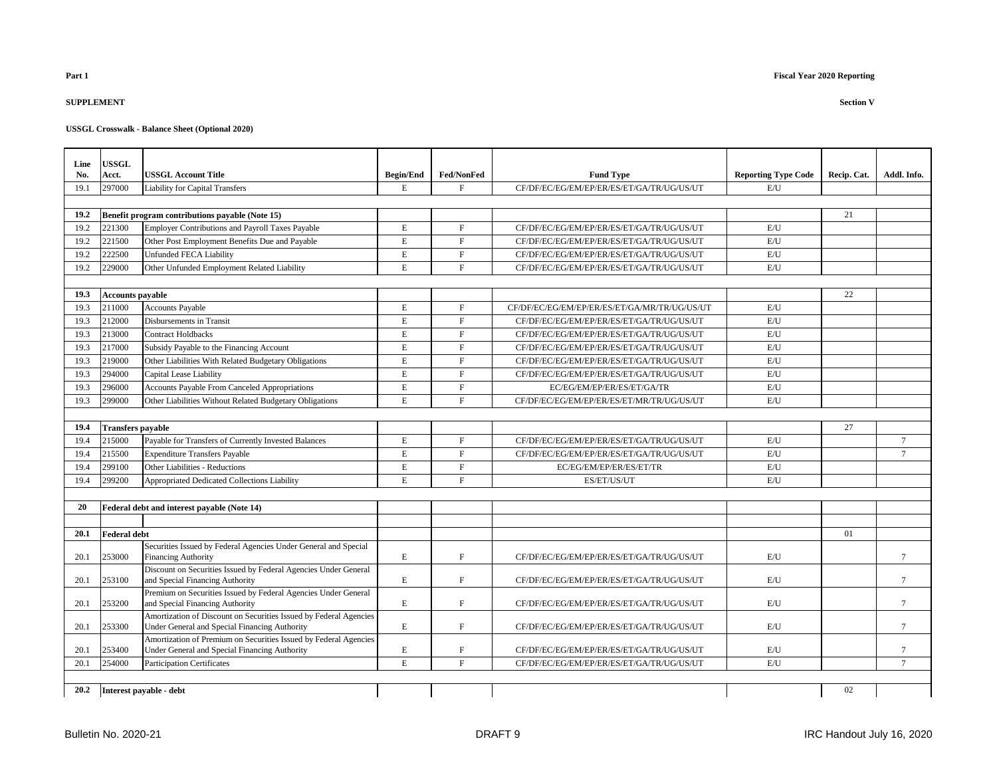## **SUPPLEMENT Section V**

| Line | <b>USSGL</b>             |                                                                                                   |                  |                   |                                              |                            |             |             |
|------|--------------------------|---------------------------------------------------------------------------------------------------|------------------|-------------------|----------------------------------------------|----------------------------|-------------|-------------|
| No.  | Acct.                    | <b>USSGL Account Title</b>                                                                        | <b>Begin/End</b> | <b>Fed/NonFed</b> | <b>Fund Type</b>                             | <b>Reporting Type Code</b> | Recip. Cat. | Addl. Info. |
| 19.1 | 297000                   | <b>Liability for Capital Transfers</b>                                                            | E                | F                 | CF/DF/EC/EG/EM/EP/ER/ES/ET/GA/TR/UG/US/UT    | E/U                        |             |             |
|      |                          |                                                                                                   |                  |                   |                                              |                            |             |             |
| 19.2 |                          | Benefit program contributions payable (Note 15)                                                   |                  |                   |                                              |                            | 21          |             |
| 19.2 | 221300                   | Employer Contributions and Payroll Taxes Payable                                                  | E                | $\mathbf F$       | CF/DF/EC/EG/EM/EP/ER/ES/ET/GA/TR/UG/US/UT    | E/U                        |             |             |
| 19.2 | 221500                   | Other Post Employment Benefits Due and Payable                                                    | E                | $_{\rm F}$        | CF/DF/EC/EG/EM/EP/ER/ES/ET/GA/TR/UG/US/UT    | E/U                        |             |             |
| 19.2 | 222500                   | <b>Unfunded FECA Liability</b>                                                                    | $\mathbf E$      | $\mathbf F$       | CF/DF/EC/EG/EM/EP/ER/ES/ET/GA/TR/UG/US/UT    | $\mathrm{E}/\mathrm{U}$    |             |             |
| 19.2 | 229000                   | Other Unfunded Employment Related Liability                                                       | E                | $\mathbf F$       | CF/DF/EC/EG/EM/EP/ER/ES/ET/GA/TR/UG/US/UT    | E/U                        |             |             |
|      |                          |                                                                                                   |                  |                   |                                              |                            |             |             |
| 19.3 | <b>Accounts payable</b>  |                                                                                                   |                  |                   |                                              |                            | 22          |             |
| 19.3 | 211000                   | <b>Accounts Payable</b>                                                                           | E                | $_{\rm F}$        | CF/DF/EC/EG/EM/EP/ER/ES/ET/GA/MR/TR/UG/US/UT | E/U                        |             |             |
| 19.3 | 212000                   | Disbursements in Transit                                                                          | E                | F                 | CF/DF/EC/EG/EM/EP/ER/ES/ET/GA/TR/UG/US/UT    | E/U                        |             |             |
| 19.3 | 213000                   | <b>Contract Holdbacks</b>                                                                         | E                | $\mathbf F$       | CF/DF/EC/EG/EM/EP/ER/ES/ET/GA/TR/UG/US/UT    | E/U                        |             |             |
| 19.3 | 217000                   | Subsidy Payable to the Financing Account                                                          | E                | $\mathbf F$       | CF/DF/EC/EG/EM/EP/ER/ES/ET/GA/TR/UG/US/UT    | $\mathrm{E}/\mathrm{U}$    |             |             |
| 19.3 | 219000                   | Other Liabilities With Related Budgetary Obligations                                              | E                | $\mathbf F$       | CF/DF/EC/EG/EM/EP/ER/ES/ET/GA/TR/UG/US/UT    | E/U                        |             |             |
| 19.3 | 294000                   | Capital Lease Liability                                                                           | E                | $_{\rm F}$        | CF/DF/EC/EG/EM/EP/ER/ES/ET/GA/TR/UG/US/UT    | E/U                        |             |             |
| 19.3 | 296000                   | Accounts Payable From Canceled Appropriations                                                     | E                | $\rm F$           | EC/EG/EM/EP/ER/ES/ET/GA/TR                   | E/U                        |             |             |
| 19.3 | 299000                   | Other Liabilities Without Related Budgetary Obligations                                           | E                | F                 | CF/DF/EC/EG/EM/EP/ER/ES/ET/MR/TR/UG/US/UT    | E/I                        |             |             |
|      |                          |                                                                                                   |                  |                   |                                              |                            |             |             |
| 19.4 | <b>Transfers pavable</b> |                                                                                                   |                  |                   |                                              |                            | 27          |             |
| 19.4 | 215000                   | Payable for Transfers of Currently Invested Balances                                              | E                | $\mathbf{F}$      | CF/DF/EC/EG/EM/EP/ER/ES/ET/GA/TR/UG/US/UT    | E/U                        |             | $\tau$      |
| 19.4 | 215500                   | <b>Expenditure Transfers Payable</b>                                                              | $\mathbf E$      | $\mathbf F$       | CF/DF/EC/EG/EM/EP/ER/ES/ET/GA/TR/UG/US/UT    | $\mathrm{E}/\mathrm{U}$    |             | $\tau$      |
| 19.4 | 299100                   | Other Liabilities - Reductions                                                                    | $\mathbf E$      | $\mathbf F$       | EC/EG/EM/EP/ER/ES/ET/TR                      | $\mathrm{E}/\mathrm{U}$    |             |             |
| 19.4 | 299200                   | Appropriated Dedicated Collections Liability                                                      | E                | F                 | ES/ET/US/UT                                  | E/U                        |             |             |
|      |                          |                                                                                                   |                  |                   |                                              |                            |             |             |
| 20   |                          | Federal debt and interest payable (Note 14)                                                       |                  |                   |                                              |                            |             |             |
|      |                          |                                                                                                   |                  |                   |                                              |                            |             |             |
| 20.1 | <b>Federal debt</b>      |                                                                                                   |                  |                   |                                              |                            | 01          |             |
|      |                          | Securities Issued by Federal Agencies Under General and Special                                   |                  |                   |                                              |                            |             |             |
| 20.1 | 253000                   | <b>Financing Authority</b>                                                                        | E,               | $\mathbf F$       | CF/DF/EC/EG/EM/EP/ER/ES/ET/GA/TR/UG/US/UT    | E/I                        |             | $\tau$      |
|      |                          | Discount on Securities Issued by Federal Agencies Under General                                   |                  |                   |                                              |                            |             |             |
| 20.1 | 253100                   | and Special Financing Authority                                                                   | E                | F                 | CF/DF/EC/EG/EM/EP/ER/ES/ET/GA/TR/UG/US/UT    | E/U                        |             | $\tau$      |
| 20.1 | 253200                   | Premium on Securities Issued by Federal Agencies Under General<br>and Special Financing Authority | E                | ${\rm F}$         | CF/DF/EC/EG/EM/EP/ER/ES/ET/GA/TR/UG/US/UT    | E/U                        |             | $\tau$      |
|      |                          | Amortization of Discount on Securities Issued by Federal Agencies                                 |                  |                   |                                              |                            |             |             |
| 20.1 | 253300                   | Under General and Special Financing Authority                                                     | E                | $\mathbf F$       | CF/DF/EC/EG/EM/EP/ER/ES/ET/GA/TR/UG/US/UT    | E/U                        |             | $\tau$      |
|      |                          | Amortization of Premium on Securities Issued by Federal Agencies                                  |                  |                   |                                              |                            |             |             |
| 20.1 | 253400                   | Under General and Special Financing Authority                                                     | Е                | $\mathbf F$       | CF/DF/EC/EG/EM/EP/ER/ES/ET/GA/TR/UG/US/UT    | E/U                        |             | $\tau$      |
| 20.1 | 254000                   | <b>Participation Certificates</b>                                                                 | E                | F                 | CF/DF/EC/EG/EM/EP/ER/ES/ET/GA/TR/UG/US/UT    | E/U                        |             | $\tau$      |
|      |                          |                                                                                                   |                  |                   |                                              |                            |             |             |
| 20.2 |                          | Interest payable - debt                                                                           |                  |                   |                                              |                            | 02          |             |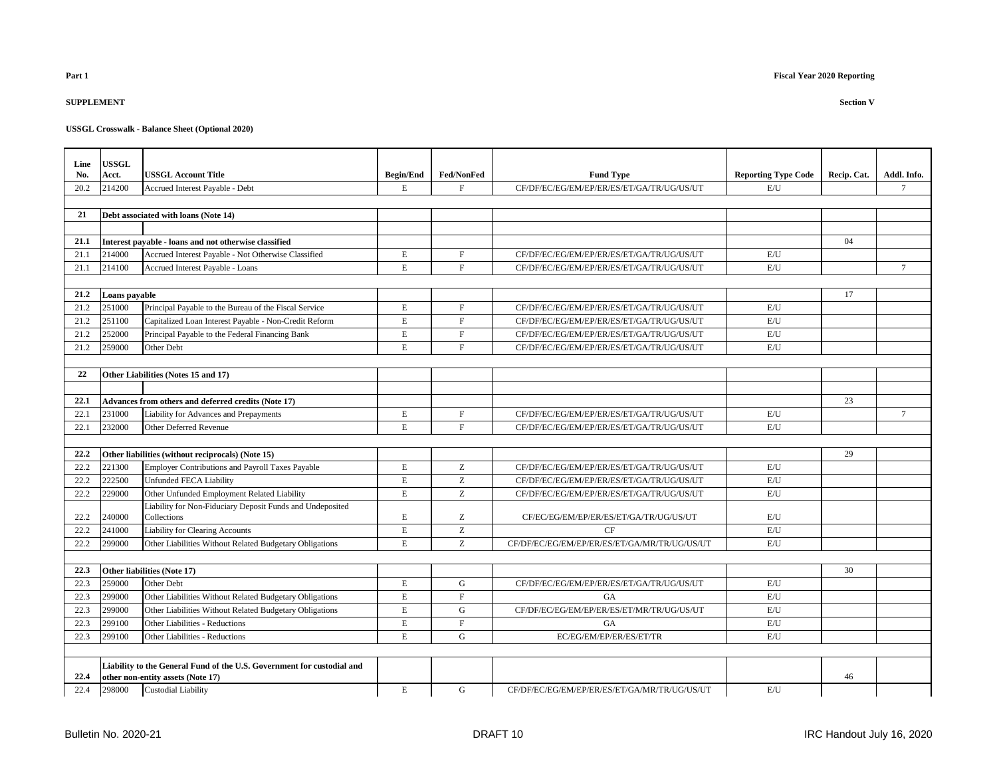## **SUPPLEMENT Section V**

| Line<br>No. | <b>USSGL</b><br>Acct. | <b>USSGL Account Title</b>                                                                                  | <b>Begin/End</b> | Fed/NonFed                                            | <b>Fund Type</b>                             | <b>Reporting Type Code</b> | Recip. Cat. | Addl. Info.     |
|-------------|-----------------------|-------------------------------------------------------------------------------------------------------------|------------------|-------------------------------------------------------|----------------------------------------------|----------------------------|-------------|-----------------|
| 20.2        | 214200                | Accrued Interest Payable - Debt                                                                             | $\mathbf E$      | F                                                     | CF/DF/EC/EG/EM/EP/ER/ES/ET/GA/TR/UG/US/UT    | E/U                        |             | $\tau$          |
|             |                       |                                                                                                             |                  |                                                       |                                              |                            |             |                 |
| 21          |                       | Debt associated with loans (Note 14)                                                                        |                  |                                                       |                                              |                            |             |                 |
|             |                       |                                                                                                             |                  |                                                       |                                              |                            |             |                 |
| 21.1        |                       | Interest payable - loans and not otherwise classified                                                       |                  |                                                       |                                              |                            | 04          |                 |
| 21.1        | 214000                | Accrued Interest Payable - Not Otherwise Classified                                                         | E                | $\mathbf F$                                           | CF/DF/EC/EG/EM/EP/ER/ES/ET/GA/TR/UG/US/UT    | E/U                        |             |                 |
| 21.1        | 214100                | Accrued Interest Payable - Loans                                                                            | $\mathbf E$      | F                                                     | CF/DF/EC/EG/EM/EP/ER/ES/ET/GA/TR/UG/US/UT    | E/U                        |             | $7\overline{ }$ |
|             |                       |                                                                                                             |                  |                                                       |                                              |                            |             |                 |
| 21.2        | Loans payable         |                                                                                                             |                  |                                                       |                                              |                            | 17          |                 |
| 21.2        | 251000                | Principal Payable to the Bureau of the Fiscal Service                                                       | E                | $\mathbf F$                                           | CF/DF/EC/EG/EM/EP/ER/ES/ET/GA/TR/UG/US/UT    | E/U                        |             |                 |
| 21.2        | 251100                | Capitalized Loan Interest Payable - Non-Credit Reform                                                       | $\mathbf E$      | $\mathbf F$                                           | CF/DF/EC/EG/EM/EP/ER/ES/ET/GA/TR/UG/US/UT    | E/U                        |             |                 |
| 21.2        | 252000                | Principal Payable to the Federal Financing Bank                                                             | $\mathbf E$      | F                                                     | CF/DF/EC/EG/EM/EP/ER/ES/ET/GA/TR/UG/US/UT    | E/U                        |             |                 |
| 21.2        | 259000                | Other Debt                                                                                                  | $\mathbf E$      | $\mathbf F$                                           | CF/DF/EC/EG/EM/EP/ER/ES/ET/GA/TR/UG/US/UT    | E/U                        |             |                 |
|             |                       |                                                                                                             |                  |                                                       |                                              |                            |             |                 |
| 22          |                       | Other Liabilities (Notes 15 and 17)                                                                         |                  |                                                       |                                              |                            |             |                 |
|             |                       |                                                                                                             |                  |                                                       |                                              |                            |             |                 |
| 22.1        |                       | Advances from others and deferred credits (Note 17)                                                         |                  |                                                       |                                              |                            | 23          |                 |
| 22.1        | 231000                | Liability for Advances and Prepayments                                                                      | $\mathbf E$      | $\mathbf F$                                           | CF/DF/EC/EG/EM/EP/ER/ES/ET/GA/TR/UG/US/UT    | E/U                        |             | $\tau$          |
| 22.1        | 232000                | <b>Other Deferred Revenue</b>                                                                               | $\mathbf E$      | $\mathbf F$                                           | CF/DF/EC/EG/EM/EP/ER/ES/ET/GA/TR/UG/US/UT    | E/U                        |             |                 |
|             |                       |                                                                                                             |                  |                                                       |                                              |                            |             |                 |
| 22.2        |                       | Other liabilities (without reciprocals) (Note 15)                                                           |                  |                                                       |                                              |                            | 29          |                 |
| 22.2        | 221300                | Employer Contributions and Payroll Taxes Payable                                                            | $\mathbf E$      | Z                                                     | CF/DF/EC/EG/EM/EP/ER/ES/ET/GA/TR/UG/US/UT    | E/U                        |             |                 |
| 22.2        | 222500                | <b>Unfunded FECA Liability</b>                                                                              | $\mathbf E$      | $\mathbf{Z}% ^{T}=\mathbf{Z}^{T}\times\mathbf{Z}^{T}$ | CF/DF/EC/EG/EM/EP/ER/ES/ET/GA/TR/UG/US/UT    | E/U                        |             |                 |
| 22.2        | 229000                | Other Unfunded Employment Related Liability                                                                 | $\mathbf E$      | Z                                                     | CF/DF/EC/EG/EM/EP/ER/ES/ET/GA/TR/UG/US/UT    | E/U                        |             |                 |
|             |                       | Liability for Non-Fiduciary Deposit Funds and Undeposited                                                   |                  |                                                       |                                              |                            |             |                 |
| 22.2        | 240000                | Collections                                                                                                 | $\mathbf E$      | Z                                                     | CF/EC/EG/EM/EP/ER/ES/ET/GA/TR/UG/US/UT       | E/U                        |             |                 |
| 22.2        | 241000                | Liability for Clearing Accounts                                                                             | E                | Z                                                     | CF                                           | E/U                        |             |                 |
| 22.2        | 299000                | Other Liabilities Without Related Budgetary Obligations                                                     | $\mathbf E$      | Z                                                     | CF/DF/EC/EG/EM/EP/ER/ES/ET/GA/MR/TR/UG/US/UT | E/U                        |             |                 |
| 22.3        |                       |                                                                                                             |                  |                                                       |                                              |                            |             |                 |
| 22.3        | 259000                | Other liabilities (Note 17)<br>Other Debt                                                                   | $\mathbf E$      | G                                                     | CF/DF/EC/EG/EM/EP/ER/ES/ET/GA/TR/UG/US/UT    | E/U                        | 30          |                 |
| 22.3        | 299000                | Other Liabilities Without Related Budgetary Obligations                                                     | $\mathbf E$      | $\mathbf F$                                           | <b>GA</b>                                    | E/U                        |             |                 |
| 22.3        | 299000                | Other Liabilities Without Related Budgetary Obligations                                                     | $\mathbf E$      | G                                                     | CF/DF/EC/EG/EM/EP/ER/ES/ET/MR/TR/UG/US/UT    | E/U                        |             |                 |
| 22.3        | 299100                | Other Liabilities - Reductions                                                                              | $\mathbf E$      | $\mathbf F$                                           | <b>GA</b>                                    | E/U                        |             |                 |
| 22.3        | 299100                | <b>Other Liabilities - Reductions</b>                                                                       | $\mathbf E$      | $\mathbf G$                                           | EC/EG/EM/EP/ER/ES/ET/TR                      | E/U                        |             |                 |
|             |                       |                                                                                                             |                  |                                                       |                                              |                            |             |                 |
|             |                       |                                                                                                             |                  |                                                       |                                              |                            |             |                 |
| 22.4        |                       | Liability to the General Fund of the U.S. Government for custodial and<br>other non-entity assets (Note 17) |                  |                                                       |                                              |                            | 46          |                 |
| 22.4        | 298000                | Custodial Liability                                                                                         | $\mathbf E$      | G                                                     | CF/DF/EC/EG/EM/EP/ER/ES/ET/GA/MR/TR/UG/US/UT | E/U                        |             |                 |
|             |                       |                                                                                                             |                  |                                                       |                                              |                            |             |                 |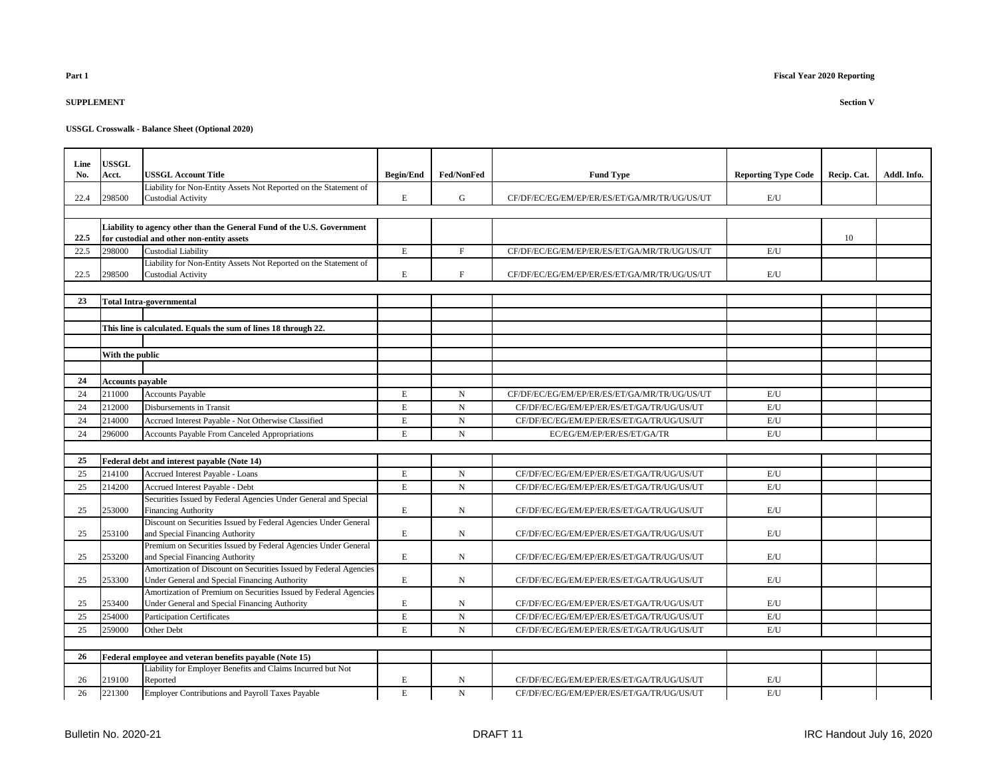## **SUPPLEMENT Section V**

| Line | <b>USSGL</b>            |                                                                                                                     |                  |             |                                              |                            |             |             |
|------|-------------------------|---------------------------------------------------------------------------------------------------------------------|------------------|-------------|----------------------------------------------|----------------------------|-------------|-------------|
| No.  | Acct.                   | <b>USSGL Account Title</b>                                                                                          | <b>Begin/End</b> | Fed/NonFed  | <b>Fund Type</b>                             | <b>Reporting Type Code</b> | Recip. Cat. | Addl. Info. |
|      |                         | Liability for Non-Entity Assets Not Reported on the Statement of                                                    |                  |             |                                              |                            |             |             |
| 22.4 | 298500                  | <b>Custodial Activity</b>                                                                                           | E                | ${\bf G}$   | CF/DF/EC/EG/EM/EP/ER/ES/ET/GA/MR/TR/UG/US/UT | E/U                        |             |             |
|      |                         |                                                                                                                     |                  |             |                                              |                            |             |             |
|      |                         |                                                                                                                     |                  |             |                                              |                            |             |             |
| 22.5 |                         | Liability to agency other than the General Fund of the U.S. Government<br>for custodial and other non-entity assets |                  |             |                                              |                            | 10          |             |
| 22.5 | 298000                  | <b>Custodial Liability</b>                                                                                          | E                | $_{\rm F}$  | CF/DF/EC/EG/EM/EP/ER/ES/ET/GA/MR/TR/UG/US/UT | E/U                        |             |             |
|      |                         | Liability for Non-Entity Assets Not Reported on the Statement of                                                    |                  |             |                                              |                            |             |             |
| 22.5 | 298500                  | <b>Custodial Activity</b>                                                                                           | E                | $\mathbf F$ | CF/DF/EC/EG/EM/EP/ER/ES/ET/GA/MR/TR/UG/US/UT | E/U                        |             |             |
|      |                         |                                                                                                                     |                  |             |                                              |                            |             |             |
| 23   |                         | <b>Total Intra-governmental</b>                                                                                     |                  |             |                                              |                            |             |             |
|      |                         |                                                                                                                     |                  |             |                                              |                            |             |             |
|      |                         | This line is calculated. Equals the sum of lines 18 through 22.                                                     |                  |             |                                              |                            |             |             |
|      |                         |                                                                                                                     |                  |             |                                              |                            |             |             |
|      | With the public         |                                                                                                                     |                  |             |                                              |                            |             |             |
|      |                         |                                                                                                                     |                  |             |                                              |                            |             |             |
| 24   | <b>Accounts payable</b> |                                                                                                                     |                  |             |                                              |                            |             |             |
| 24   | 211000                  | <b>Accounts Payable</b>                                                                                             | E                | N           | CF/DF/EC/EG/EM/EP/ER/ES/ET/GA/MR/TR/UG/US/UT | E/U                        |             |             |
| 24   | 212000                  | Disbursements in Transit                                                                                            | $\mathbf E$      | $_{\rm N}$  | CF/DF/EC/EG/EM/EP/ER/ES/ET/GA/TR/UG/US/UT    | E/U                        |             |             |
| 24   | 214000                  | Accrued Interest Payable - Not Otherwise Classified                                                                 | E                | $\mathbf N$ | CF/DF/EC/EG/EM/EP/ER/ES/ET/GA/TR/UG/US/UT    | E/U                        |             |             |
| 24   | 296000                  | Accounts Payable From Canceled Appropriations                                                                       | $\mathbf E$      | $\mathbf N$ | EC/EG/EM/EP/ER/ES/ET/GA/TR                   | E/U                        |             |             |
|      |                         |                                                                                                                     |                  |             |                                              |                            |             |             |
| 25   |                         | Federal debt and interest payable (Note 14)                                                                         |                  |             |                                              |                            |             |             |
| 25   | 214100                  | Accrued Interest Payable - Loans                                                                                    | E                | N           | CF/DF/EC/EG/EM/EP/ER/ES/ET/GA/TR/UG/US/UT    | E/U                        |             |             |
| 25   | 214200                  | Accrued Interest Payable - Debt                                                                                     | $\mathbf E$      | $\mathbf N$ | CF/DF/EC/EG/EM/EP/ER/ES/ET/GA/TR/UG/US/UT    | E/U                        |             |             |
|      |                         | Securities Issued by Federal Agencies Under General and Special                                                     |                  |             |                                              |                            |             |             |
| 25   | 253000                  | <b>Financing Authority</b>                                                                                          | $\mathbf E$      | N           | CF/DF/EC/EG/EM/EP/ER/ES/ET/GA/TR/UG/US/UT    | E/U                        |             |             |
|      |                         | Discount on Securities Issued by Federal Agencies Under General                                                     |                  |             |                                              |                            |             |             |
| 25   | 253100                  | and Special Financing Authority                                                                                     | $\mathbf E$      | N           | CF/DF/EC/EG/EM/EP/ER/ES/ET/GA/TR/UG/US/UT    | E/U                        |             |             |
|      |                         | Premium on Securities Issued by Federal Agencies Under General                                                      |                  |             |                                              |                            |             |             |
| 25   | 253200                  | and Special Financing Authority                                                                                     | $\mathbf E$      | N           | CF/DF/EC/EG/EM/EP/ER/ES/ET/GA/TR/UG/US/UT    | E/U                        |             |             |
|      |                         | Amortization of Discount on Securities Issued by Federal Agencies                                                   |                  |             |                                              |                            |             |             |
| 25   | 253300                  | Under General and Special Financing Authority                                                                       | $\mathbf E$      | N           | CF/DF/EC/EG/EM/EP/ER/ES/ET/GA/TR/UG/US/UT    | E/U                        |             |             |
|      |                         | Amortization of Premium on Securities Issued by Federal Agencies                                                    |                  |             |                                              |                            |             |             |
| 25   | 253400                  | Under General and Special Financing Authority                                                                       | $\mathbf E$      | N           | CF/DF/EC/EG/EM/EP/ER/ES/ET/GA/TR/UG/US/UT    | E/U                        |             |             |
| 25   | 254000                  | <b>Participation Certificates</b>                                                                                   | $\mathbf E$      | $\mathbf N$ | CF/DF/EC/EG/EM/EP/ER/ES/ET/GA/TR/UG/US/UT    | E/U                        |             |             |
| 25   | 259000                  | Other Debt                                                                                                          | E                | $\mathbf N$ | CF/DF/EC/EG/EM/EP/ER/ES/ET/GA/TR/UG/US/UT    | E/U                        |             |             |
|      |                         |                                                                                                                     |                  |             |                                              |                            |             |             |
| 26   |                         | Federal employee and veteran benefits payable (Note 15)                                                             |                  |             |                                              |                            |             |             |
|      |                         | Liability for Employer Benefits and Claims Incurred but Not                                                         |                  |             |                                              |                            |             |             |
| 26   | 219100                  | Reported                                                                                                            | E                | N           | CF/DF/EC/EG/EM/EP/ER/ES/ET/GA/TR/UG/US/UT    | E/U                        |             |             |
| 26   | 221300                  | <b>Employer Contributions and Payroll Taxes Payable</b>                                                             | $\mathbf E$      | $_{\rm N}$  | CF/DF/EC/EG/EM/EP/ER/ES/ET/GA/TR/UG/US/UT    | E/U                        |             |             |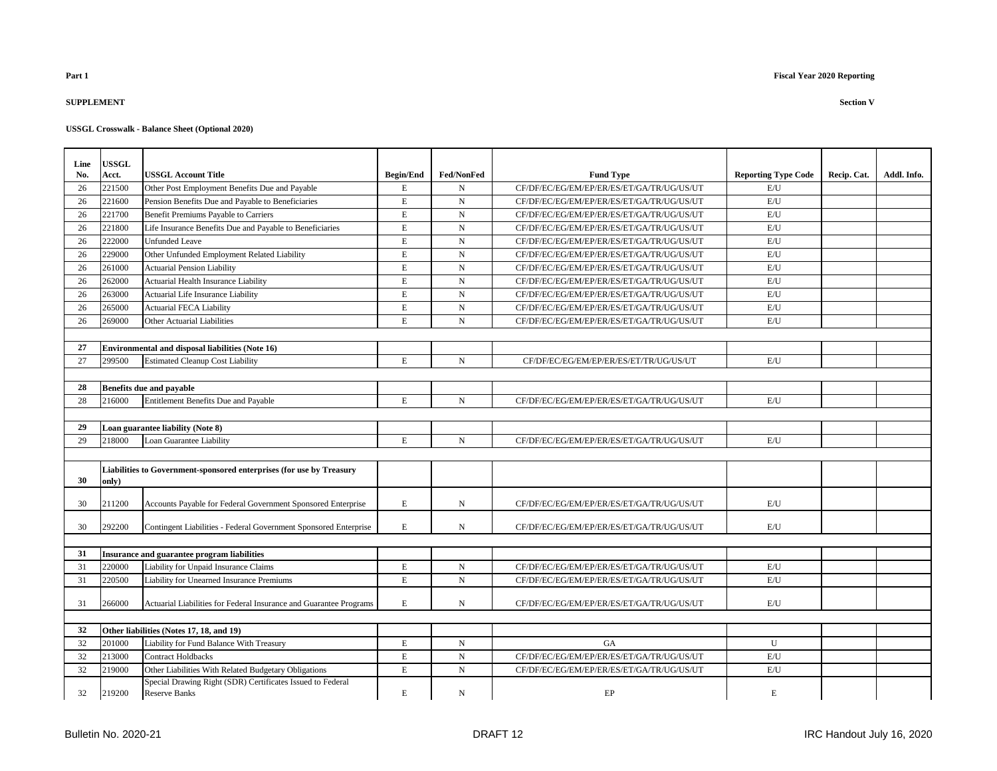### **SUPPLEMENT Section V**

| Line | USSGL  |                                                                      |                  |             |                                           |                            |             |             |
|------|--------|----------------------------------------------------------------------|------------------|-------------|-------------------------------------------|----------------------------|-------------|-------------|
| No.  | Acct.  | <b>USSGL Account Title</b>                                           | <b>Begin/End</b> | Fed/NonFed  | <b>Fund Type</b>                          | <b>Reporting Type Code</b> | Recip. Cat. | Addl. Info. |
| 26   | 221500 | Other Post Employment Benefits Due and Payable                       | E                | $\mathbf N$ | CF/DF/EC/EG/EM/EP/ER/ES/ET/GA/TR/UG/US/UT | E/U                        |             |             |
| 26   | 221600 | Pension Benefits Due and Payable to Beneficiaries                    | $\mathbf E$      | $\mathbf N$ | CF/DF/EC/EG/EM/EP/ER/ES/ET/GA/TR/UG/US/UT | E/U                        |             |             |
| 26   | 221700 | Benefit Premiums Payable to Carriers                                 | E                | N           | CF/DF/EC/EG/EM/EP/ER/ES/ET/GA/TR/UG/US/UT | E/U                        |             |             |
| 26   | 221800 | Life Insurance Benefits Due and Payable to Beneficiaries             | $\mathbf E$      | $\mathbf N$ | CF/DF/EC/EG/EM/EP/ER/ES/ET/GA/TR/UG/US/UT | E/U                        |             |             |
| 26   | 222000 | <b>Unfunded Leave</b>                                                | $\mathbf E$      | $\mathbf N$ | CF/DF/EC/EG/EM/EP/ER/ES/ET/GA/TR/UG/US/UT | $\mathrm{E}/\mathrm{U}$    |             |             |
| 26   | 229000 | Other Unfunded Employment Related Liability                          | $\mathbf E$      | $\mathbf N$ | CF/DF/EC/EG/EM/EP/ER/ES/ET/GA/TR/UG/US/UT | E/U                        |             |             |
| 26   | 261000 | <b>Actuarial Pension Liability</b>                                   | $\mathbf E$      | $\mathbf N$ | CF/DF/EC/EG/EM/EP/ER/ES/ET/GA/TR/UG/US/UT | E/U                        |             |             |
| 26   | 262000 | Actuarial Health Insurance Liability                                 | $\mathbf E$      | $\mathbf N$ | CF/DF/EC/EG/EM/EP/ER/ES/ET/GA/TR/UG/US/UT | E/U                        |             |             |
| 26   | 263000 | Actuarial Life Insurance Liability                                   | E                | $\mathbf N$ | CF/DF/EC/EG/EM/EP/ER/ES/ET/GA/TR/UG/US/UT | E/U                        |             |             |
| 26   | 265000 | <b>Actuarial FECA Liability</b>                                      | E                | $\mathbf N$ | CF/DF/EC/EG/EM/EP/ER/ES/ET/GA/TR/UG/US/UT | E/U                        |             |             |
| 26   | 269000 | Other Actuarial Liabilities                                          | E                | $\mathbf N$ | CF/DF/EC/EG/EM/EP/ER/ES/ET/GA/TR/UG/US/UT | E/U                        |             |             |
|      |        |                                                                      |                  |             |                                           |                            |             |             |
| 27   |        | <b>Environmental and disposal liabilities (Note 16)</b>              |                  |             |                                           |                            |             |             |
| 27   | 299500 | <b>Estimated Cleanup Cost Liability</b>                              | E                | $\mathbf N$ | CF/DF/EC/EG/EM/EP/ER/ES/ET/TR/UG/US/UT    | E/U                        |             |             |
|      |        |                                                                      |                  |             |                                           |                            |             |             |
| 28   |        | <b>Benefits due and payable</b>                                      |                  |             |                                           |                            |             |             |
| 28   | 216000 | Entitlement Benefits Due and Payable                                 | E                | $\mathbf N$ | CF/DF/EC/EG/EM/EP/ER/ES/ET/GA/TR/UG/US/UT | E/U                        |             |             |
|      |        |                                                                      |                  |             |                                           |                            |             |             |
| 29   |        | Loan guarantee liability (Note 8)                                    |                  |             |                                           |                            |             |             |
| 29   | 218000 | Loan Guarantee Liability                                             | E                | $\mathbf N$ | CF/DF/EC/EG/EM/EP/ER/ES/ET/GA/TR/UG/US/UT | E/U                        |             |             |
|      |        |                                                                      |                  |             |                                           |                            |             |             |
|      |        | Liabilities to Government-sponsored enterprises (for use by Treasury |                  |             |                                           |                            |             |             |
| 30   | only)  |                                                                      |                  |             |                                           |                            |             |             |
| 30   | 211200 | Accounts Payable for Federal Government Sponsored Enterprise         | E                | N           | CF/DF/EC/EG/EM/EP/ER/ES/ET/GA/TR/UG/US/UT | E/U                        |             |             |
|      |        |                                                                      |                  |             |                                           |                            |             |             |
| 30   | 292200 | Contingent Liabilities - Federal Government Sponsored Enterprise     | E                | N           | CF/DF/EC/EG/EM/EP/ER/ES/ET/GA/TR/UG/US/UT | E/U                        |             |             |
|      |        |                                                                      |                  |             |                                           |                            |             |             |
| 31   |        | Insurance and guarantee program liabilities                          |                  |             |                                           |                            |             |             |
| 31   | 220000 | Liability for Unpaid Insurance Claims                                | Е                | N           | CF/DF/EC/EG/EM/EP/ER/ES/ET/GA/TR/UG/US/UT | E/U                        |             |             |
| 31   | 220500 | Liability for Unearned Insurance Premiums                            | E                | $\mathbf N$ | CF/DF/EC/EG/EM/EP/ER/ES/ET/GA/TR/UG/US/UT | E/U                        |             |             |
|      |        |                                                                      |                  |             |                                           |                            |             |             |
| 31   | 266000 | Actuarial Liabilities for Federal Insurance and Guarantee Programs   | E                | N           | CF/DF/EC/EG/EM/EP/ER/ES/ET/GA/TR/UG/US/UT | E/U                        |             |             |
|      |        |                                                                      |                  |             |                                           |                            |             |             |
| 32   |        | Other liabilities (Notes 17, 18, and 19)                             |                  |             |                                           |                            |             |             |
| 32   | 201000 | Liability for Fund Balance With Treasury                             | E                | $\mathbf N$ | <b>GA</b>                                 | U                          |             |             |
| 32   | 213000 | <b>Contract Holdbacks</b>                                            | $\mathbf E$      | ${\bf N}$   | CF/DF/EC/EG/EM/EP/ER/ES/ET/GA/TR/UG/US/UT | E/U                        |             |             |
| 32   | 219000 | Other Liabilities With Related Budgetary Obligations                 | E                | $\mathbf N$ | CF/DF/EC/EG/EM/EP/ER/ES/ET/GA/TR/UG/US/UT | E/U                        |             |             |
|      |        | Special Drawing Right (SDR) Certificates Issued to Federal           |                  |             |                                           |                            |             |             |
| 32   | 219200 | <b>Reserve Banks</b>                                                 | E                | N           | EP                                        | E                          |             |             |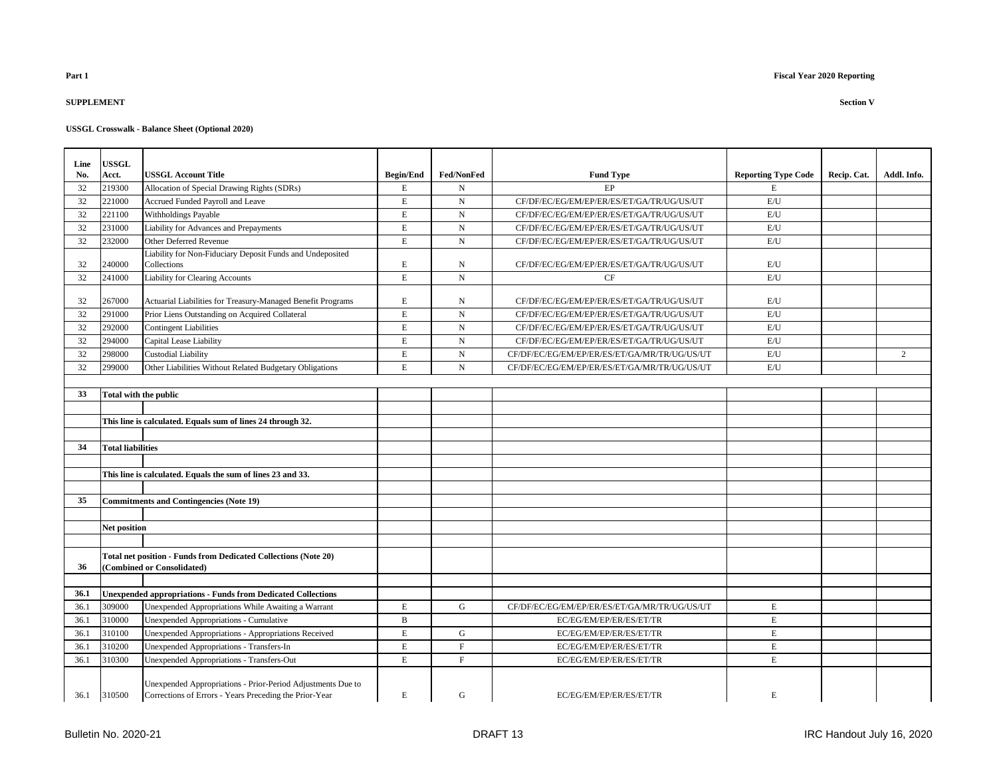### **SUPPLEMENT Section V**

| Line | USSGL                    |                                                                                                                       |                  |                   |                                              |                            |             |             |
|------|--------------------------|-----------------------------------------------------------------------------------------------------------------------|------------------|-------------------|----------------------------------------------|----------------------------|-------------|-------------|
| No.  | Acct.                    | <b>USSGL Account Title</b>                                                                                            | <b>Begin/End</b> | <b>Fed/NonFed</b> | <b>Fund Type</b>                             | <b>Reporting Type Code</b> | Recip. Cat. | Addl. Info. |
| 32   | 219300                   | Allocation of Special Drawing Rights (SDRs)                                                                           | $\mathbf E$      | $_{\rm N}$        | EP                                           | E                          |             |             |
| 32   | 221000                   | Accrued Funded Payroll and Leave                                                                                      | E                | N                 | CF/DF/EC/EG/EM/EP/ER/ES/ET/GA/TR/UG/US/UT    | $\mathrm{E}/\mathrm{U}$    |             |             |
| 32   | 221100                   | Withholdings Payable                                                                                                  | $\mathbf E$      | $_{\rm N}$        | CF/DF/EC/EG/EM/EP/ER/ES/ET/GA/TR/UG/US/UT    | E/U                        |             |             |
| 32   | 231000                   | Liability for Advances and Prepayments                                                                                | $\mathbf E$      | $_{\rm N}$        | CF/DF/EC/EG/EM/EP/ER/ES/ET/GA/TR/UG/US/UT    | $\mathrm{E}/\mathrm{U}$    |             |             |
| 32   | 232000                   | Other Deferred Revenue                                                                                                | $\mathbf E$      | N                 | CF/DF/EC/EG/EM/EP/ER/ES/ET/GA/TR/UG/US/UT    | E/U                        |             |             |
|      |                          | Liability for Non-Fiduciary Deposit Funds and Undeposited                                                             |                  |                   |                                              |                            |             |             |
| 32   | 240000                   | Collections                                                                                                           | E                | N                 | CF/DF/EC/EG/EM/EP/ER/ES/ET/GA/TR/UG/US/UT    | E/U                        |             |             |
| 32   | 241000                   | <b>Liability for Clearing Accounts</b>                                                                                | $\mathbf E$      | $\mathbf N$       | CF                                           | E/U                        |             |             |
| 32   | 267000                   | Actuarial Liabilities for Treasury-Managed Benefit Programs                                                           | $\mathbf E$      | $_{\rm N}$        | CF/DF/EC/EG/EM/EP/ER/ES/ET/GA/TR/UG/US/UT    | E/U                        |             |             |
| 32   | 291000                   | Prior Liens Outstanding on Acquired Collateral                                                                        | $\mathbf E$      | ${\bf N}$         | CF/DF/EC/EG/EM/EP/ER/ES/ET/GA/TR/UG/US/UT    | E/U                        |             |             |
| 32   | 292000                   | <b>Contingent Liabilities</b>                                                                                         | $\mathbf E$      | ${\rm N}$         | CF/DF/EC/EG/EM/EP/ER/ES/ET/GA/TR/UG/US/UT    | E/U                        |             |             |
| 32   | 294000                   | Capital Lease Liability                                                                                               | $\mathbf E$      | N                 | CF/DF/EC/EG/EM/EP/ER/ES/ET/GA/TR/UG/US/UT    | E/U                        |             |             |
| 32   | 298000                   | <b>Custodial Liability</b>                                                                                            | $\mathbf E$      | $_{\rm N}$        | CF/DF/EC/EG/EM/EP/ER/ES/ET/GA/MR/TR/UG/US/UT | E/U                        |             | 2           |
| 32   | 299000                   | Other Liabilities Without Related Budgetary Obligations                                                               | $\mathbf E$      | $_{\rm N}$        | CF/DF/EC/EG/EM/EP/ER/ES/ET/GA/MR/TR/UG/US/UT | $\mathrm{E}/\mathrm{U}$    |             |             |
|      |                          |                                                                                                                       |                  |                   |                                              |                            |             |             |
| 33   | Total with the public    |                                                                                                                       |                  |                   |                                              |                            |             |             |
|      |                          |                                                                                                                       |                  |                   |                                              |                            |             |             |
|      |                          | This line is calculated. Equals sum of lines 24 through 32.                                                           |                  |                   |                                              |                            |             |             |
|      |                          |                                                                                                                       |                  |                   |                                              |                            |             |             |
| 34   | <b>Total liabilities</b> |                                                                                                                       |                  |                   |                                              |                            |             |             |
|      |                          |                                                                                                                       |                  |                   |                                              |                            |             |             |
|      |                          | This line is calculated. Equals the sum of lines 23 and 33.                                                           |                  |                   |                                              |                            |             |             |
|      |                          |                                                                                                                       |                  |                   |                                              |                            |             |             |
| 35   |                          | <b>Commitments and Contingencies (Note 19)</b>                                                                        |                  |                   |                                              |                            |             |             |
|      |                          |                                                                                                                       |                  |                   |                                              |                            |             |             |
|      | Net position             |                                                                                                                       |                  |                   |                                              |                            |             |             |
|      |                          |                                                                                                                       |                  |                   |                                              |                            |             |             |
|      |                          | Total net position - Funds from Dedicated Collections (Note 20)                                                       |                  |                   |                                              |                            |             |             |
| 36   |                          | (Combined or Consolidated)                                                                                            |                  |                   |                                              |                            |             |             |
|      |                          |                                                                                                                       |                  |                   |                                              |                            |             |             |
| 36.1 |                          | <b>Unexpended appropriations - Funds from Dedicated Collections</b>                                                   |                  |                   |                                              |                            |             |             |
| 36.1 | 309000                   | Unexpended Appropriations While Awaiting a Warrant                                                                    | E                | G                 | CF/DF/EC/EG/EM/EP/ER/ES/ET/GA/MR/TR/UG/US/UT | E                          |             |             |
| 36.1 | 310000                   | <b>Unexpended Appropriations - Cumulative</b>                                                                         | $\, {\bf B}$     |                   | EC/EG/EM/EP/ER/ES/ET/TR                      | $\mathbf E$                |             |             |
| 36.1 | 310100                   | Unexpended Appropriations - Appropriations Received                                                                   | $\mathbf E$      | G                 | EC/EG/EM/EP/ER/ES/ET/TR                      | $\mathbf E$                |             |             |
| 36.1 | 310200                   | Unexpended Appropriations - Transfers-In                                                                              | $\mathbf E$      | $\mathbf F$       | EC/EG/EM/EP/ER/ES/ET/TR                      | $\mathbf E$                |             |             |
| 36.1 | 310300                   | <b>Unexpended Appropriations - Transfers-Out</b>                                                                      | $\mathbf E$      | $\mathbf F$       | EC/EG/EM/EP/ER/ES/ET/TR                      | $\mathbf E$                |             |             |
| 36.1 | 310500                   | Unexpended Appropriations - Prior-Period Adjustments Due to<br>Corrections of Errors - Years Preceding the Prior-Year | E                | G                 | EC/EG/EM/EP/ER/ES/ET/TR                      | E                          |             |             |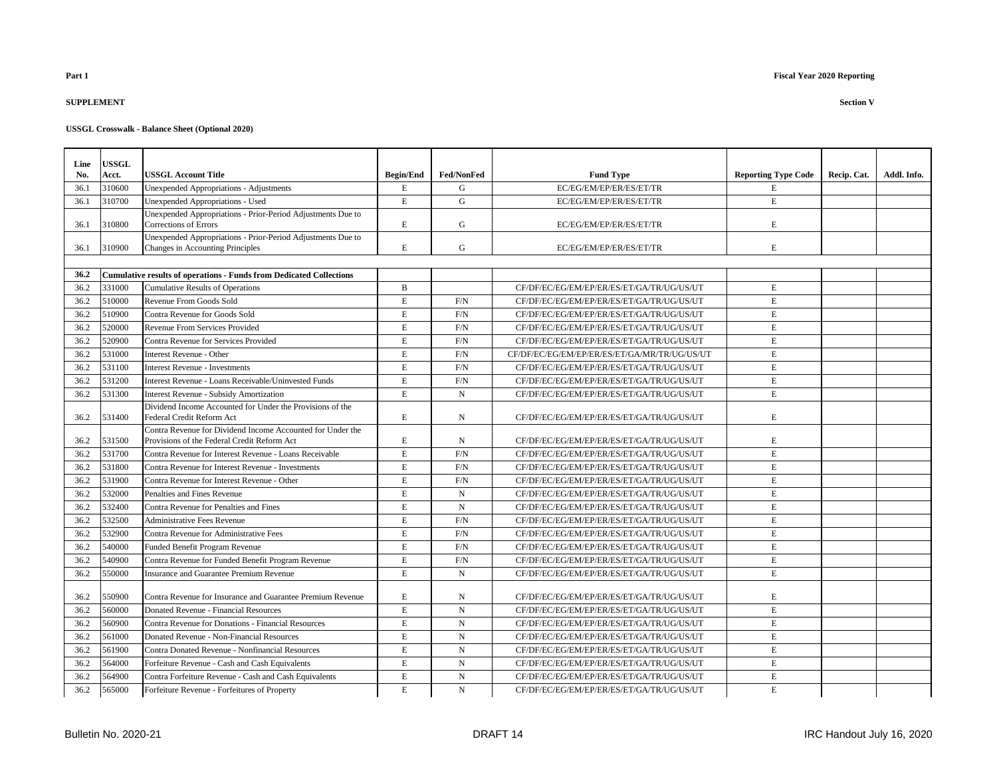## **SUPPLEMENT Section V**

| Line         | <b>USSGL</b>     |                                                                                        |                            |                   |                                              |                            |             |             |
|--------------|------------------|----------------------------------------------------------------------------------------|----------------------------|-------------------|----------------------------------------------|----------------------------|-------------|-------------|
| No.          | Acct.            | <b>USSGL Account Title</b>                                                             | <b>Begin/End</b>           | <b>Fed/NonFed</b> | <b>Fund Type</b>                             | <b>Reporting Type Code</b> | Recip. Cat. | Addl. Info. |
| 36.1         | 310600           | Unexpended Appropriations - Adjustments                                                | E                          | G                 | EC/EG/EM/EP/ER/ES/ET/TR                      | E                          |             |             |
| 36.1         | 310700           | Unexpended Appropriations - Used                                                       | $\mathbf E$                | $\mathbf G$       | EC/EG/EM/EP/ER/ES/ET/TR                      | E                          |             |             |
|              |                  | Unexpended Appropriations - Prior-Period Adjustments Due to                            |                            |                   |                                              |                            |             |             |
| 36.1         | 310800           | Corrections of Errors                                                                  | $\mathbf E$                | ${\bf G}$         | EC/EG/EM/EP/ER/ES/ET/TR                      | E                          |             |             |
|              |                  | Unexpended Appropriations - Prior-Period Adjustments Due to                            |                            |                   |                                              |                            |             |             |
| 36.1         | 310900           | Changes in Accounting Principles                                                       | $\mathbf E$                | G                 | EC/EG/EM/EP/ER/ES/ET/TR                      | E                          |             |             |
|              |                  |                                                                                        |                            |                   |                                              |                            |             |             |
| 36.2<br>36.2 | 331000           | <b>Cumulative results of operations - Funds from Dedicated Collections</b>             | $\mathbf B$                |                   |                                              | E                          |             |             |
|              |                  | <b>Cumulative Results of Operations</b>                                                |                            |                   | CF/DF/EC/EG/EM/EP/ER/ES/ET/GA/TR/UG/US/UT    |                            |             |             |
| 36.2         | 510000<br>510900 | Revenue From Goods Sold                                                                | $\mathbf E$<br>$\mathbf E$ | F/N               | CF/DF/EC/EG/EM/EP/ER/ES/ET/GA/TR/UG/US/UT    | E<br>E                     |             |             |
| 36.2         |                  | Contra Revenue for Goods Sold                                                          |                            | F/N               | CF/DF/EC/EG/EM/EP/ER/ES/ET/GA/TR/UG/US/UT    |                            |             |             |
| 36.2         | 520000           | Revenue From Services Provided                                                         | $\mathbf E$                | F/N               | CF/DF/EC/EG/EM/EP/ER/ES/ET/GA/TR/UG/US/UT    | E                          |             |             |
| 36.2         | 520900           | Contra Revenue for Services Provided                                                   | $\mathbf E$                | F/N               | CF/DF/EC/EG/EM/EP/ER/ES/ET/GA/TR/UG/US/UT    | E                          |             |             |
| 36.2         | 531000           | Interest Revenue - Other                                                               | E                          | F/N               | CF/DF/EC/EG/EM/EP/ER/ES/ET/GA/MR/TR/UG/US/UT | E                          |             |             |
| 36.2         | 531100           | <b>Interest Revenue - Investments</b>                                                  | $\mathbf E$                | F/N               | CF/DF/EC/EG/EM/EP/ER/ES/ET/GA/TR/UG/US/UT    | E                          |             |             |
| 36.2         | 531200           | Interest Revenue - Loans Receivable/Uninvested Funds                                   | $\mathbf E$                | F/N               | CF/DF/EC/EG/EM/EP/ER/ES/ET/GA/TR/UG/US/UT    | E                          |             |             |
| 36.2         | 531300           | <b>Interest Revenue - Subsidy Amortization</b>                                         | $\mathbf E$                | $\mathbf N$       | CF/DF/EC/EG/EM/EP/ER/ES/ET/GA/TR/UG/US/UT    | $\mathbf E$                |             |             |
|              | 531400           | Dividend Income Accounted for Under the Provisions of the<br>Federal Credit Reform Act | E                          | N                 | CF/DF/EC/EG/EM/EP/ER/ES/ET/GA/TR/UG/US/UT    | E                          |             |             |
| 36.2         |                  | Contra Revenue for Dividend Income Accounted for Under the                             |                            |                   |                                              |                            |             |             |
| 36.2         | 531500           | Provisions of the Federal Credit Reform Act                                            | $\mathbf E$                | N                 | CF/DF/EC/EG/EM/EP/ER/ES/ET/GA/TR/UG/US/UT    | E                          |             |             |
| 36.2         | 531700           | Contra Revenue for Interest Revenue - Loans Receivable                                 | $\mathbf E$                | F/N               | CF/DF/EC/EG/EM/EP/ER/ES/ET/GA/TR/UG/US/UT    | E                          |             |             |
| 36.2         | 531800           | Contra Revenue for Interest Revenue - Investments                                      | E                          | F/N               | CF/DF/EC/EG/EM/EP/ER/ES/ET/GA/TR/UG/US/UT    | E                          |             |             |
| 36.2         | 531900           | Contra Revenue for Interest Revenue - Other                                            | $\mathbf E$                | F/N               | CF/DF/EC/EG/EM/EP/ER/ES/ET/GA/TR/UG/US/UT    | E                          |             |             |
| 36.2         | 532000           | Penalties and Fines Revenue                                                            | E                          | $\mathbf N$       | CF/DF/EC/EG/EM/EP/ER/ES/ET/GA/TR/UG/US/UT    | E                          |             |             |
| 36.2         | 532400           | Contra Revenue for Penalties and Fines                                                 | $\mathbf E$                | ${\bf N}$         | CF/DF/EC/EG/EM/EP/ER/ES/ET/GA/TR/UG/US/UT    | E                          |             |             |
| 36.2         | 532500           | <b>Administrative Fees Revenue</b>                                                     | $\mathbf E$                | $\rm F/N$         | CF/DF/EC/EG/EM/EP/ER/ES/ET/GA/TR/UG/US/UT    | E                          |             |             |
| 36.2         | 532900           | Contra Revenue for Administrative Fees                                                 | E                          | F/N               | CF/DF/EC/EG/EM/EP/ER/ES/ET/GA/TR/UG/US/UT    | E                          |             |             |
| 36.2         | 540000           | Funded Benefit Program Revenue                                                         | $\mathbf E$                | F/N               | CF/DF/EC/EG/EM/EP/ER/ES/ET/GA/TR/UG/US/UT    | $\mathbf E$                |             |             |
| 36.2         | 540900           | Contra Revenue for Funded Benefit Program Revenue                                      | E                          | F/N               | CF/DF/EC/EG/EM/EP/ER/ES/ET/GA/TR/UG/US/UT    | E                          |             |             |
| 36.2         | 550000           | Insurance and Guarantee Premium Revenue                                                | $\mathbf E$                | $\mathbf N$       | CF/DF/EC/EG/EM/EP/ER/ES/ET/GA/TR/UG/US/UT    | $\mathbf E$                |             |             |
|              |                  |                                                                                        |                            |                   |                                              |                            |             |             |
| 36.2         | 550900           | Contra Revenue for Insurance and Guarantee Premium Revenue                             | $\mathbf E$                | N                 | CF/DF/EC/EG/EM/EP/ER/ES/ET/GA/TR/UG/US/UT    | Е                          |             |             |
| 36.2         | 560000           | Donated Revenue - Financial Resources                                                  | $\mathbf E$                | $\mathbf N$       | CF/DF/EC/EG/EM/EP/ER/ES/ET/GA/TR/UG/US/UT    | E                          |             |             |
| 36.2         | 560900           | Contra Revenue for Donations - Financial Resources                                     | $\mathbf E$                | ${\rm N}$         | CF/DF/EC/EG/EM/EP/ER/ES/ET/GA/TR/UG/US/UT    | E                          |             |             |
| 36.2         | 561000           | Donated Revenue - Non-Financial Resources                                              | $\mathbf E$                | ${\bf N}$         | CF/DF/EC/EG/EM/EP/ER/ES/ET/GA/TR/UG/US/UT    | E                          |             |             |
| 36.2         | 561900           | Contra Donated Revenue - Nonfinancial Resources                                        | E                          | N                 | CF/DF/EC/EG/EM/EP/ER/ES/ET/GA/TR/UG/US/UT    | E                          |             |             |
| 36.2         | 564000           | Forfeiture Revenue - Cash and Cash Equivalents                                         | $\mathbf E$                | $\mathbf N$       | CF/DF/EC/EG/EM/EP/ER/ES/ET/GA/TR/UG/US/UT    | E                          |             |             |
| 36.2         | 564900           | Contra Forfeiture Revenue - Cash and Cash Equivalents                                  | E                          | N                 | CF/DF/EC/EG/EM/EP/ER/ES/ET/GA/TR/UG/US/UT    | E                          |             |             |
| 36.2         | 565000           | Forfeiture Revenue - Forfeitures of Property                                           | E                          | $\mathbf N$       | CF/DF/EC/EG/EM/EP/ER/ES/ET/GA/TR/UG/US/UT    | E                          |             |             |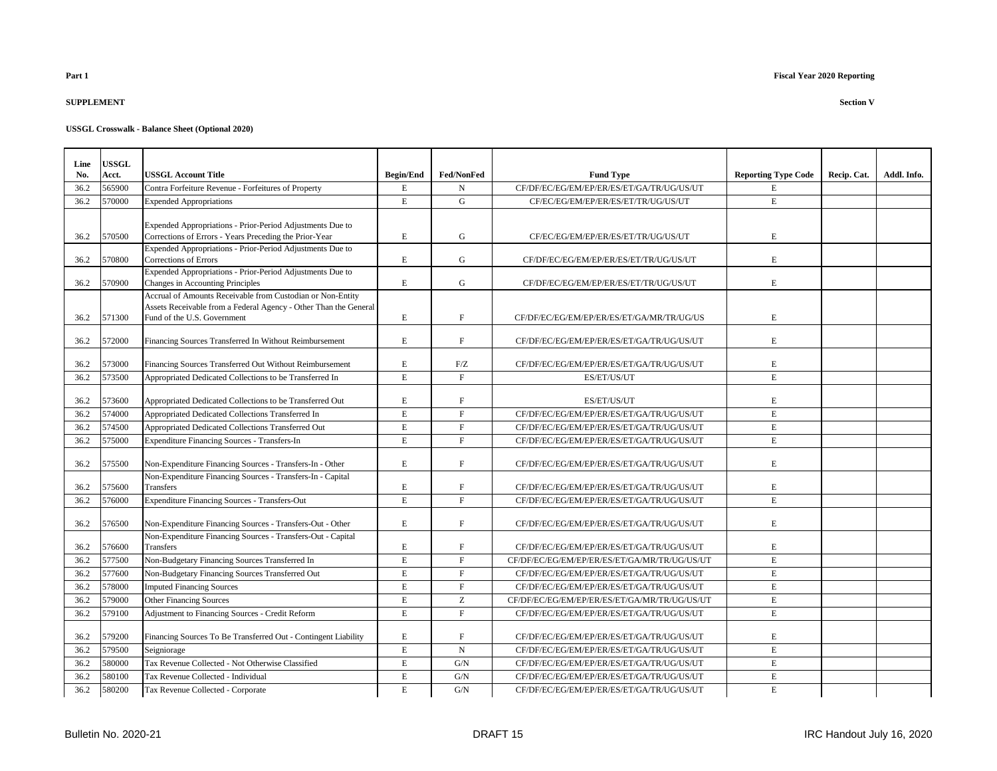### **SUPPLEMENT Section V**

| Line | <b>USSGL</b> |                                                                                                                     |                  |                  |                                              |                            |             |             |
|------|--------------|---------------------------------------------------------------------------------------------------------------------|------------------|------------------|----------------------------------------------|----------------------------|-------------|-------------|
| No.  | Acct.        | <b>USSGL Account Title</b>                                                                                          | <b>Begin/End</b> | Fed/NonFed       | <b>Fund Type</b>                             | <b>Reporting Type Code</b> | Recip. Cat. | Addl. Info. |
| 36.2 | 565900       | Contra Forfeiture Revenue - Forfeitures of Property                                                                 | E                | N                | CF/DF/EC/EG/EM/EP/ER/ES/ET/GA/TR/UG/US/UT    | E                          |             |             |
| 36.2 | 570000       | <b>Expended Appropriations</b>                                                                                      | $\mathbf E$      | ${\bf G}$        | CF/EC/EG/EM/EP/ER/ES/ET/TR/UG/US/UT          | $\mathbf E$                |             |             |
|      |              |                                                                                                                     |                  |                  |                                              |                            |             |             |
|      |              | Expended Appropriations - Prior-Period Adjustments Due to                                                           |                  |                  |                                              |                            |             |             |
| 36.2 | 570500       | Corrections of Errors - Years Preceding the Prior-Year<br>Expended Appropriations - Prior-Period Adjustments Due to | E                | $\mathbf G$      | CF/EC/EG/EM/EP/ER/ES/ET/TR/UG/US/UT          | E                          |             |             |
| 36.2 | 570800       | Corrections of Errors                                                                                               | E                | G                | CF/DF/EC/EG/EM/EP/ER/ES/ET/TR/UG/US/UT       | E                          |             |             |
|      |              | Expended Appropriations - Prior-Period Adjustments Due to                                                           |                  |                  |                                              |                            |             |             |
| 36.2 | 570900       | Changes in Accounting Principles                                                                                    | $\mathbf E$      | ${\bf G}$        | CF/DF/EC/EG/EM/EP/ER/ES/ET/TR/UG/US/UT       | $\mathbf E$                |             |             |
|      |              | Accrual of Amounts Receivable from Custodian or Non-Entity                                                          |                  |                  |                                              |                            |             |             |
| 36.2 | 571300       | Assets Receivable from a Federal Agency - Other Than the General<br>Fund of the U.S. Government                     | $\mathbf E$      | $\mathbf{F}$     | CF/DF/EC/EG/EM/EP/ER/ES/ET/GA/MR/TR/UG/US    | E                          |             |             |
|      |              |                                                                                                                     |                  |                  |                                              |                            |             |             |
| 36.2 | 572000       | Financing Sources Transferred In Without Reimbursement                                                              | E                | $\mathbf F$      | CF/DF/EC/EG/EM/EP/ER/ES/ET/GA/TR/UG/US/UT    | $\mathbf E$                |             |             |
|      |              |                                                                                                                     |                  |                  |                                              |                            |             |             |
| 36.2 | 573000       | Financing Sources Transferred Out Without Reimbursement                                                             | E                | F/Z              | CF/DF/EC/EG/EM/EP/ER/ES/ET/GA/TR/UG/US/UT    | E                          |             |             |
| 36.2 | 573500       | Appropriated Dedicated Collections to be Transferred In                                                             | E                | F                | ES/ET/US/UT                                  | $\mathbf E$                |             |             |
|      |              |                                                                                                                     |                  |                  |                                              |                            |             |             |
| 36.2 | 573600       | Appropriated Dedicated Collections to be Transferred Out                                                            | $\mathbf E$      | $\mathbf F$      | ES/ET/US/UT                                  | $\mathbf E$                |             |             |
| 36.2 | 574000       | Appropriated Dedicated Collections Transferred In                                                                   | E                | $\mathbf F$      | CF/DF/EC/EG/EM/EP/ER/ES/ET/GA/TR/UG/US/UT    | E                          |             |             |
| 36.2 | 574500       | Appropriated Dedicated Collections Transferred Out                                                                  | E                | $\mathbf F$      | CF/DF/EC/EG/EM/EP/ER/ES/ET/GA/TR/UG/US/UT    | E                          |             |             |
| 36.2 | 575000       | Expenditure Financing Sources - Transfers-In                                                                        | E                | F                | CF/DF/EC/EG/EM/EP/ER/ES/ET/GA/TR/UG/US/UT    | E                          |             |             |
| 36.2 | 575500       | Non-Expenditure Financing Sources - Transfers-In - Other                                                            | $\mathbf E$      | $\mathbf{F}$     | CF/DF/EC/EG/EM/EP/ER/ES/ET/GA/TR/UG/US/UT    | $\mathbf E$                |             |             |
|      |              | Non-Expenditure Financing Sources - Transfers-In - Capital                                                          |                  |                  |                                              |                            |             |             |
| 36.2 | 575600       | Transfers                                                                                                           | $\mathbf E$      | F<br>$\mathbf F$ | CF/DF/EC/EG/EM/EP/ER/ES/ET/GA/TR/UG/US/UT    | $\mathbf E$<br>$\mathbf E$ |             |             |
| 36.2 | 576000       | <b>Expenditure Financing Sources - Transfers-Out</b>                                                                | $\mathbf E$      |                  | CF/DF/EC/EG/EM/EP/ER/ES/ET/GA/TR/UG/US/UT    |                            |             |             |
| 36.2 | 576500       | Non-Expenditure Financing Sources - Transfers-Out - Other                                                           | E                | F                | CF/DF/EC/EG/EM/EP/ER/ES/ET/GA/TR/UG/US/UT    | E                          |             |             |
|      |              | Non-Expenditure Financing Sources - Transfers-Out - Capital                                                         |                  |                  |                                              |                            |             |             |
| 36.2 | 576600       | <b>Transfers</b>                                                                                                    | $\mathbf E$      | $\mathbf{F}$     | CF/DF/EC/EG/EM/EP/ER/ES/ET/GA/TR/UG/US/UT    | $\mathbf E$                |             |             |
| 36.2 | 577500       | Non-Budgetary Financing Sources Transferred In                                                                      | E                | F                | CF/DF/EC/EG/EM/EP/ER/ES/ET/GA/MR/TR/UG/US/UT | E                          |             |             |
| 36.2 | 577600       | Non-Budgetary Financing Sources Transferred Out                                                                     | E                | F                | CF/DF/EC/EG/EM/EP/ER/ES/ET/GA/TR/UG/US/UT    | E                          |             |             |
| 36.2 | 578000       | <b>Imputed Financing Sources</b>                                                                                    | E                | $\mathbf{F}$     | CF/DF/EC/EG/EM/EP/ER/ES/ET/GA/TR/UG/US/UT    | E                          |             |             |
| 36.2 | 579000       | <b>Other Financing Sources</b>                                                                                      | E                | Z                | CF/DF/EC/EG/EM/EP/ER/ES/ET/GA/MR/TR/UG/US/UT | E                          |             |             |
| 36.2 | 579100       | Adjustment to Financing Sources - Credit Reform                                                                     | E                | $\mathbf F$      | CF/DF/EC/EG/EM/EP/ER/ES/ET/GA/TR/UG/US/UT    | E                          |             |             |
|      |              |                                                                                                                     |                  |                  |                                              |                            |             |             |
| 36.2 | 579200       | Financing Sources To Be Transferred Out - Contingent Liability                                                      | $\mathbf E$      | $\mathbf F$      | CF/DF/EC/EG/EM/EP/ER/ES/ET/GA/TR/UG/US/UT    | $\mathbf E$                |             |             |
| 36.2 | 579500       | Seigniorage                                                                                                         | E                | $\mathbf N$      | CF/DF/EC/EG/EM/EP/ER/ES/ET/GA/TR/UG/US/UT    | $\mathbf E$                |             |             |
| 36.2 | 580000       | Tax Revenue Collected - Not Otherwise Classified                                                                    | $\mathbf E$      | G/N              | CF/DF/EC/EG/EM/EP/ER/ES/ET/GA/TR/UG/US/UT    | $\mathbf E$                |             |             |
| 36.2 | 580100       | Tax Revenue Collected - Individual                                                                                  | E                | G/N              | CF/DF/EC/EG/EM/EP/ER/ES/ET/GA/TR/UG/US/UT    | E                          |             |             |
| 36.2 | 580200       | Tax Revenue Collected - Corporate                                                                                   | E                | G/N              | CF/DF/EC/EG/EM/EP/ER/ES/ET/GA/TR/UG/US/UT    | E                          |             |             |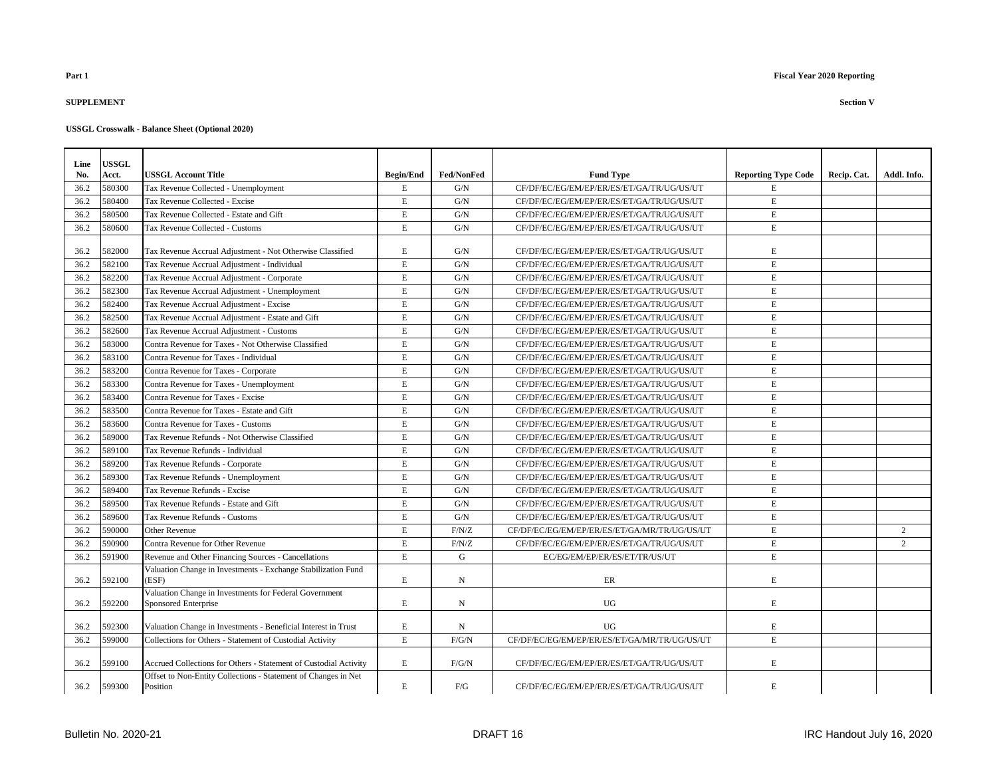### **SUPPLEMENT Section V**

| Line | USSGL  |                                                                                |                  |                   |                                              |                            |             |                |
|------|--------|--------------------------------------------------------------------------------|------------------|-------------------|----------------------------------------------|----------------------------|-------------|----------------|
| No.  | Acct.  | <b>USSGL Account Title</b>                                                     | <b>Begin/End</b> | <b>Fed/NonFed</b> | <b>Fund Type</b>                             | <b>Reporting Type Code</b> | Recip. Cat. | Addl. Info.    |
| 36.2 | 580300 | Tax Revenue Collected - Unemployment                                           | $\mathbf E$      | G/N               | CF/DF/EC/EG/EM/EP/ER/ES/ET/GA/TR/UG/US/UT    | E                          |             |                |
| 36.2 | 580400 | Tax Revenue Collected - Excise                                                 | $\mathbf E$      | G/N               | CF/DF/EC/EG/EM/EP/ER/ES/ET/GA/TR/UG/US/UT    | $\mathbf E$                |             |                |
| 36.2 | 580500 | Tax Revenue Collected - Estate and Gift                                        | $\mathbf E$      | G/N               | CF/DF/EC/EG/EM/EP/ER/ES/ET/GA/TR/UG/US/UT    | E                          |             |                |
| 36.2 | 580600 | Tax Revenue Collected - Customs                                                | $\mathbf E$      | G/N               | CF/DF/EC/EG/EM/EP/ER/ES/ET/GA/TR/UG/US/UT    | E                          |             |                |
| 36.2 | 582000 | Tax Revenue Accrual Adjustment - Not Otherwise Classified                      | E                | G/N               | CF/DF/EC/EG/EM/EP/ER/ES/ET/GA/TR/UG/US/UT    | E                          |             |                |
| 36.2 | 582100 | Tax Revenue Accrual Adjustment - Individual                                    | $\mathbf E$      | G/N               | CF/DF/EC/EG/EM/EP/ER/ES/ET/GA/TR/UG/US/UT    | E                          |             |                |
| 36.2 | 582200 | Tax Revenue Accrual Adjustment - Corporate                                     | $\mathbf E$      | G/N               | CF/DF/EC/EG/EM/EP/ER/ES/ET/GA/TR/UG/US/UT    | $\mathbf E$                |             |                |
| 36.2 | 582300 | Tax Revenue Accrual Adjustment - Unemployment                                  | $\mathbf E$      | ${\rm G/N}$       | CF/DF/EC/EG/EM/EP/ER/ES/ET/GA/TR/UG/US/UT    | E                          |             |                |
| 36.2 | 582400 | Tax Revenue Accrual Adjustment - Excise                                        | E                | G/N               | CF/DF/EC/EG/EM/EP/ER/ES/ET/GA/TR/UG/US/UT    | E                          |             |                |
| 36.2 | 582500 | Tax Revenue Accrual Adjustment - Estate and Gift                               | $\mathbf E$      | G/N               | CF/DF/EC/EG/EM/EP/ER/ES/ET/GA/TR/UG/US/UT    | E                          |             |                |
| 36.2 | 582600 | Tax Revenue Accrual Adjustment - Customs                                       | $\mathbf E$      | G/N               | CF/DF/EC/EG/EM/EP/ER/ES/ET/GA/TR/UG/US/UT    | E                          |             |                |
| 36.2 | 583000 | Contra Revenue for Taxes - Not Otherwise Classified                            | $\mathbf E$      | ${\rm G/N}$       | CF/DF/EC/EG/EM/EP/ER/ES/ET/GA/TR/UG/US/UT    | $\mathbf E$                |             |                |
| 36.2 | 583100 | Contra Revenue for Taxes - Individual                                          | $\mathbf E$      | ${\rm G/N}$       | CF/DF/EC/EG/EM/EP/ER/ES/ET/GA/TR/UG/US/UT    | E                          |             |                |
| 36.2 | 583200 | Contra Revenue for Taxes - Corporate                                           | $\mathbf E$      | G/N               | CF/DF/EC/EG/EM/EP/ER/ES/ET/GA/TR/UG/US/UT    | E                          |             |                |
| 36.2 | 583300 | Contra Revenue for Taxes - Unemployment                                        | $\mathbf E$      | G/N               | CF/DF/EC/EG/EM/EP/ER/ES/ET/GA/TR/UG/US/UT    | E                          |             |                |
| 36.2 | 583400 | Contra Revenue for Taxes - Excise                                              | $\mathbf E$      | G/N               | CF/DF/EC/EG/EM/EP/ER/ES/ET/GA/TR/UG/US/UT    | E                          |             |                |
| 36.2 | 583500 | Contra Revenue for Taxes - Estate and Gift                                     | E                | G/N               | CF/DF/EC/EG/EM/EP/ER/ES/ET/GA/TR/UG/US/UT    | E                          |             |                |
| 36.2 | 583600 | Contra Revenue for Taxes - Customs                                             | $\mathbf E$      | ${\rm G/N}$       | CF/DF/EC/EG/EM/EP/ER/ES/ET/GA/TR/UG/US/UT    | $\mathbf E$                |             |                |
| 36.2 | 589000 | Tax Revenue Refunds - Not Otherwise Classified                                 | $\mathbf E$      | ${\rm G/N}$       | CF/DF/EC/EG/EM/EP/ER/ES/ET/GA/TR/UG/US/UT    | $\mathbf E$                |             |                |
| 36.2 | 589100 | Tax Revenue Refunds - Individual                                               | $\mathbf E$      | ${\rm G/N}$       | CF/DF/EC/EG/EM/EP/ER/ES/ET/GA/TR/UG/US/UT    | E                          |             |                |
| 36.2 | 589200 | Tax Revenue Refunds - Corporate                                                | $\mathbf E$      | G/N               | CF/DF/EC/EG/EM/EP/ER/ES/ET/GA/TR/UG/US/UT    | E                          |             |                |
| 36.2 | 589300 | Tax Revenue Refunds - Unemployment                                             | $\mathbf E$      | G/N               | CF/DF/EC/EG/EM/EP/ER/ES/ET/GA/TR/UG/US/UT    | E                          |             |                |
| 36.2 | 589400 | Tax Revenue Refunds - Excise                                                   | $\mathbf E$      | G/N               | CF/DF/EC/EG/EM/EP/ER/ES/ET/GA/TR/UG/US/UT    | E                          |             |                |
| 36.2 | 589500 | Tax Revenue Refunds - Estate and Gift                                          | $\mathbf E$      | G/N               | CF/DF/EC/EG/EM/EP/ER/ES/ET/GA/TR/UG/US/UT    | E                          |             |                |
| 36.2 | 589600 | Tax Revenue Refunds - Customs                                                  | $\mathbf E$      | ${\rm G/N}$       | CF/DF/EC/EG/EM/EP/ER/ES/ET/GA/TR/UG/US/UT    | E                          |             |                |
| 36.2 | 590000 | <b>Other Revenue</b>                                                           | $\mathbf E$      | F/N/Z             | CF/DF/EC/EG/EM/EP/ER/ES/ET/GA/MR/TR/UG/US/UT | E                          |             | 2              |
| 36.2 | 590900 | Contra Revenue for Other Revenue                                               | $\mathbf E$      | F/N/Z             | CF/DF/EC/EG/EM/EP/ER/ES/ET/GA/TR/UG/US/UT    | E                          |             | $\overline{2}$ |
| 36.2 | 591900 | Revenue and Other Financing Sources - Cancellations                            | E                | G                 | EC/EG/EM/EP/ER/ES/ET/TR/US/UT                | E                          |             |                |
| 36.2 | 592100 | Valuation Change in Investments - Exchange Stabilization Fund<br>(ESF)         | E                | $_{\rm N}$        | ER                                           | E                          |             |                |
| 36.2 | 592200 | Valuation Change in Investments for Federal Government<br>Sponsored Enterprise | E                | N                 | UG                                           | E                          |             |                |
| 36.2 | 592300 | Valuation Change in Investments - Beneficial Interest in Trust                 | E                | N                 | UG                                           | E                          |             |                |
| 36.2 | 599000 | Collections for Others - Statement of Custodial Activity                       | $\mathbf E$      | F/G/N             | CF/DF/EC/EG/EM/EP/ER/ES/ET/GA/MR/TR/UG/US/UT | E                          |             |                |
| 36.2 | 599100 | Accrued Collections for Others - Statement of Custodial Activity               | E                | F/G/N             | CF/DF/EC/EG/EM/EP/ER/ES/ET/GA/TR/UG/US/UT    | E                          |             |                |
| 36.2 | 599300 | Offset to Non-Entity Collections - Statement of Changes in Net<br>Position     | E                | F/G               | CF/DF/EC/EG/EM/EP/ER/ES/ET/GA/TR/UG/US/UT    | $\mathbf E$                |             |                |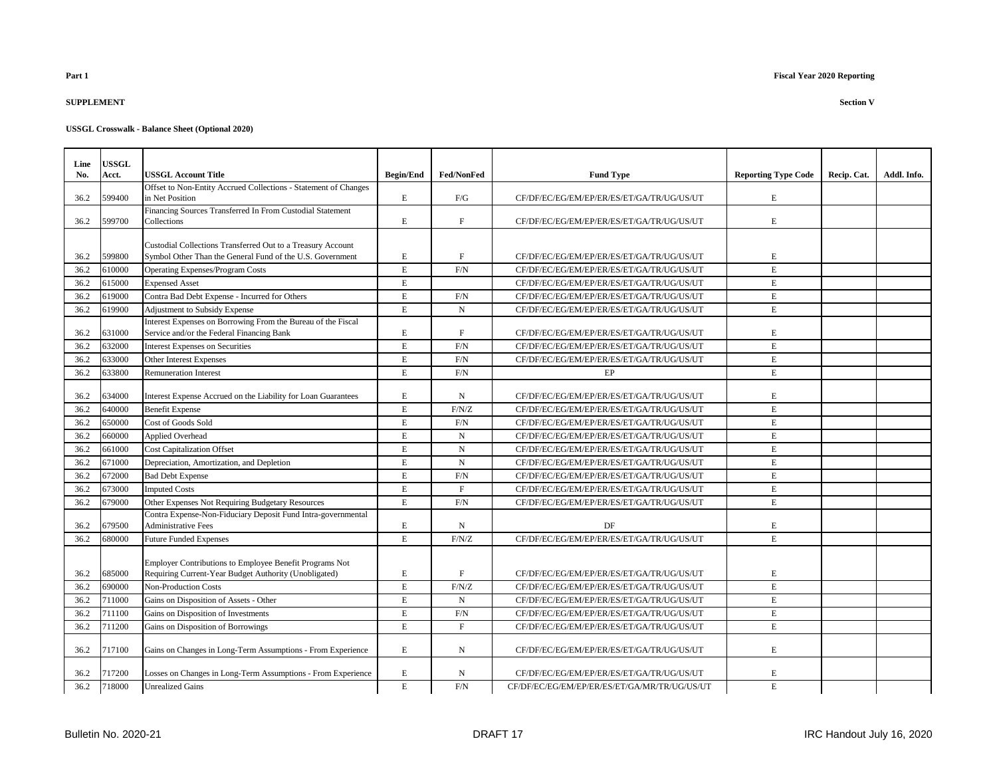# **SUPPLEMENT Section V**

| Line<br>No.  | <b>USSGL</b><br>Acct. | <b>USSGL Account Title</b>                                                                                               | <b>Begin/End</b> | Fed/NonFed   |                                              |                            |             | Addl. Info. |
|--------------|-----------------------|--------------------------------------------------------------------------------------------------------------------------|------------------|--------------|----------------------------------------------|----------------------------|-------------|-------------|
|              |                       | Offset to Non-Entity Accrued Collections - Statement of Changes                                                          |                  |              | <b>Fund Type</b>                             | <b>Reporting Type Code</b> | Recip. Cat. |             |
| 36.2         | 599400                | in Net Position                                                                                                          | E                | ${\rm F/G}$  | CF/DF/EC/EG/EM/EP/ER/ES/ET/GA/TR/UG/US/UT    | Е                          |             |             |
|              |                       | Financing Sources Transferred In From Custodial Statement                                                                |                  |              |                                              |                            |             |             |
| 36.2         | 599700                | Collections                                                                                                              | E                | F            | CF/DF/EC/EG/EM/EP/ER/ES/ET/GA/TR/UG/US/UT    | E                          |             |             |
|              |                       |                                                                                                                          |                  |              |                                              |                            |             |             |
| 36.2         | 599800                | Custodial Collections Transferred Out to a Treasury Account<br>Symbol Other Than the General Fund of the U.S. Government | E                | $\mathbf F$  | CF/DF/EC/EG/EM/EP/ER/ES/ET/GA/TR/UG/US/UT    | E                          |             |             |
| 36.2         | 610000                | <b>Operating Expenses/Program Costs</b>                                                                                  | $\mathbf E$      | F/N          | CF/DF/EC/EG/EM/EP/ER/ES/ET/GA/TR/UG/US/UT    | E                          |             |             |
| 36.2         | 615000                | <b>Expensed Asset</b>                                                                                                    | $\mathbf E$      |              | CF/DF/EC/EG/EM/EP/ER/ES/ET/GA/TR/UG/US/UT    | E                          |             |             |
| 36.2         | 619000                | Contra Bad Debt Expense - Incurred for Others                                                                            | $\mathbf E$      | F/N          | CF/DF/EC/EG/EM/EP/ER/ES/ET/GA/TR/UG/US/UT    | E                          |             |             |
| 36.2         | 619900                | Adjustment to Subsidy Expense                                                                                            | $\mathbf E$      | $\mathbf N$  | CF/DF/EC/EG/EM/EP/ER/ES/ET/GA/TR/UG/US/UT    | E                          |             |             |
|              |                       | Interest Expenses on Borrowing From the Bureau of the Fiscal                                                             |                  |              |                                              |                            |             |             |
| 36.2         | 631000                | Service and/or the Federal Financing Bank                                                                                | Е                | $\mathbf F$  | CF/DF/EC/EG/EM/EP/ER/ES/ET/GA/TR/UG/US/UT    | Е                          |             |             |
| 36.2         | 632000                | <b>Interest Expenses on Securities</b>                                                                                   | $\mathbf E$      | F/N          | CF/DF/EC/EG/EM/EP/ER/ES/ET/GA/TR/UG/US/UT    | $\mathbf E$                |             |             |
| 36.2         | 633000                | Other Interest Expenses                                                                                                  | $\mathbf E$      | F/N          | CF/DF/EC/EG/EM/EP/ER/ES/ET/GA/TR/UG/US/UT    | $\mathbf E$                |             |             |
| 36.2         | 633800                | <b>Remuneration Interest</b>                                                                                             | E                | F/N          | EP                                           | E                          |             |             |
|              |                       |                                                                                                                          |                  |              |                                              |                            |             |             |
| 36.2         | 634000                | Interest Expense Accrued on the Liability for Loan Guarantees                                                            | E                | N            | CF/DF/EC/EG/EM/EP/ER/ES/ET/GA/TR/UG/US/UT    | E                          |             |             |
| 36.2         | 640000                | <b>Benefit Expense</b>                                                                                                   | $\mathbf E$      | F/N/Z        | CF/DF/EC/EG/EM/EP/ER/ES/ET/GA/TR/UG/US/UT    | E                          |             |             |
| 36.2         | 650000                | Cost of Goods Sold                                                                                                       | $\mathbf E$      | F/N          | CF/DF/EC/EG/EM/EP/ER/ES/ET/GA/TR/UG/US/UT    | E                          |             |             |
| 36.2         | 660000                | Applied Overhead                                                                                                         | $\mathbf E$      | ${\bf N}$    | CF/DF/EC/EG/EM/EP/ER/ES/ET/GA/TR/UG/US/UT    | $\mathbf E$                |             |             |
| 36.2         | 661000                | <b>Cost Capitalization Offset</b>                                                                                        | $\mathbf E$      | $\mathbf N$  | CF/DF/EC/EG/EM/EP/ER/ES/ET/GA/TR/UG/US/UT    | E                          |             |             |
| 36.2         | 671000                | Depreciation, Amortization, and Depletion                                                                                | E                | ${\bf N}$    | CF/DF/EC/EG/EM/EP/ER/ES/ET/GA/TR/UG/US/UT    | $\mathbf E$                |             |             |
| 36.2         | 672000                | <b>Bad Debt Expense</b>                                                                                                  | $\mathbf E$      | F/N          | CF/DF/EC/EG/EM/EP/ER/ES/ET/GA/TR/UG/US/UT    | E                          |             |             |
| 36.2         | 673000                | <b>Imputed Costs</b>                                                                                                     | E                | $\mathbf{F}$ | CF/DF/EC/EG/EM/EP/ER/ES/ET/GA/TR/UG/US/UT    | E                          |             |             |
| 36.2         | 679000                | Other Expenses Not Requiring Budgetary Resources                                                                         | $\mathbf E$      | F/N          | CF/DF/EC/EG/EM/EP/ER/ES/ET/GA/TR/UG/US/UT    | E                          |             |             |
|              | 679500                | Contra Expense-Non-Fiduciary Deposit Fund Intra-governmental<br><b>Administrative Fees</b>                               | E                |              | DF                                           |                            |             |             |
| 36.2<br>36.2 | 680000                | <b>Future Funded Expenses</b>                                                                                            | $\mathbf E$      | N<br>F/N/Z   | CF/DF/EC/EG/EM/EP/ER/ES/ET/GA/TR/UG/US/UT    | Е<br>E                     |             |             |
|              |                       |                                                                                                                          |                  |              |                                              |                            |             |             |
|              |                       | Employer Contributions to Employee Benefit Programs Not                                                                  |                  |              |                                              |                            |             |             |
| 36.2         | 685000                | Requiring Current-Year Budget Authority (Unobligated)                                                                    | E                | $\mathbf F$  | CF/DF/EC/EG/EM/EP/ER/ES/ET/GA/TR/UG/US/UT    | Е                          |             |             |
| 36.2         | 690000                | <b>Non-Production Costs</b>                                                                                              | $\mathbf E$      | F/N/Z        | CF/DF/EC/EG/EM/EP/ER/ES/ET/GA/TR/UG/US/UT    | $\overline{E}$             |             |             |
| 36.2         | 711000                | Gains on Disposition of Assets - Other                                                                                   | E                | $\mathbf N$  | CF/DF/EC/EG/EM/EP/ER/ES/ET/GA/TR/UG/US/UT    | E                          |             |             |
| 36.2         | 711100                | Gains on Disposition of Investments                                                                                      | $\mathbf E$      | F/N          | CF/DF/EC/EG/EM/EP/ER/ES/ET/GA/TR/UG/US/UT    | E                          |             |             |
| 36.2         | 711200                | Gains on Disposition of Borrowings                                                                                       | $\mathbf E$      | $\mathbf F$  | CF/DF/EC/EG/EM/EP/ER/ES/ET/GA/TR/UG/US/UT    | E                          |             |             |
| 36.2         | 717100                | Gains on Changes in Long-Term Assumptions - From Experience                                                              | E                | N            | CF/DF/EC/EG/EM/EP/ER/ES/ET/GA/TR/UG/US/UT    | E                          |             |             |
| 36.2         | 717200                | Losses on Changes in Long-Term Assumptions - From Experience                                                             | Е                | N            | CF/DF/EC/EG/EM/EP/ER/ES/ET/GA/TR/UG/US/UT    | Е                          |             |             |
| 36.2         | 718000                | <b>Unrealized Gains</b>                                                                                                  | $\mathbf E$      | F/N          | CF/DF/EC/EG/EM/EP/ER/ES/ET/GA/MR/TR/UG/US/UT | E                          |             |             |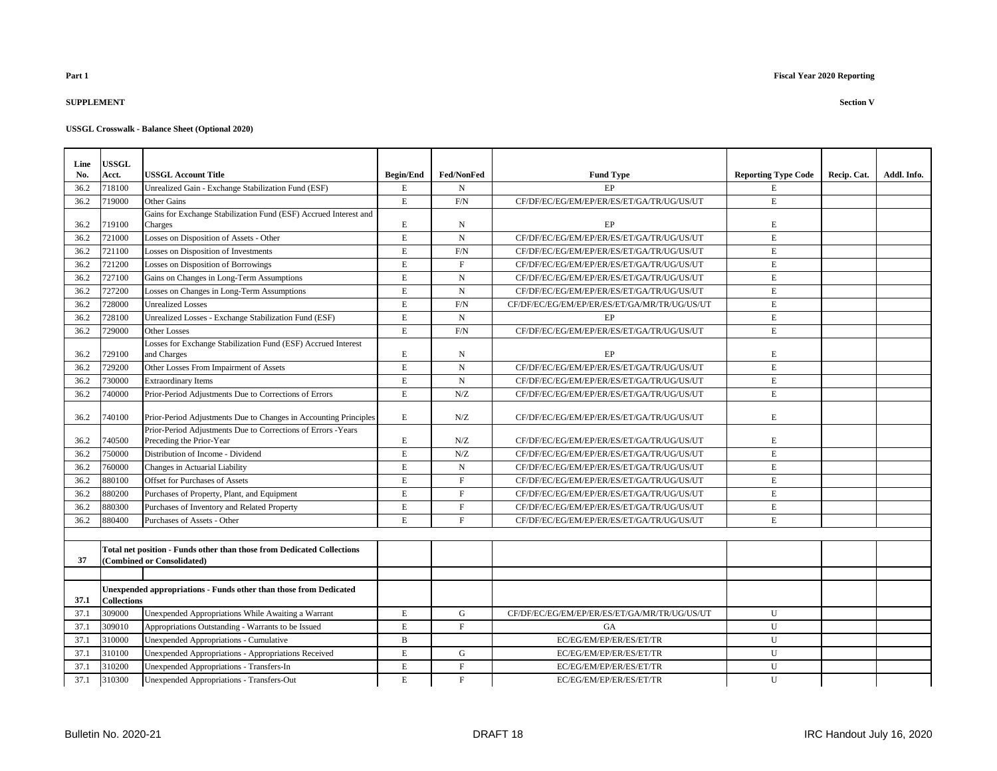### **SUPPLEMENT Section V**

| Line | USSGL              |                                                                                          |                  |             |                                              |                            |             |             |
|------|--------------------|------------------------------------------------------------------------------------------|------------------|-------------|----------------------------------------------|----------------------------|-------------|-------------|
| No.  | Acct.              | <b>USSGL Account Title</b>                                                               | <b>Begin/End</b> | Fed/NonFed  | <b>Fund Type</b>                             | <b>Reporting Type Code</b> | Recip. Cat. | Addl. Info. |
| 36.2 | 718100             | Unrealized Gain - Exchange Stabilization Fund (ESF)                                      | $\mathbf E$      | N           | EP                                           | E                          |             |             |
| 36.2 | 719000             | Other Gains                                                                              | $\mathbf E$      | F/N         | CF/DF/EC/EG/EM/EP/ER/ES/ET/GA/TR/UG/US/UT    | E                          |             |             |
|      |                    | Gains for Exchange Stabilization Fund (ESF) Accrued Interest and                         |                  |             |                                              |                            |             |             |
| 36.2 | 719100             | Charges                                                                                  | E                | N           | EP                                           | E                          |             |             |
| 36.2 | 721000             | Losses on Disposition of Assets - Other                                                  | $\mathbf E$      | ${\bf N}$   | CF/DF/EC/EG/EM/EP/ER/ES/ET/GA/TR/UG/US/UT    | E                          |             |             |
| 36.2 | 721100             | Losses on Disposition of Investments                                                     | $\mathbf E$      | F/N         | CF/DF/EC/EG/EM/EP/ER/ES/ET/GA/TR/UG/US/UT    | E                          |             |             |
| 36.2 | 721200             | Losses on Disposition of Borrowings                                                      | $\mathbf E$      | F           | CF/DF/EC/EG/EM/EP/ER/ES/ET/GA/TR/UG/US/UT    | E                          |             |             |
| 36.2 | 727100             | Gains on Changes in Long-Term Assumptions                                                | $\mathbf E$      | $_{\rm N}$  | CF/DF/EC/EG/EM/EP/ER/ES/ET/GA/TR/UG/US/UT    | $\mathbf E$                |             |             |
| 36.2 | 727200             | Losses on Changes in Long-Term Assumptions                                               | $\mathbf E$      | $\mathbf N$ | CF/DF/EC/EG/EM/EP/ER/ES/ET/GA/TR/UG/US/UT    | $\mathbf E$                |             |             |
| 36.2 | 728000             | <b>Unrealized Losses</b>                                                                 | $\mathbf E$      | F/N         | CF/DF/EC/EG/EM/EP/ER/ES/ET/GA/MR/TR/UG/US/UT | E                          |             |             |
| 36.2 | 728100             | Unrealized Losses - Exchange Stabilization Fund (ESF)                                    | $\mathbf E$      | N           | <b>EP</b>                                    | E                          |             |             |
| 36.2 | 729000             | <b>Other Losses</b>                                                                      | $\mathbf E$      | $\rm{F/N}$  | CF/DF/EC/EG/EM/EP/ER/ES/ET/GA/TR/UG/US/UT    | E                          |             |             |
|      |                    | Losses for Exchange Stabilization Fund (ESF) Accrued Interest                            |                  |             |                                              |                            |             |             |
| 36.2 | 729100             | and Charges                                                                              | $\mathbf E$      | N           | $\rm EP$                                     | $\mathbf E$                |             |             |
| 36.2 | 729200             | Other Losses From Impairment of Assets                                                   | $\mathbf E$      | $_{\rm N}$  | CF/DF/EC/EG/EM/EP/ER/ES/ET/GA/TR/UG/US/UT    | E                          |             |             |
| 36.2 | 730000             | <b>Extraordinary Items</b>                                                               | $\mathbf E$      | N           | CF/DF/EC/EG/EM/EP/ER/ES/ET/GA/TR/UG/US/UT    | E                          |             |             |
| 36.2 | 740000             | Prior-Period Adjustments Due to Corrections of Errors                                    | $\mathbf E$      | N/Z         | CF/DF/EC/EG/EM/EP/ER/ES/ET/GA/TR/UG/US/UT    | $\mathbf E$                |             |             |
| 36.2 | 740100             | Prior-Period Adjustments Due to Changes in Accounting Principles                         | E                | N/Z         | CF/DF/EC/EG/EM/EP/ER/ES/ET/GA/TR/UG/US/UT    | E                          |             |             |
| 36.2 | 740500             | Prior-Period Adjustments Due to Corrections of Errors -Years<br>Preceding the Prior-Year | E                | N/Z         | CF/DF/EC/EG/EM/EP/ER/ES/ET/GA/TR/UG/US/UT    | E                          |             |             |
| 36.2 | 750000             | Distribution of Income - Dividend                                                        | $\mathbf E$      | N/Z         | CF/DF/EC/EG/EM/EP/ER/ES/ET/GA/TR/UG/US/UT    | E                          |             |             |
| 36.2 | 760000             | Changes in Actuarial Liability                                                           | $\mathbf E$      | N           | CF/DF/EC/EG/EM/EP/ER/ES/ET/GA/TR/UG/US/UT    | $\mathbf E$                |             |             |
| 36.2 | 880100             | Offset for Purchases of Assets                                                           | $\mathbf E$      | $\mathbf F$ | CF/DF/EC/EG/EM/EP/ER/ES/ET/GA/TR/UG/US/UT    | $\mathbf E$                |             |             |
| 36.2 | 880200             | Purchases of Property, Plant, and Equipment                                              | $\mathbf E$      | $\mathbf F$ | CF/DF/EC/EG/EM/EP/ER/ES/ET/GA/TR/UG/US/UT    | $\mathbf E$                |             |             |
| 36.2 | 880300             | Purchases of Inventory and Related Property                                              | $\mathbf E$      | F           | CF/DF/EC/EG/EM/EP/ER/ES/ET/GA/TR/UG/US/UT    | E                          |             |             |
| 36.2 | 880400             | Purchases of Assets - Other                                                              | $\mathbf E$      | F           | CF/DF/EC/EG/EM/EP/ER/ES/ET/GA/TR/UG/US/UT    | E                          |             |             |
|      |                    |                                                                                          |                  |             |                                              |                            |             |             |
|      |                    | <b>Total net position - Funds other than those from Dedicated Collections</b>            |                  |             |                                              |                            |             |             |
| 37   |                    | (Combined or Consolidated)                                                               |                  |             |                                              |                            |             |             |
|      |                    |                                                                                          |                  |             |                                              |                            |             |             |
| 37.1 | <b>Collections</b> | Unexpended appropriations - Funds other than those from Dedicated                        |                  |             |                                              |                            |             |             |
| 37.1 | 309000             | Unexpended Appropriations While Awaiting a Warrant                                       | E                | G           | CF/DF/EC/EG/EM/EP/ER/ES/ET/GA/MR/TR/UG/US/UT | U                          |             |             |
| 37.1 | 309010             | Appropriations Outstanding - Warrants to be Issued                                       | $\mathbf E$      | F           | <b>GA</b>                                    | U                          |             |             |
| 37.1 | 310000             | <b>Unexpended Appropriations - Cumulative</b>                                            | $\mathbf B$      |             | EC/EG/EM/EP/ER/ES/ET/TR                      | U                          |             |             |
| 37.1 | 310100             | Unexpended Appropriations - Appropriations Received                                      | $\mathbf E$      | G           | EC/EG/EM/EP/ER/ES/ET/TR                      | U                          |             |             |
| 37.1 | 310200             | Unexpended Appropriations - Transfers-In                                                 | $\mathbf E$      | F           | EC/EG/EM/EP/ER/ES/ET/TR                      | U                          |             |             |
| 37.1 | 310300             | Unexpended Appropriations - Transfers-Out                                                | $\mathbf E$      | $\mathbf F$ | EC/EG/EM/EP/ER/ES/ET/TR                      | U                          |             |             |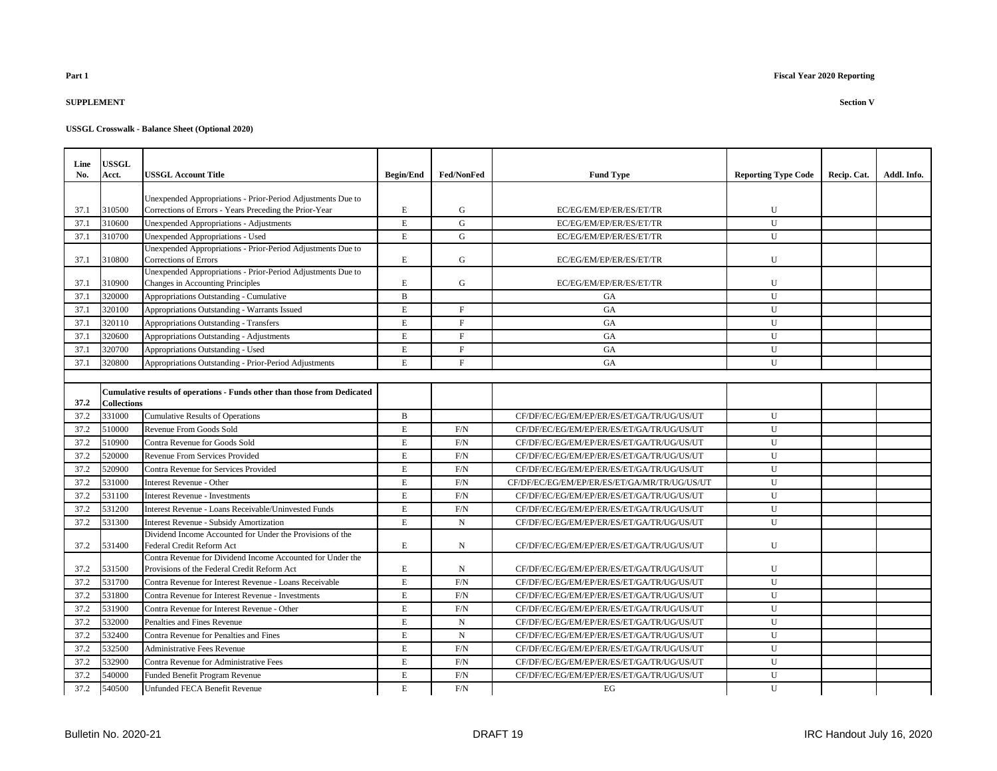## **SUPPLEMENT Section V**

| Line<br>No. | <b>USSGL</b><br>Acct. | <b>USSGL Account Title</b>                                                                                            | <b>Begin/End</b> | Fed/NonFed   | <b>Fund Type</b>                             | <b>Reporting Type Code</b> | Recip. Cat. | Addl. Info. |
|-------------|-----------------------|-----------------------------------------------------------------------------------------------------------------------|------------------|--------------|----------------------------------------------|----------------------------|-------------|-------------|
|             |                       |                                                                                                                       |                  |              |                                              |                            |             |             |
| 37.1        | 310500                | Unexpended Appropriations - Prior-Period Adjustments Due to<br>Corrections of Errors - Years Preceding the Prior-Year | $\mathbf E$      | $\mathbf G$  | EC/EG/EM/EP/ER/ES/ET/TR                      | U                          |             |             |
| 37.1        | 310600                | Unexpended Appropriations - Adjustments                                                                               | $\mathbf E$      | $\mathbf G$  | EC/EG/EM/EP/ER/ES/ET/TR                      | U                          |             |             |
| 37.1        | 310700                | Unexpended Appropriations - Used                                                                                      | $\mathbf E$      | $\mathbf G$  | EC/EG/EM/EP/ER/ES/ET/TR                      | U                          |             |             |
| 37.1        | 310800                | Unexpended Appropriations - Prior-Period Adjustments Due to<br>Corrections of Errors                                  | $\mathbf E$      | $\mathbf G$  | EC/EG/EM/EP/ER/ES/ET/TR                      | U                          |             |             |
| 37.1        | 310900                | Unexpended Appropriations - Prior-Period Adjustments Due to<br>Changes in Accounting Principles                       | E                | G            | EC/EG/EM/EP/ER/ES/ET/TR                      | $\mathbf{U}$               |             |             |
| 37.1        | 320000                | Appropriations Outstanding - Cumulative                                                                               | $\, {\bf B}$     |              | GA                                           | U                          |             |             |
| 37.1        | 320100                | Appropriations Outstanding - Warrants Issued                                                                          | $\mathbf E$      | $\mathbf F$  | GA                                           | U                          |             |             |
| 37.1        | 320110                | Appropriations Outstanding - Transfers                                                                                | $\mathbf E$      | $\mathbf F$  | <b>GA</b>                                    | U                          |             |             |
| 37.1        | 320600                | Appropriations Outstanding - Adjustments                                                                              | $\mathbf E$      | $\mathbf{F}$ | <b>GA</b>                                    | U                          |             |             |
| 37.1        | 320700                | Appropriations Outstanding - Used                                                                                     | $\mathbf E$      | $\mathbf F$  | <b>GA</b>                                    | U                          |             |             |
| 37.1        | 320800                | Appropriations Outstanding - Prior-Period Adjustments                                                                 | $\mathbf E$      | $\mathbf F$  | GA                                           | U                          |             |             |
|             |                       |                                                                                                                       |                  |              |                                              |                            |             |             |
| 37.2        | <b>Collections</b>    | Cumulative results of operations - Funds other than those from Dedicated                                              |                  |              |                                              |                            |             |             |
| 37.2        | 331000                | <b>Cumulative Results of Operations</b>                                                                               | $\, {\bf B}$     |              | CF/DF/EC/EG/EM/EP/ER/ES/ET/GA/TR/UG/US/UT    | U                          |             |             |
| 37.2        | 510000                | Revenue From Goods Sold                                                                                               | $\mathbf E$      | F/N          | CF/DF/EC/EG/EM/EP/ER/ES/ET/GA/TR/UG/US/UT    | U                          |             |             |
| 37.2        | 510900                | Contra Revenue for Goods Sold                                                                                         | $\mathbf E$      | F/N          | CF/DF/EC/EG/EM/EP/ER/ES/ET/GA/TR/UG/US/UT    | U                          |             |             |
| 37.2        | 520000                | Revenue From Services Provided                                                                                        | $\mathbf E$      | F/N          | CF/DF/EC/EG/EM/EP/ER/ES/ET/GA/TR/UG/US/UT    | $\mathbf{U}$               |             |             |
| 37.2        | 520900                | Contra Revenue for Services Provided                                                                                  | $\mathbf E$      | F/N          | CF/DF/EC/EG/EM/EP/ER/ES/ET/GA/TR/UG/US/UT    | U                          |             |             |
| 37.2        | 531000                | Interest Revenue - Other                                                                                              | $\mathbf E$      | F/N          | CF/DF/EC/EG/EM/EP/ER/ES/ET/GA/MR/TR/UG/US/UT | U                          |             |             |
| 37.2        | 531100                | <b>Interest Revenue - Investments</b>                                                                                 | $\mathbf E$      | F/N          | CF/DF/EC/EG/EM/EP/ER/ES/ET/GA/TR/UG/US/UT    | U                          |             |             |
| 37.2        | 531200                | Interest Revenue - Loans Receivable/Uninvested Funds                                                                  | $\mathbf E$      | F/N          | CF/DF/EC/EG/EM/EP/ER/ES/ET/GA/TR/UG/US/UT    | U                          |             |             |
| 37.2        | 531300                | <b>Interest Revenue - Subsidy Amortization</b>                                                                        | E                | $\mathbf N$  | CF/DF/EC/EG/EM/EP/ER/ES/ET/GA/TR/UG/US/UT    | $\mathbf{U}$               |             |             |
| 37.2        | 531400                | Dividend Income Accounted for Under the Provisions of the<br>Federal Credit Reform Act                                | E                | $\mathbf N$  | CF/DF/EC/EG/EM/EP/ER/ES/ET/GA/TR/UG/US/UT    | U                          |             |             |
| 37.2        | 531500                | Contra Revenue for Dividend Income Accounted for Under the<br>Provisions of the Federal Credit Reform Act             | E                | N            | CF/DF/EC/EG/EM/EP/ER/ES/ET/GA/TR/UG/US/UT    | U                          |             |             |
| 37.2        | 531700                | Contra Revenue for Interest Revenue - Loans Receivable                                                                | $\mathbf E$      | F/N          | CF/DF/EC/EG/EM/EP/ER/ES/ET/GA/TR/UG/US/UT    | U                          |             |             |
| 37.2        | 531800                | Contra Revenue for Interest Revenue - Investments                                                                     | $\mathbf E$      | F/N          | CF/DF/EC/EG/EM/EP/ER/ES/ET/GA/TR/UG/US/UT    | U                          |             |             |
| 37.2        | 531900                | Contra Revenue for Interest Revenue - Other                                                                           | $\mathbf E$      | F/N          | CF/DF/EC/EG/EM/EP/ER/ES/ET/GA/TR/UG/US/UT    | U                          |             |             |
| 37.2        | 532000                | Penalties and Fines Revenue                                                                                           | E                | $\mathbf N$  | CF/DF/EC/EG/EM/EP/ER/ES/ET/GA/TR/UG/US/UT    | U                          |             |             |
| 37.2        | 532400                | Contra Revenue for Penalties and Fines                                                                                | $\mathbf E$      | $\mathbf N$  | CF/DF/EC/EG/EM/EP/ER/ES/ET/GA/TR/UG/US/UT    | U                          |             |             |
| 37.2        | 532500                | <b>Administrative Fees Revenue</b>                                                                                    | E                | F/N          | CF/DF/EC/EG/EM/EP/ER/ES/ET/GA/TR/UG/US/UT    | U                          |             |             |
| 37.2        | 532900                | Contra Revenue for Administrative Fees                                                                                | $\mathbf E$      | F/N          | CF/DF/EC/EG/EM/EP/ER/ES/ET/GA/TR/UG/US/UT    | $\mathbf{U}$               |             |             |
| 37.2        | 540000                | Funded Benefit Program Revenue                                                                                        | $\mathbf E$      | F/N          | CF/DF/EC/EG/EM/EP/ER/ES/ET/GA/TR/UG/US/UT    | U                          |             |             |
| 37.2        | 540500                | <b>Unfunded FECA Benefit Revenue</b>                                                                                  | E                | F/N          | EG                                           | U                          |             |             |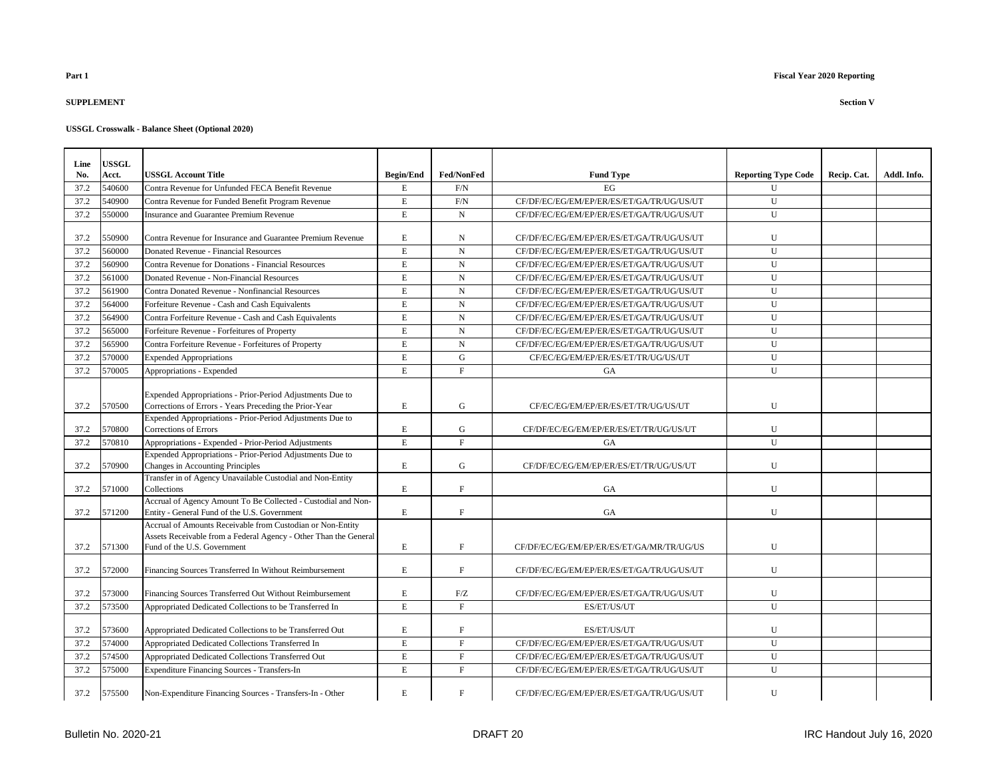### **SUPPLEMENT Section V**

|  | <b>USSGL Crosswalk - Balance Sheet (Optional 2020)</b> |  |  |  |  |
|--|--------------------------------------------------------|--|--|--|--|
|--|--------------------------------------------------------|--|--|--|--|

| Line | <b>USSGL</b> |                                                                                                                                                               |                  |              |                                           |                            |             |             |
|------|--------------|---------------------------------------------------------------------------------------------------------------------------------------------------------------|------------------|--------------|-------------------------------------------|----------------------------|-------------|-------------|
| No.  | Acct.        | <b>USSGL Account Title</b>                                                                                                                                    | <b>Begin/End</b> | Fed/NonFed   | <b>Fund Type</b>                          | <b>Reporting Type Code</b> | Recip. Cat. | Addl. Info. |
| 37.2 | 540600       | Contra Revenue for Unfunded FECA Benefit Revenue                                                                                                              | E                | F/N          | EG                                        | U                          |             |             |
| 37.2 | 540900       | Contra Revenue for Funded Benefit Program Revenue                                                                                                             | $\mathbf E$      | $\rm F/N$    | CF/DF/EC/EG/EM/EP/ER/ES/ET/GA/TR/UG/US/UT | U                          |             |             |
| 37.2 | 550000       | <b>Insurance and Guarantee Premium Revenue</b>                                                                                                                | E                | $\mathbf N$  | CF/DF/EC/EG/EM/EP/ER/ES/ET/GA/TR/UG/US/UT | U                          |             |             |
| 37.2 | 550900       | Contra Revenue for Insurance and Guarantee Premium Revenue                                                                                                    | $\mathbf E$      | N            | CF/DF/EC/EG/EM/EP/ER/ES/ET/GA/TR/UG/US/UT | U                          |             |             |
| 37.2 | 560000       | Donated Revenue - Financial Resources                                                                                                                         | $\mathbf E$      | ${\bf N}$    | CF/DF/EC/EG/EM/EP/ER/ES/ET/GA/TR/UG/US/UT | ${\bf U}$                  |             |             |
| 37.2 | 560900       | Contra Revenue for Donations - Financial Resources                                                                                                            | $\mathbf E$      | N            | CF/DF/EC/EG/EM/EP/ER/ES/ET/GA/TR/UG/US/UT | U                          |             |             |
| 37.2 | 561000       | Donated Revenue - Non-Financial Resources                                                                                                                     | $\mathbf E$      | $\mathbf N$  | CF/DF/EC/EG/EM/EP/ER/ES/ET/GA/TR/UG/US/UT | U                          |             |             |
| 37.2 | 561900       | Contra Donated Revenue - Nonfinancial Resources                                                                                                               | $\mathbf E$      | $\mathbf N$  | CF/DF/EC/EG/EM/EP/ER/ES/ET/GA/TR/UG/US/UT | U                          |             |             |
| 37.2 | 564000       | Forfeiture Revenue - Cash and Cash Equivalents                                                                                                                | $\mathbf E$      | $\mathbf N$  | CF/DF/EC/EG/EM/EP/ER/ES/ET/GA/TR/UG/US/UT | U                          |             |             |
| 37.2 | 564900       | Contra Forfeiture Revenue - Cash and Cash Equivalents                                                                                                         | $\mathbf E$      | ${\bf N}$    | CF/DF/EC/EG/EM/EP/ER/ES/ET/GA/TR/UG/US/UT | $\mathbf U$                |             |             |
| 37.2 | 565000       | Forfeiture Revenue - Forfeitures of Property                                                                                                                  | $\mathbf E$      | $\mathbf N$  | CF/DF/EC/EG/EM/EP/ER/ES/ET/GA/TR/UG/US/UT | U                          |             |             |
| 37.2 | 565900       | Contra Forfeiture Revenue - Forfeitures of Property                                                                                                           | $\mathbf E$      | $\mathbf N$  | CF/DF/EC/EG/EM/EP/ER/ES/ET/GA/TR/UG/US/UT | U                          |             |             |
| 37.2 | 570000       | <b>Expended Appropriations</b>                                                                                                                                | E                | G            | CF/EC/EG/EM/EP/ER/ES/ET/TR/UG/US/UT       | U                          |             |             |
| 37.2 | 570005       | Appropriations - Expended                                                                                                                                     | $\mathbf E$      | $\mathbf F$  | GA                                        | U                          |             |             |
| 37.2 | 570500       | Expended Appropriations - Prior-Period Adjustments Due to<br>Corrections of Errors - Years Preceding the Prior-Year                                           | $\mathbf E$      | G            | CF/EC/EG/EM/EP/ER/ES/ET/TR/UG/US/UT       | U                          |             |             |
| 37.2 | 570800       | Expended Appropriations - Prior-Period Adjustments Due to<br>Corrections of Errors                                                                            | $\mathbf E$      | G            | CF/DF/EC/EG/EM/EP/ER/ES/ET/TR/UG/US/UT    | U                          |             |             |
| 37.2 | 570810       | Appropriations - Expended - Prior-Period Adjustments                                                                                                          | $\mathbf E$      | $_{\rm F}$   | GA                                        | ${\bf U}$                  |             |             |
| 37.2 | 570900       | Expended Appropriations - Prior-Period Adjustments Due to<br>Changes in Accounting Principles                                                                 | $\mathbf E$      | G            | CF/DF/EC/EG/EM/EP/ER/ES/ET/TR/UG/US/UT    | U                          |             |             |
| 37.2 | 571000       | Transfer in of Agency Unavailable Custodial and Non-Entity<br>Collections                                                                                     | $\mathbf E$      | F            | GA                                        | U                          |             |             |
| 37.2 | 571200       | Accrual of Agency Amount To Be Collected - Custodial and Non-<br>Entity - General Fund of the U.S. Government                                                 | $\mathbf E$      | $\mathbf F$  | GA                                        | U                          |             |             |
| 37.2 | 571300       | Accrual of Amounts Receivable from Custodian or Non-Entity<br>Assets Receivable from a Federal Agency - Other Than the General<br>Fund of the U.S. Government | $\mathbf E$      | $\mathbf F$  | CF/DF/EC/EG/EM/EP/ER/ES/ET/GA/MR/TR/UG/US | U                          |             |             |
| 37.2 | 572000       | Financing Sources Transferred In Without Reimbursement                                                                                                        | $\mathbf E$      | $\mathbf{F}$ | CF/DF/EC/EG/EM/EP/ER/ES/ET/GA/TR/UG/US/UT | U                          |             |             |
| 37.2 | 573000       | Financing Sources Transferred Out Without Reimbursement                                                                                                       | $\mathbf E$      | F/Z          | CF/DF/EC/EG/EM/EP/ER/ES/ET/GA/TR/UG/US/UT | U                          |             |             |
| 37.2 | 573500       | Appropriated Dedicated Collections to be Transferred In                                                                                                       | E                | F            | ES/ET/US/UT                               | U                          |             |             |
| 37.2 | 573600       | Appropriated Dedicated Collections to be Transferred Out                                                                                                      | E                | $\, {\rm F}$ | ES/ET/US/UT                               | U                          |             |             |
| 37.2 | 574000       | Appropriated Dedicated Collections Transferred In                                                                                                             | $\mathbf E$      | $\mathbf F$  | CF/DF/EC/EG/EM/EP/ER/ES/ET/GA/TR/UG/US/UT | ${\bf U}$                  |             |             |
| 37.2 | 574500       | Appropriated Dedicated Collections Transferred Out                                                                                                            | $\mathbf E$      | $\mathbf F$  | CF/DF/EC/EG/EM/EP/ER/ES/ET/GA/TR/UG/US/UT | U                          |             |             |
| 37.2 | 575000       | <b>Expenditure Financing Sources - Transfers-In</b>                                                                                                           | E                | $_{\rm F}$   | CF/DF/EC/EG/EM/EP/ER/ES/ET/GA/TR/UG/US/UT | U                          |             |             |
| 37.2 | 575500       | Non-Expenditure Financing Sources - Transfers-In - Other                                                                                                      | $\mathbf E$      | $\mathbf F$  | CF/DF/EC/EG/EM/EP/ER/ES/ET/GA/TR/UG/US/UT | U                          |             |             |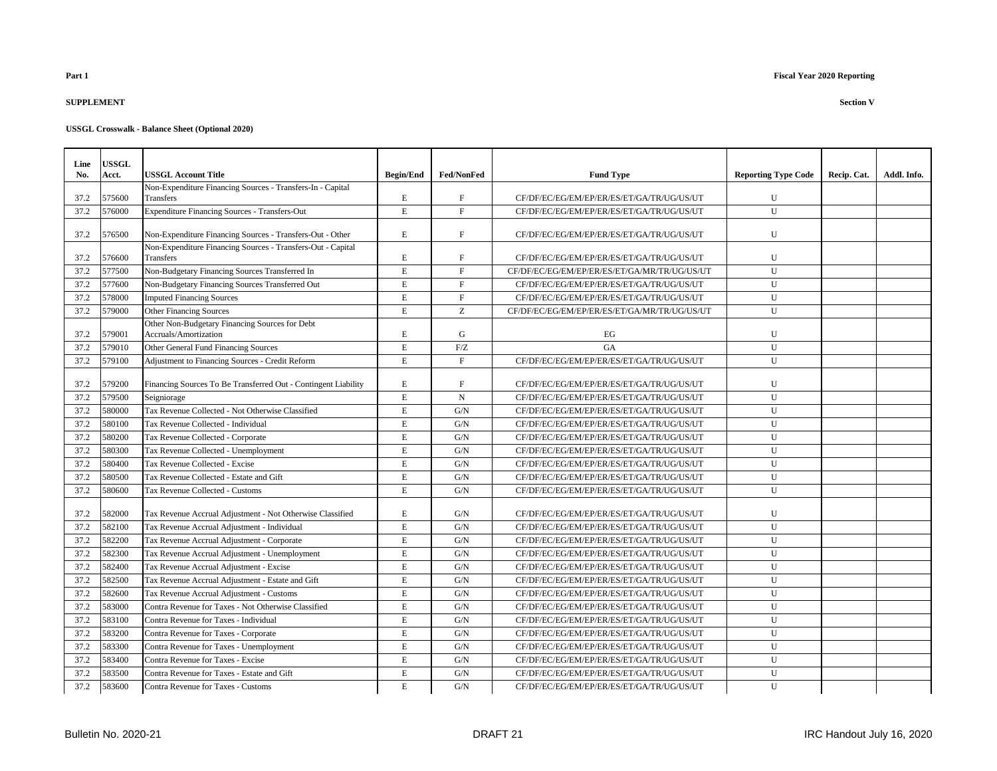# **SUPPLEMENT Section V**

| Line | <b>USSGL</b> |                                                                         |                  |                           |                                              |                            |             |             |
|------|--------------|-------------------------------------------------------------------------|------------------|---------------------------|----------------------------------------------|----------------------------|-------------|-------------|
| No.  | Acct.        | <b>USSGL Account Title</b>                                              | <b>Begin/End</b> | Fed/NonFed                | <b>Fund Type</b>                             | <b>Reporting Type Code</b> | Recip. Cat. | Addl. Info. |
| 37.2 | 575600       | Non-Expenditure Financing Sources - Transfers-In - Capital<br>Transfers | $\mathbf E$      | $\boldsymbol{\mathrm{F}}$ | CF/DF/EC/EG/EM/EP/ER/ES/ET/GA/TR/UG/US/UT    | U                          |             |             |
| 37.2 | 576000       | Expenditure Financing Sources - Transfers-Out                           | $\mathbf E$      | $\mathbf F$               | CF/DF/EC/EG/EM/EP/ER/ES/ET/GA/TR/UG/US/UT    | U                          |             |             |
|      |              |                                                                         |                  |                           |                                              |                            |             |             |
| 37.2 | 576500       | Non-Expenditure Financing Sources - Transfers-Out - Other               | E.               | F                         | CF/DF/EC/EG/EM/EP/ER/ES/ET/GA/TR/UG/US/UT    | $\mathbf{U}$               |             |             |
|      |              | Non-Expenditure Financing Sources - Transfers-Out - Capital             |                  |                           |                                              |                            |             |             |
| 37.2 | 576600       | <b>Transfers</b>                                                        | E                | F                         | CF/DF/EC/EG/EM/EP/ER/ES/ET/GA/TR/UG/US/UT    | U                          |             |             |
| 37.2 | 577500       | Non-Budgetary Financing Sources Transferred In                          | E.               | F                         | CF/DF/EC/EG/EM/EP/ER/ES/ET/GA/MR/TR/UG/US/UT | U                          |             |             |
| 37.2 | 577600       | Non-Budgetary Financing Sources Transferred Out                         | $\mathbf E$      | $\mathbf F$               | CF/DF/EC/EG/EM/EP/ER/ES/ET/GA/TR/UG/US/UT    | $\mathbf U$                |             |             |
| 37.2 | 578000       | <b>Imputed Financing Sources</b>                                        | $\mathbf E$      | $\mathbf F$               | CF/DF/EC/EG/EM/EP/ER/ES/ET/GA/TR/UG/US/UT    | $\mathbf U$                |             |             |
| 37.2 | 579000       | <b>Other Financing Sources</b>                                          | E                | Z                         | CF/DF/EC/EG/EM/EP/ER/ES/ET/GA/MR/TR/UG/US/UT | U                          |             |             |
|      |              | Other Non-Budgetary Financing Sources for Debt                          |                  |                           |                                              |                            |             |             |
| 37.2 | 579001       | Accruals/Amortization                                                   | E                | $\mathbf G$               | EG                                           | U                          |             |             |
| 37.2 | 579010       | Other General Fund Financing Sources                                    | E                | F/Z                       | <b>GA</b>                                    | U                          |             |             |
| 37.2 | 579100       | Adjustment to Financing Sources - Credit Reform                         | E                | $\mathbf F$               | CF/DF/EC/EG/EM/EP/ER/ES/ET/GA/TR/UG/US/UT    | U                          |             |             |
| 37.2 | 579200       | Financing Sources To Be Transferred Out - Contingent Liability          | E                | F                         | CF/DF/EC/EG/EM/EP/ER/ES/ET/GA/TR/UG/US/UT    | U                          |             |             |
| 37.2 | 579500       | Seigniorage                                                             | E                | N                         | CF/DF/EC/EG/EM/EP/ER/ES/ET/GA/TR/UG/US/UT    | U                          |             |             |
| 37.2 | 580000       | Tax Revenue Collected - Not Otherwise Classified                        | E                | G/N                       | CF/DF/EC/EG/EM/EP/ER/ES/ET/GA/TR/UG/US/UT    | U                          |             |             |
| 37.2 | 580100       | Tax Revenue Collected - Individual                                      | E                | G/N                       | CF/DF/EC/EG/EM/EP/ER/ES/ET/GA/TR/UG/US/UT    | $\mathbf{U}$               |             |             |
| 37.2 | 580200       | Tax Revenue Collected - Corporate                                       | E                | G/N                       | CF/DF/EC/EG/EM/EP/ER/ES/ET/GA/TR/UG/US/UT    | U                          |             |             |
| 37.2 | 580300       | Tax Revenue Collected - Unemployment                                    | $\mathbf E$      | G/N                       | CF/DF/EC/EG/EM/EP/ER/ES/ET/GA/TR/UG/US/UT    | U                          |             |             |
| 37.2 | 580400       | Tax Revenue Collected - Excise                                          | E                | G/N                       | CF/DF/EC/EG/EM/EP/ER/ES/ET/GA/TR/UG/US/UT    | U                          |             |             |
| 37.2 | 580500       | Tax Revenue Collected - Estate and Gift                                 | E                | G/N                       | CF/DF/EC/EG/EM/EP/ER/ES/ET/GA/TR/UG/US/UT    | U                          |             |             |
| 37.2 | 580600       | Tax Revenue Collected - Customs                                         | E                | G/N                       | CF/DF/EC/EG/EM/EP/ER/ES/ET/GA/TR/UG/US/UT    | U                          |             |             |
|      |              |                                                                         |                  |                           |                                              |                            |             |             |
| 37.2 | 582000       | Tax Revenue Accrual Adjustment - Not Otherwise Classified               | E                | G/N                       | CF/DF/EC/EG/EM/EP/ER/ES/ET/GA/TR/UG/US/UT    | $\mathbf{U}$               |             |             |
| 37.2 | 582100       | Tax Revenue Accrual Adjustment - Individual                             | $\mathbf E$      | G/N                       | CF/DF/EC/EG/EM/EP/ER/ES/ET/GA/TR/UG/US/UT    | U                          |             |             |
| 37.2 | 582200       | Tax Revenue Accrual Adjustment - Corporate                              | $\mathbf E$      | G/N                       | CF/DF/EC/EG/EM/EP/ER/ES/ET/GA/TR/UG/US/UT    | U                          |             |             |
| 37.2 | 582300       | Tax Revenue Accrual Adjustment - Unemployment                           | E                | G/N                       | CF/DF/EC/EG/EM/EP/ER/ES/ET/GA/TR/UG/US/UT    | U                          |             |             |
| 37.2 | 582400       | Tax Revenue Accrual Adiustment - Excise                                 | E                | G/N                       | CF/DF/EC/EG/EM/EP/ER/ES/ET/GA/TR/UG/US/UT    | U                          |             |             |
| 37.2 | 582500       | Tax Revenue Accrual Adjustment - Estate and Gift                        | E                | G/N                       | CF/DF/EC/EG/EM/EP/ER/ES/ET/GA/TR/UG/US/UT    | U                          |             |             |
| 37.2 | 582600       | Tax Revenue Accrual Adjustment - Customs                                | $\mathbf E$      | ${\rm G/N}$               | CF/DF/EC/EG/EM/EP/ER/ES/ET/GA/TR/UG/US/UT    | $\mathbf{U}$               |             |             |
| 37.2 | 583000       | Contra Revenue for Taxes - Not Otherwise Classified                     | E                | G/N                       | CF/DF/EC/EG/EM/EP/ER/ES/ET/GA/TR/UG/US/UT    | U                          |             |             |
| 37.2 | 583100       | Contra Revenue for Taxes - Individual                                   | $\mathbf E$      | G/N                       | CF/DF/EC/EG/EM/EP/ER/ES/ET/GA/TR/UG/US/UT    | U                          |             |             |
| 37.2 | 583200       | Contra Revenue for Taxes - Corporate                                    | E                | G/N                       | CF/DF/EC/EG/EM/EP/ER/ES/ET/GA/TR/UG/US/UT    | U                          |             |             |
| 37.2 | 583300       | Contra Revenue for Taxes - Unemployment                                 | E                | G/N                       | CF/DF/EC/EG/EM/EP/ER/ES/ET/GA/TR/UG/US/UT    | U                          |             |             |
| 37.2 | 583400       | Contra Revenue for Taxes - Excise                                       | E                | G/N                       | CF/DF/EC/EG/EM/EP/ER/ES/ET/GA/TR/UG/US/UT    | $\mathbf{U}$               |             |             |
| 37.2 | 583500       | Contra Revenue for Taxes - Estate and Gift                              | $\mathbf E$      | G/N                       | CF/DF/EC/EG/EM/EP/ER/ES/ET/GA/TR/UG/US/UT    | ${\bf U}$                  |             |             |
| 37.2 | 583600       | Contra Revenue for Taxes - Customs                                      | E                | G/N                       | CF/DF/EC/EG/EM/EP/ER/ES/ET/GA/TR/UG/US/UT    | U                          |             |             |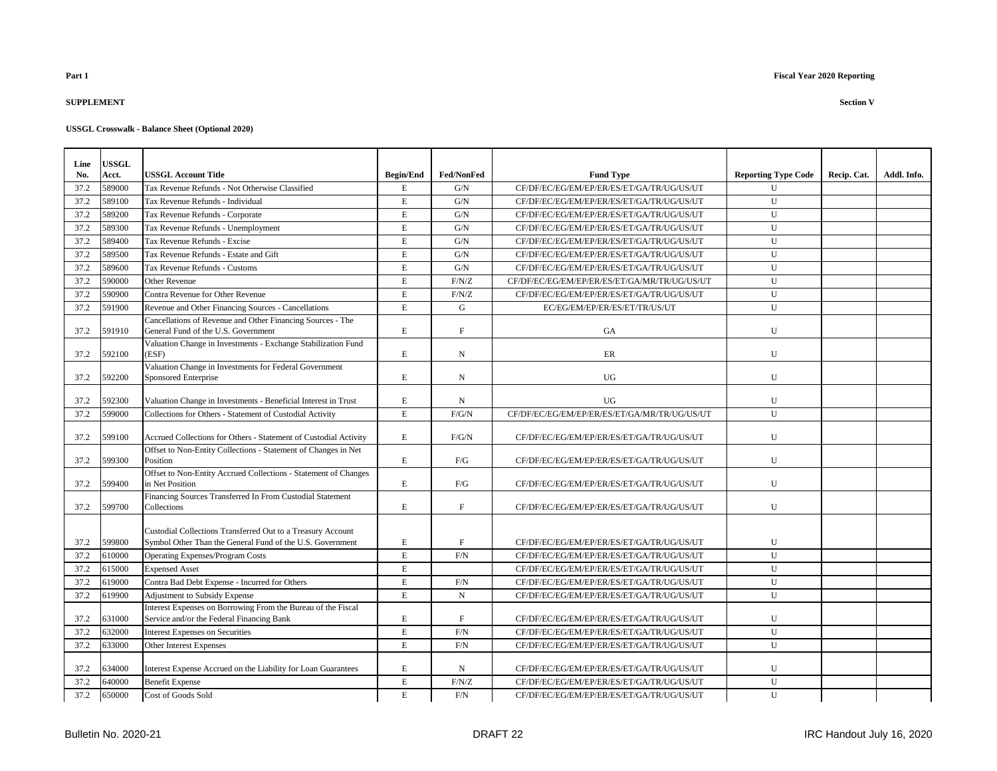### **SUPPLEMENT Section V**

| Line | <b>USSGL</b> |                                                                                                                          |                  |                   |                                              |                            |             |             |
|------|--------------|--------------------------------------------------------------------------------------------------------------------------|------------------|-------------------|----------------------------------------------|----------------------------|-------------|-------------|
| No.  | Acct.        | <b>USSGL Account Title</b>                                                                                               | <b>Begin/End</b> | <b>Fed/NonFed</b> | <b>Fund Type</b>                             | <b>Reporting Type Code</b> | Recip. Cat. | Addl. Info. |
| 37.2 | 589000       | Tax Revenue Refunds - Not Otherwise Classified                                                                           | E                | G/N               | CF/DF/EC/EG/EM/EP/ER/ES/ET/GA/TR/UG/US/UT    | $\mathbf{U}$               |             |             |
| 37.2 | 589100       | Tax Revenue Refunds - Individual                                                                                         | $\mathbf E$      | G/N               | CF/DF/EC/EG/EM/EP/ER/ES/ET/GA/TR/UG/US/UT    | U                          |             |             |
| 37.2 | 589200       | Tax Revenue Refunds - Corporate                                                                                          | $\mathbf E$      | G/N               | CF/DF/EC/EG/EM/EP/ER/ES/ET/GA/TR/UG/US/UT    | U                          |             |             |
| 37.2 | 589300       | Tax Revenue Refunds - Unemployment                                                                                       | $\mathbf E$      | G/N               | CF/DF/EC/EG/EM/EP/ER/ES/ET/GA/TR/UG/US/UT    | U                          |             |             |
| 37.2 | 589400       | Tax Revenue Refunds - Excise                                                                                             | E                | G/N               | CF/DF/EC/EG/EM/EP/ER/ES/ET/GA/TR/UG/US/UT    | U                          |             |             |
| 37.2 | 589500       | Tax Revenue Refunds - Estate and Gift                                                                                    | E                | G/N               | CF/DF/EC/EG/EM/EP/ER/ES/ET/GA/TR/UG/US/UT    | $\mathbf{U}$               |             |             |
| 37.2 | 589600       | Tax Revenue Refunds - Customs                                                                                            | $\mathbf E$      | G/N               | CF/DF/EC/EG/EM/EP/ER/ES/ET/GA/TR/UG/US/UT    | U                          |             |             |
| 37.2 | 590000       | Other Revenue                                                                                                            | $\mathbf E$      | F/N/Z             | CF/DF/EC/EG/EM/EP/ER/ES/ET/GA/MR/TR/UG/US/UT | ${\bf U}$                  |             |             |
| 37.2 | 590900       | Contra Revenue for Other Revenue                                                                                         | $\mathbf E$      | F/N/Z             | CF/DF/EC/EG/EM/EP/ER/ES/ET/GA/TR/UG/US/UT    | $\mathbf U$                |             |             |
| 37.2 | 591900       | Revenue and Other Financing Sources - Cancellations                                                                      | $\mathbf E$      | ${\bf G}$         | EC/EG/EM/EP/ER/ES/ET/TR/US/UT                | U                          |             |             |
|      |              | Cancellations of Revenue and Other Financing Sources - The                                                               |                  |                   |                                              |                            |             |             |
| 37.2 | 591910       | General Fund of the U.S. Government                                                                                      | $\mathbf E$      | $\mathbf F$       | <b>GA</b>                                    | U                          |             |             |
| 37.2 | 592100       | Valuation Change in Investments - Exchange Stabilization Fund<br>(ESF)                                                   | E                | N                 | ER                                           | U                          |             |             |
|      |              | Valuation Change in Investments for Federal Government                                                                   |                  |                   |                                              |                            |             |             |
| 37.2 | 592200       | Sponsored Enterprise                                                                                                     | E                | N                 | <b>UG</b>                                    | U                          |             |             |
| 37.2 | 592300       | Valuation Change in Investments - Beneficial Interest in Trust                                                           | $\mathbf E$      | $_{\rm N}$        | <b>UG</b>                                    | U                          |             |             |
| 37.2 | 599000       | Collections for Others - Statement of Custodial Activity                                                                 | $\mathbf E$      | F/G/N             | CF/DF/EC/EG/EM/EP/ER/ES/ET/GA/MR/TR/UG/US/UT | $\mathbf U$                |             |             |
| 37.2 | 599100       | Accrued Collections for Others - Statement of Custodial Activity                                                         | $\mathbf E$      | F/G/N             | CF/DF/EC/EG/EM/EP/ER/ES/ET/GA/TR/UG/US/UT    | U                          |             |             |
| 37.2 | 599300       | Offset to Non-Entity Collections - Statement of Changes in Net<br>Position                                               | $\mathbf E$      | F/G               | CF/DF/EC/EG/EM/EP/ER/ES/ET/GA/TR/UG/US/UT    | U                          |             |             |
| 37.2 | 599400       | Offset to Non-Entity Accrued Collections - Statement of Changes<br>in Net Position                                       | E                | ${\rm F/G}$       | CF/DF/EC/EG/EM/EP/ER/ES/ET/GA/TR/UG/US/UT    | U                          |             |             |
| 37.2 | 599700       | Financing Sources Transferred In From Custodial Statement<br>Collections                                                 | E                | F                 | CF/DF/EC/EG/EM/EP/ER/ES/ET/GA/TR/UG/US/UT    | U                          |             |             |
| 37.2 | 599800       | Custodial Collections Transferred Out to a Treasury Account<br>Symbol Other Than the General Fund of the U.S. Government | $\mathbf E$      | $\mathbf F$       | CF/DF/EC/EG/EM/EP/ER/ES/ET/GA/TR/UG/US/UT    | U                          |             |             |
| 37.2 | 610000       | <b>Operating Expenses/Program Costs</b>                                                                                  | $\mathbf E$      | F/N               | CF/DF/EC/EG/EM/EP/ER/ES/ET/GA/TR/UG/US/UT    | U                          |             |             |
| 37.2 | 615000       | <b>Expensed Asset</b>                                                                                                    | $\mathbf E$      |                   | CF/DF/EC/EG/EM/EP/ER/ES/ET/GA/TR/UG/US/UT    | $\mathbf{U}$               |             |             |
| 37.2 | 619000       | Contra Bad Debt Expense - Incurred for Others                                                                            | $\mathbf E$      | $\rm F/N$         | CF/DF/EC/EG/EM/EP/ER/ES/ET/GA/TR/UG/US/UT    | U                          |             |             |
| 37.2 | 619900       | Adjustment to Subsidy Expense                                                                                            | $\mathbf E$      | $\mathbf N$       | CF/DF/EC/EG/EM/EP/ER/ES/ET/GA/TR/UG/US/UT    | U                          |             |             |
|      |              | Interest Expenses on Borrowing From the Bureau of the Fiscal                                                             |                  |                   |                                              |                            |             |             |
| 37.2 | 631000       | Service and/or the Federal Financing Bank                                                                                | E                | $\mathbf{F}$      | CF/DF/EC/EG/EM/EP/ER/ES/ET/GA/TR/UG/US/UT    | U                          |             |             |
| 37.2 | 632000       | <b>Interest Expenses on Securities</b>                                                                                   | $\mathbf E$      | $\rm F/N$         | CF/DF/EC/EG/EM/EP/ER/ES/ET/GA/TR/UG/US/UT    | U                          |             |             |
| 37.2 | 633000       | Other Interest Expenses                                                                                                  | $\mathbf E$      | F/N               | CF/DF/EC/EG/EM/EP/ER/ES/ET/GA/TR/UG/US/UT    | $\mathbf{U}$               |             |             |
| 37.2 | 634000       | Interest Expense Accrued on the Liability for Loan Guarantees                                                            | $\mathbf E$      | N                 | CF/DF/EC/EG/EM/EP/ER/ES/ET/GA/TR/UG/US/UT    | U                          |             |             |
| 37.2 | 640000       | <b>Benefit Expense</b>                                                                                                   | $\mathbf E$      | F/N/Z             | CF/DF/EC/EG/EM/EP/ER/ES/ET/GA/TR/UG/US/UT    | U                          |             |             |
| 37.2 | 650000       | Cost of Goods Sold                                                                                                       | $\mathbf E$      | F/N               | CF/DF/EC/EG/EM/EP/ER/ES/ET/GA/TR/UG/US/UT    | U                          |             |             |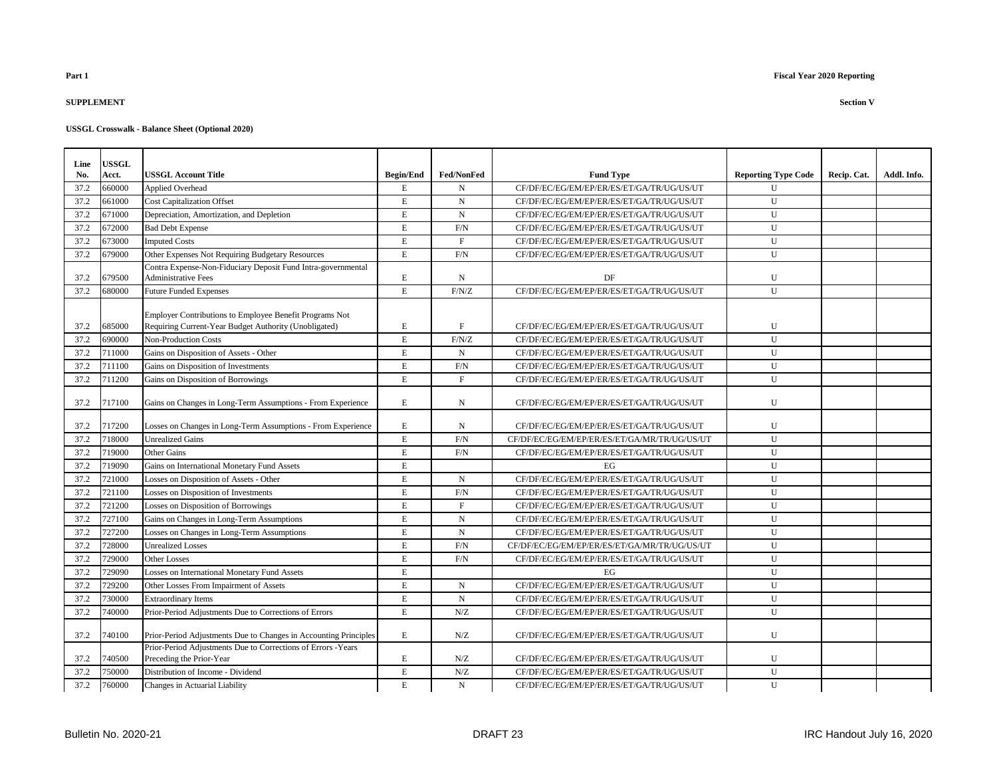### **SUPPLEMENT Section V**

| Line | <b>USSGL</b> |                                                                                                                  |                  |                   |                                              |                            |             |             |
|------|--------------|------------------------------------------------------------------------------------------------------------------|------------------|-------------------|----------------------------------------------|----------------------------|-------------|-------------|
| No.  | Acct.        | <b>USSGL Account Title</b>                                                                                       | <b>Begin/End</b> | <b>Fed/NonFed</b> | <b>Fund Type</b>                             | <b>Reporting Type Code</b> | Recip. Cat. | Addl. Info. |
| 37.2 | 660000       | <b>Applied Overhead</b>                                                                                          | $\mathbf E$      | N                 | CF/DF/EC/EG/EM/EP/ER/ES/ET/GA/TR/UG/US/UT    | $\mathbf{U}$               |             |             |
| 37.2 | 661000       | <b>Cost Capitalization Offset</b>                                                                                | $\mathbf E$      | $_{\rm N}$        | CF/DF/EC/EG/EM/EP/ER/ES/ET/GA/TR/UG/US/UT    | U                          |             |             |
| 37.2 | 671000       | Depreciation, Amortization, and Depletion                                                                        | E                | N                 | CF/DF/EC/EG/EM/EP/ER/ES/ET/GA/TR/UG/US/UT    | U                          |             |             |
| 37.2 | 672000       | <b>Bad Debt Expense</b>                                                                                          | $\mathbf E$      | F/N               | CF/DF/EC/EG/EM/EP/ER/ES/ET/GA/TR/UG/US/UT    | U                          |             |             |
| 37.2 | 673000       | <b>Imputed Costs</b>                                                                                             | $\mathbf E$      | F                 | CF/DF/EC/EG/EM/EP/ER/ES/ET/GA/TR/UG/US/UT    | $\mathbf{U}$               |             |             |
| 37.2 | 679000       | Other Expenses Not Requiring Budgetary Resources                                                                 | $\mathbf E$      | F/N               | CF/DF/EC/EG/EM/EP/ER/ES/ET/GA/TR/UG/US/UT    | $\mathbf{U}$               |             |             |
|      |              | Contra Expense-Non-Fiduciary Deposit Fund Intra-governmental                                                     |                  |                   |                                              |                            |             |             |
| 37.2 | 679500       | <b>Administrative Fees</b>                                                                                       | $\mathbf E$      | N                 | DF                                           | U                          |             |             |
| 37.2 | 680000       | <b>Future Funded Expenses</b>                                                                                    | $\mathbf E$      | F/N/Z             | CF/DF/EC/EG/EM/EP/ER/ES/ET/GA/TR/UG/US/UT    | $\mathbf U$                |             |             |
|      |              |                                                                                                                  |                  |                   |                                              |                            |             |             |
| 37.2 | 685000       | Employer Contributions to Employee Benefit Programs Not<br>Requiring Current-Year Budget Authority (Unobligated) | E                | F                 | CF/DF/EC/EG/EM/EP/ER/ES/ET/GA/TR/UG/US/UT    | U                          |             |             |
| 37.2 | 690000       | <b>Non-Production Costs</b>                                                                                      | E                | F/N/Z             | CF/DF/EC/EG/EM/EP/ER/ES/ET/GA/TR/UG/US/UT    | U                          |             |             |
| 37.2 | 711000       | Gains on Disposition of Assets - Other                                                                           | $\mathbf E$      | $\mathbf N$       | CF/DF/EC/EG/EM/EP/ER/ES/ET/GA/TR/UG/US/UT    | U                          |             |             |
| 37.2 | 711100       | Gains on Disposition of Investments                                                                              | $\mathbf E$      | $\rm{F/N}$        | CF/DF/EC/EG/EM/EP/ER/ES/ET/GA/TR/UG/US/UT    | U                          |             |             |
| 37.2 | 711200       | Gains on Disposition of Borrowings                                                                               | $\mathbf E$      | F                 | CF/DF/EC/EG/EM/EP/ER/ES/ET/GA/TR/UG/US/UT    | $\mathbf{U}$               |             |             |
|      |              |                                                                                                                  |                  |                   |                                              |                            |             |             |
| 37.2 | 717100       | Gains on Changes in Long-Term Assumptions - From Experience                                                      | E                | N                 | CF/DF/EC/EG/EM/EP/ER/ES/ET/GA/TR/UG/US/UT    | U                          |             |             |
|      |              |                                                                                                                  |                  |                   |                                              |                            |             |             |
| 37.2 | 717200       | Losses on Changes in Long-Term Assumptions - From Experience                                                     | $\mathbf E$      | N                 | CF/DF/EC/EG/EM/EP/ER/ES/ET/GA/TR/UG/US/UT    | U                          |             |             |
| 37.2 | 718000       | <b>Unrealized Gains</b>                                                                                          | $\mathbf E$      | $\rm F/N$         | CF/DF/EC/EG/EM/EP/ER/ES/ET/GA/MR/TR/UG/US/UT | U                          |             |             |
| 37.2 | 719000       | Other Gains                                                                                                      | $\mathbf E$      | F/N               | CF/DF/EC/EG/EM/EP/ER/ES/ET/GA/TR/UG/US/UT    | U                          |             |             |
| 37.2 | 719090       | Gains on International Monetary Fund Assets                                                                      | $\mathbf E$      |                   | EG                                           | U                          |             |             |
| 37.2 | 721000       | Losses on Disposition of Assets - Other                                                                          | $\mathbf E$      | $_{\rm N}$        | CF/DF/EC/EG/EM/EP/ER/ES/ET/GA/TR/UG/US/UT    | U                          |             |             |
| 37.2 | 721100       | Losses on Disposition of Investments                                                                             | E                | F/N               | CF/DF/EC/EG/EM/EP/ER/ES/ET/GA/TR/UG/US/UT    | U                          |             |             |
| 37.2 | 721200       | Losses on Disposition of Borrowings                                                                              | $\mathbf E$      | F                 | CF/DF/EC/EG/EM/EP/ER/ES/ET/GA/TR/UG/US/UT    | U                          |             |             |
| 37.2 | 727100       | Gains on Changes in Long-Term Assumptions                                                                        | $\mathbf E$      | $_{\rm N}$        | CF/DF/EC/EG/EM/EP/ER/ES/ET/GA/TR/UG/US/UT    | U                          |             |             |
| 37.2 | 727200       | Losses on Changes in Long-Term Assumptions                                                                       | $\mathbf E$      | $\mathbf N$       | CF/DF/EC/EG/EM/EP/ER/ES/ET/GA/TR/UG/US/UT    | U                          |             |             |
| 37.2 | 728000       | <b>Unrealized Losses</b>                                                                                         | E                | F/N               | CF/DF/EC/EG/EM/EP/ER/ES/ET/GA/MR/TR/UG/US/UT | $\mathbf{U}$               |             |             |
| 37.2 | 729000       | <b>Other Losses</b>                                                                                              | $\mathbf E$      | F/N               | CF/DF/EC/EG/EM/EP/ER/ES/ET/GA/TR/UG/US/UT    | U                          |             |             |
| 37.2 | 729090       | Losses on International Monetary Fund Assets                                                                     | $\mathbf E$      |                   | EG                                           | U                          |             |             |
| 37.2 | 729200       | Other Losses From Impairment of Assets                                                                           | $\mathbf E$      | N                 | CF/DF/EC/EG/EM/EP/ER/ES/ET/GA/TR/UG/US/UT    | U                          |             |             |
| 37.2 | 730000       | <b>Extraordinary Items</b>                                                                                       | $\mathbf E$      | N                 | CF/DF/EC/EG/EM/EP/ER/ES/ET/GA/TR/UG/US/UT    | $\mathbf{U}$               |             |             |
| 37.2 | 740000       | Prior-Period Adjustments Due to Corrections of Errors                                                            | $\mathbf E$      | N/Z               | CF/DF/EC/EG/EM/EP/ER/ES/ET/GA/TR/UG/US/UT    | U                          |             |             |
| 37.2 | 740100       | Prior-Period Adjustments Due to Changes in Accounting Principles                                                 | $\mathbf E$      | N/Z               | CF/DF/EC/EG/EM/EP/ER/ES/ET/GA/TR/UG/US/UT    | U                          |             |             |
|      |              | Prior-Period Adjustments Due to Corrections of Errors -Years                                                     |                  |                   |                                              |                            |             |             |
| 37.2 | 740500       | Preceding the Prior-Year                                                                                         | $\mathbf E$      | N/Z               | CF/DF/EC/EG/EM/EP/ER/ES/ET/GA/TR/UG/US/UT    | U                          |             |             |
| 37.2 | 750000       | Distribution of Income - Dividend                                                                                | $\mathbf E$      | N/Z               | CF/DF/EC/EG/EM/EP/ER/ES/ET/GA/TR/UG/US/UT    | U                          |             |             |
| 37.2 | 760000       | Changes in Actuarial Liability                                                                                   | $\mathbf E$      | N                 | CF/DF/EC/EG/EM/EP/ER/ES/ET/GA/TR/UG/US/UT    | U                          |             |             |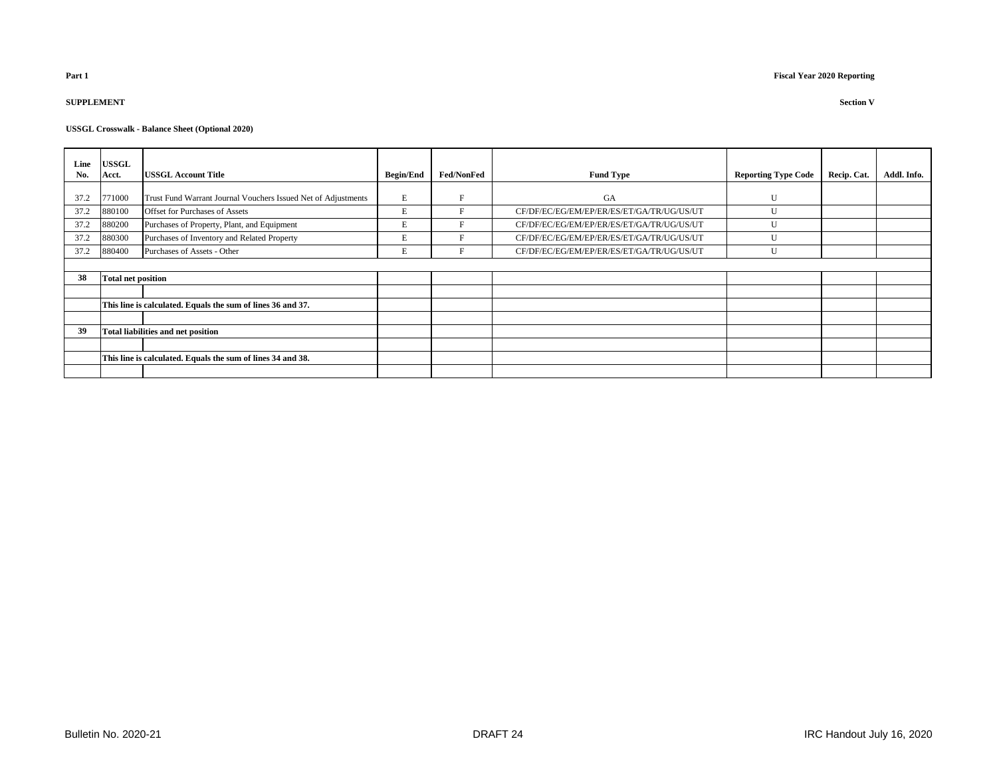# **SUPPLEMENT Section V**

| Line<br>No. | <b>USSGL</b><br>Acct.                                       | <b>USSGL Account Title</b>                                    | <b>Begin/End</b> | <b>Fed/NonFed</b> | <b>Fund Type</b>                          | <b>Reporting Type Code</b> | Recip. Cat. | Addl. Info. |
|-------------|-------------------------------------------------------------|---------------------------------------------------------------|------------------|-------------------|-------------------------------------------|----------------------------|-------------|-------------|
|             |                                                             |                                                               |                  |                   |                                           |                            |             |             |
| 37.2        | 771000                                                      | Trust Fund Warrant Journal Vouchers Issued Net of Adjustments | E                | F                 | <b>GA</b>                                 | $\mathbf{U}$               |             |             |
| 37.2        | 880100                                                      | Offset for Purchases of Assets                                | E                | F                 | CF/DF/EC/EG/EM/EP/ER/ES/ET/GA/TR/UG/US/UT |                            |             |             |
| 37.2        | 880200                                                      | Purchases of Property, Plant, and Equipment                   | E                | E                 | CF/DF/EC/EG/EM/EP/ER/ES/ET/GA/TR/UG/US/UT |                            |             |             |
| 37.2        | 880300                                                      | Purchases of Inventory and Related Property                   | E                | E                 | CF/DF/EC/EG/EM/EP/ER/ES/ET/GA/TR/UG/US/UT | $\mathbf{U}$               |             |             |
| 37.2        | 880400                                                      | Purchases of Assets - Other                                   | E                | F                 | CF/DF/EC/EG/EM/EP/ER/ES/ET/GA/TR/UG/US/UT | U                          |             |             |
|             |                                                             |                                                               |                  |                   |                                           |                            |             |             |
| 38          | <b>Total net position</b>                                   |                                                               |                  |                   |                                           |                            |             |             |
|             |                                                             |                                                               |                  |                   |                                           |                            |             |             |
|             | This line is calculated. Equals the sum of lines 36 and 37. |                                                               |                  |                   |                                           |                            |             |             |
|             |                                                             |                                                               |                  |                   |                                           |                            |             |             |
| 39          | <b>Total liabilities and net position</b>                   |                                                               |                  |                   |                                           |                            |             |             |
|             |                                                             |                                                               |                  |                   |                                           |                            |             |             |
|             | This line is calculated. Equals the sum of lines 34 and 38. |                                                               |                  |                   |                                           |                            |             |             |
|             |                                                             |                                                               |                  |                   |                                           |                            |             |             |